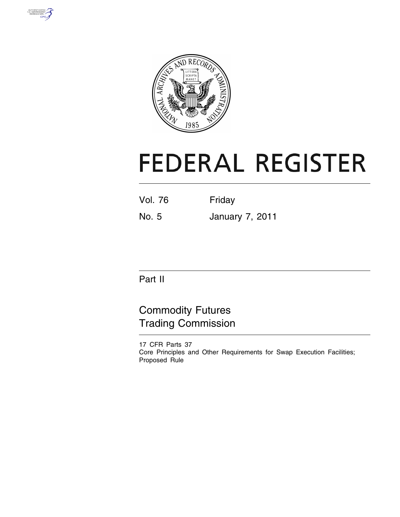



# **FEDERAL REGISTER**

| Friday |
|--------|
|        |

No. 5 January 7, 2011

Part II

Commodity Futures Trading Commission

17 CFR Parts 37 Core Principles and Other Requirements for Swap Execution Facilities; Proposed Rule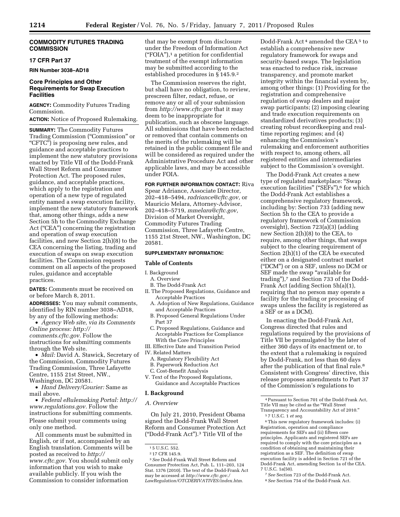#### **COMMODITY FUTURES TRADING COMMISSION**

#### **17 CFR Part 37**

**RIN Number 3038–AD18** 

# **Core Principles and Other Requirements for Swap Execution Facilities**

**AGENCY:** Commodity Futures Trading Commission.

**ACTION:** Notice of Proposed Rulemaking.

**SUMMARY:** The Commodity Futures Trading Commission (''Commission'' or "CFTC") is proposing new rules, and guidance and acceptable practices to implement the new statutory provisions enacted by Title VII of the Dodd-Frank Wall Street Reform and Consumer Protection Act. The proposed rules, guidance, and acceptable practices, which apply to the registration and operation of a new type of regulated entity named a swap execution facility, implement the new statutory framework that, among other things, adds a new Section 5h to the Commodity Exchange Act (''CEA'') concerning the registration and operation of swap execution facilities, and new Section 2(h)(8) to the CEA concerning the listing, trading and execution of swaps on swap execution facilities. The Commission requests comment on all aspects of the proposed rules, guidance and acceptable practices.

**DATES:** Comments must be received on or before March 8, 2011.

**ADDRESSES:** You may submit comments, identified by RIN number 3038–AD18, by any of the following methods:

• *Agency Web site, via its Comments Online process: [http://](http://comments.cftc.gov) [comments.cftc.gov.](http://comments.cftc.gov)* Follow the instructions for submitting comments through the Web site.

• *Mail:* David A. Stawick, Secretary of the Commission, Commodity Futures Trading Commission, Three Lafayette Centre, 1155 21st Street, NW., Washington, DC 20581.

• *Hand Delivery/Courier:* Same as mail above.

• *Federal eRulemaking Portal: [http://](http://www.regulations.gov)  [www.regulations.gov.](http://www.regulations.gov)* Follow the instructions for submitting comments. Please submit your comments using only one method.

All comments must be submitted in English, or if not, accompanied by an English translation. Comments will be posted as received to *[http://](http://www.cftc.gov) [www.cftc.gov.](http://www.cftc.gov)* You should submit only information that you wish to make available publicly. If you wish the Commission to consider information

that may be exempt from disclosure under the Freedom of Information Act  $("FOLA")$ ,<sup>1</sup> a petition for confidential treatment of the exempt information may be submitted according to the established procedures in § 145.9.2

The Commission reserves the right, but shall have no obligation, to review, prescreen filter, redact, refuse, or remove any or all of your submission from *<http://www.cftc.gov>* that it may deem to be inappropriate for publication, such as obscene language. All submissions that have been redacted or removed that contain comments on the merits of the rulemaking will be retained in the public comment file and will be considered as required under the Administrative Procedure Act and other applicable laws, and may be accessible under FOIA.

#### **FOR FURTHER INFORMATION CONTACT:** Riva

Spear Adriance, Associate Director, 202–418–5494, *[radriance@cftc.gov,](mailto:radriance@cftc.gov)* or Mauricio Melara, Attorney-Advisor, 202–418–5719, *[mmelara@cftc.gov,](mailto:mmelara@cftc.gov)*  Division of Market Oversight, Commodity Futures Trading Commission, Three Lafayette Centre, 1155 21st Street, NW., Washington, DC 20581.

#### **SUPPLEMENTARY INFORMATION:**

#### **Table of Contents**

#### I. Background

- A. Overview
- B. The Dodd-Frank Act
- II. The Proposed Regulations, Guidance and Acceptable Practices
	- A. Adoption of New Regulations, Guidance and Acceptable Practices
	- B. Proposed General Regulations Under Part 37
	- C. Proposed Regulations, Guidance and Acceptable Practices for Compliance With the Core Principles
- III. Effective Date and Transition Period
- IV. Related Matters
- A. Regulatory Flexibility Act
- B. Paperwork Reduction Act
- C. Cost-Benefit Analysis
- V. Text of the Proposed Regulations, Guidance and Acceptable Practices

#### **I. Background**

#### *A. Overview*

On July 21, 2010, President Obama signed the Dodd-Frank Wall Street Reform and Consumer Protection Act (''Dodd-Frank Act'').3 Title VII of the

Dodd-Frank Act 4 amended the CEA 5 to establish a comprehensive new regulatory framework for swaps and security-based swaps. The legislation was enacted to reduce risk, increase transparency, and promote market integrity within the financial system by, among other things: (1) Providing for the registration and comprehensive regulation of swap dealers and major swap participants; (2) imposing clearing and trade execution requirements on standardized derivatives products; (3) creating robust recordkeeping and realtime reporting regimes; and (4) enhancing the Commission's rulemaking and enforcement authorities with respect to, among others, all registered entities and intermediaries subject to the Commission's oversight.

The Dodd-Frank Act creates a new type of regulated marketplace: ''Swap execution facilities" ("SEFs"),<sup>6</sup> for which the Dodd-Frank Act establishes a comprehensive regulatory framework, including by: Section 733 (adding new Section 5h to the CEA to provide a regulatory framework of Commission oversight), Section 723(a)(3) (adding new Section 2(h)(8) to the CEA, to require, among other things, that swaps subject to the clearing requirement of Section 2(h)(1) of the CEA be executed either on a designated contract market (''DCM'') or on a SEF, unless no DCM or SEF made the swap "available for trading"),7 and Section 733 of the Dodd-Frank Act (adding Section 5h(a)(1), requiring that no person may operate a facility for the trading or processing of swaps unless the facility is registered as a SEF or as a DCM).

In enacting the Dodd-Frank Act, Congress directed that rules and regulations required by the provisions of Title VII be promulgated by the later of either 360 days of its enactment or, to the extent that a rulemaking is required by Dodd-Frank, not less than 60 days after the publication of that final rule.8 Consistent with Congress' directive, this release proposes amendments to Part 37 of the Commission's regulations to

6This new regulatory framework includes: (i) Registration, operation and compliance requirements for SEFs and (ii) fifteen core principles. Applicants and registered SEFs are required to comply with the core principles as a condition of obtaining and maintaining their registration as a SEF. The definition of swap execution facility is added in Section 721 of the Dodd-Frank Act, amending Section 1a of the CEA. 7 U.S.C. 1a(50).

7*See* Section 723 of the Dodd-Frank Act.

8*See* Section 754 of the Dodd-Frank Act.

<sup>1</sup> 5 U.S.C. 552.

<sup>2</sup> 17 CFR 145.9.

<sup>3</sup>*See* Dodd-Frank Wall Street Reform and Consumer Protection Act, Pub. L. 111–203, 124 Stat. 1376 (2010). The text of the Dodd-Frank Act may be accessed at *[http://www.cftc.gov./](http://www.cftc.gov./LawRegulation/OTCDERIVATIVES/index.htm) [LawRegulation/OTCDERIVATIVES/index.htm.](http://www.cftc.gov./LawRegulation/OTCDERIVATIVES/index.htm)* 

<sup>4</sup>Pursuant to Section 701 of the Dodd-Frank Act, Title VII may be cited as the ''Wall Street Transparency and Accountability Act of 2010.''

<sup>5</sup> 7 U.S.C. 1 *et seq.*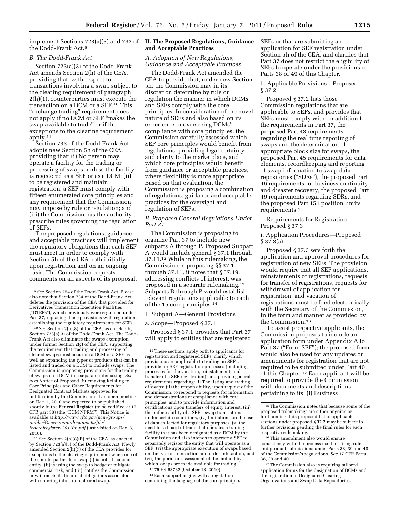implement Sections 723(a)(3) and 733 of **II. The Proposed Regulations, Guidance**  the Dodd-Frank Act.9

#### *B. The Dodd-Frank Act*

Section 723(a)(3) of the Dodd-Frank Act amends Section 2(h) of the CEA, providing that, with respect to transactions involving a swap subject to the clearing requirement of paragraph 2(h)(1), counterparties must execute the transaction on a DCM or a SEF.10 This "exchange trading" requirement does not apply if no DCM or SEF ''makes the swap available to trade'' or if the exceptions to the clearing requirement apply.11

Section 733 of the Dodd-Frank Act adopts new Section 5h of the CEA, providing that: (i) No person may operate a facility for the trading or processing of swaps, unless the facility is registered as a SEF or as a DCM; (ii) to be registered and maintain registration, a SEF must comply with fifteen enumerated core principles and any requirement that the Commission may impose by rule or regulation; and (iii) the Commission has the authority to prescribe rules governing the regulation of SEFs.

The proposed regulations, guidance and acceptable practices will implement the regulatory obligations that each SEF must meet in order to comply with Section 5h of the CEA both initially upon registration and on an ongoing basis. The Commission requests comments on all aspects of its proposal.

10*See* Section 2(h)(8) of the CEA, as enacted by Section 723(a)(3) of the Dodd-Frank Act. The Dodd-Frank Act also eliminates the swaps exemption under former Section 2(g) of the CEA, supporting the requirement that trading and processing of cleared swaps must occur on a DCM or a SEF as well as expanding the types of products that can be listed and traded on a DCM to include swaps. The Commission is proposing provisions for the trading of swaps on a DCM in a separate rulemaking. *See also* Notice of Proposed Rulemaking Relating to Core Principles and Other Requirements for Designated Contract Markets approved for publication by the Commission at an open meeting on Dec. 1, 2010 and expected to be published shortly in the **Federal Register** (to be codified at 17 CFR part 38) (the ''DCM NPRM''). This Notice is available at *[http://www.cftc.gov/ucm/groups/](http://www.cftc.gov/ucm/groups/public/@newsroom/documents/file/federalregister120110b.pdf)  [public/@newsroom/documents/file/](http://www.cftc.gov/ucm/groups/public/@newsroom/documents/file/federalregister120110b.pdf)  [federalregister120110b.pdf](http://www.cftc.gov/ucm/groups/public/@newsroom/documents/file/federalregister120110b.pdf)* (last visited on Dec. 8, 2010).

11*See* Section 2(h)(8)(B) of the CEA, as enacted by Section 723(a)(3) of the Dodd-Frank Act. Newly amended Section 2(h)(7) of the CEA provides for exceptions to the clearing requirement when one of the counterparties to a swap (i) is not a financial entity, (ii) is using the swap to hedge or mitigate commercial risk, and (iii) notifies the Commission how it meets its financial obligations associated with entering into a non-cleared swap.

# **and Acceptable Practices**

#### *A. Adoption of New Regulations, Guidance and Acceptable Practices*

The Dodd-Frank Act amended the CEA to provide that, under new Section 5h, the Commission may in its discretion determine by rule or regulation the manner in which DCMs and SEFs comply with the core principles. In consideration of the novel nature of SEFs and also based on its experience in overseeing DCMs' compliance with core principles, the Commission carefully assessed which SEF core principles would benefit from regulations, providing legal certainty and clarity to the marketplace, and which core principles would benefit from guidance or acceptable practices, where flexibility is more appropriate. Based on that evaluation, the Commission is proposing a combination of regulations, guidance and acceptable practices for the oversight and regulation of SEFs.

#### *B. Proposed General Regulations Under Part 37*

The Commission is proposing to organize Part 37 to include new subparts A through P. Proposed Subpart A would include general § 37.1 through 37.11.12 While in this rulemaking, the Commission is proposing §§ 37.1 through 37.11, it notes that § 37.19, addressing conflicts of interest, was proposed in a separate rulemaking.13 Subparts B through P would establish relevant regulations applicable to each of the 15 core principles.14

#### 1. Subpart A—General Provisions

a. Scope—Proposed § 37.1

Proposed § 37.1 provides that Part 37 will apply to entities that are registered

13 75 FR 63732 (October 18, 2010).

14Each subpart begins with a regulation containing the language of the core principle. SEFs or that are submitting an application for SEF registration under Section 5h of the CEA, and clarifies that Part 37 does not restrict the eligibility of SEFs to operate under the provisions of Parts 38 or 49 of this Chapter.

#### b. Applicable Provisions—Proposed § 37.2

Proposed § 37.2 lists those Commission regulations that are applicable to SEFs, and provides that SEFs must comply with, in addition to the requirements in Part 37, the proposed Part 43 requirements regarding the real time reporting of swaps and the determination of appropriate block size for swaps, the proposed Part 45 requirements for data elements, recordkeeping and reporting of swap information to swap data repositories (''SDRs''), the proposed Part 46 requirements for business continuity and disaster recovery, the proposed Part 49 requirements regarding SDRs, and the proposed Part 151 position limits requirements.15

c. Requirements for Registration— Proposed § 37.3

i. Application Procedures—Proposed § 37.3(a)

Proposed § 37.3 sets forth the application and approval procedures for registration of new SEFs. The provision would require that all SEF applications, reinstatements of registrations, requests for transfer of registrations, requests for withdrawal of application for registration, and vacation of registrations must be filed electronically with the Secretary of the Commission, in the form and manner as provided by the Commission.16

To assist prospective applicants, the Commission proposes to include an application form under Appendix A to Part 37 ("Form SEF"); the proposed form would also be used for any updates or amendments for registration that are not required to be submitted under Part 40 of this Chapter.17 Each applicant will be required to provide the Commission with documents and descriptions pertaining to its: (i) Business

<sup>9</sup>*See* Section 754 of the Dodd-Frank Act. Please also note that Section 734 of the Dodd-Frank Act deletes the provision of the CEA that provided for Derivatives Transaction Execution Facilities (''DTEFs''), which previously were regulated under Part 37, replacing those provisions with regulations establishing the regulatory requirements for SEFs.

<sup>12</sup>These sections apply both to applicants for registration and registered SEFs, clarify which provisions are applicable to trading on SEFs, provide for SEF registration processes (including processes for the vacation, reinstatement, and transfer of a SEF registration), and provide general requirements regarding: (i) The listing and trading of swaps; (ii) the responsibility, upon request of the Commission, to respond to requests for information and demonstrations of compliance with core principles, and to provide information and certifications upon transfers of equity interest; (iii) the enforceability of a SEF's swap transactions under certain conditions, (iv) limitations on the use of data collected for regulatory purposes, (v) the need for a board of trade that operates a trading facility that has been designated as a DCM by the Commission and also intends to operate a SEF to separately register the entity that will operate as a SEF, (vi) the appropriate execution of swaps based on the type of transaction and order interaction, and (vii) the periodic assessment of the method by which swaps are made available for trading.

<sup>15</sup>The Commission notes that because some of the proposed rulemakings are either ongoing or forthcoming, this proposed list of applicable sections under proposed § 37.2 may be subject to further revisions pending the final rules for each respective rulemaking.

<sup>16</sup>This amendment also would ensure consistency with the process used for filing rule and product submissions under Parts 38, 39 and 40 of the Commission's regulations. *See* 17 CFR Parts 38, 39 and 40.

<sup>&</sup>lt;sup>17</sup>The Commission also is requiring tailored application forms for the designation of DCMs and the registration of Designated Clearing Organizations and Swap Data Repositories.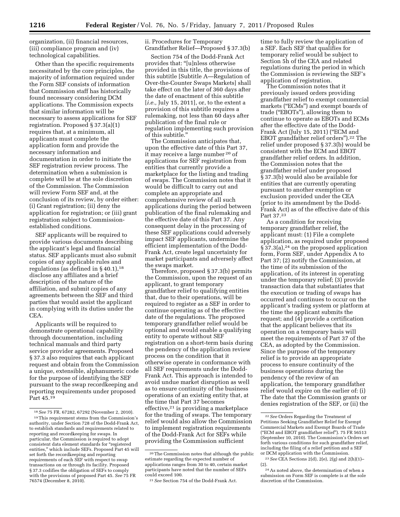organization, (ii) financial resources, (iii) compliance program and (iv) technological capabilities.

Other than the specific requirements necessitated by the core principles, the majority of information required under the Form SEF consists of information that Commission staff has historically found necessary considering DCM applications. The Commission expects that similar information will be necessary to assess applications for SEF registration. Proposed § 37.3(a)(1) requires that, at a minimum, all applicants must complete the application form and provide the necessary information and documentation in order to initiate the SEF registration review process. The determination when a submission is complete will be at the sole discretion of the Commission. The Commission will review Form SEF and, at the conclusion of its review, by order either: (i) Grant registration; (ii) deny the application for registration; or (iii) grant registration subject to Commissionestablished conditions.

SEF applicants will be required to provide various documents describing the applicant's legal and financial status. SEF applicants must also submit copies of any applicable rules and regulations (as defined in  $\S 40.1$ ),<sup>18</sup> disclose any affiliates and a brief description of the nature of the affiliation, and submit copies of any agreements between the SEF and third parties that would assist the applicant in complying with its duties under the CEA.

Applicants will be required to demonstrate operational capability through documentation, including technical manuals and third party service provider agreements. Proposed § 37.3 also requires that each applicant request and obtain from the Commission a unique, extensible, alphanumeric code for the purpose of identifying the SEF pursuant to the swap recordkeeping and reporting requirements under proposed Part 45.19

ii. Procedures for Temporary Grandfather Relief—Proposed § 37.3(b)

Section 754 of the Dodd-Frank Act provides that: ''[u]nless otherwise provided in this title, the provisions of this subtitle [Subtitle A—Regulation of Over-the-Counter Swaps Markets] shall take effect on the later of 360 days after the date of enactment of this subtitle [*i.e.,* July 15, 2011], or, to the extent a provision of this subtitle requires a rulemaking, not less than 60 days after publication of the final rule or regulation implementing such provision of this subtitle.''

The Commission anticipates that, upon the effective date of this Part 37, it may receive a large number 20 of applications for SEF registration from entities that currently provide a marketplace for the listing and trading of swaps. The Commission notes that it would be difficult to carry out and complete an appropriate and comprehensive review of all such applications during the period between publication of the final rulemaking and the effective date of this Part 37. Any consequent delay in the processing of these SEF applications could adversely impact SEF applicants, undermine the efficient implementation of the Dodd-Frank Act, create legal uncertainty for market participants and adversely affect the swaps market.

Therefore, proposed § 37.3(b) permits the Commission, upon the request of an applicant, to grant temporary grandfather relief to qualifying entities that, due to their operations, will be required to register as a SEF in order to continue operating as of the effective date of the regulations. The proposed temporary grandfather relief would be optional and would enable a qualifying entity to operate without SEF registration on a short-term basis during the pendency of the application review process on the condition that it otherwise operate in conformance with all SEF requirements under the Dodd-Frank Act. This approach is intended to avoid undue market disruption as well as to ensure continuity of the business operations of an existing entity that, at the time that Part 37 becomes effective,21 is providing a marketplace for the trading of swaps. The temporary relief would also allow the Commission to implement registration requirements of the Dodd-Frank Act for SEFs while providing the Commission sufficient

time to fully review the application of a SEF. Each SEF that qualifies for temporary relief would be subject to Section 5h of the CEA and related regulations during the period in which the Commission is reviewing the SEF's application of registration.

The Commission notes that it previously issued orders providing grandfather relief to exempt commercial markets (''ECMs'') and exempt boards of trade (''EBOTs''), allowing them to continue to operate as EBOTs and ECMs after the effective date of the Dodd-Frank Act (July 15, 2011) ("ECM and EBOT grandfather relief orders'').22 The relief under proposed § 37.3(b) would be consistent with the ECM and EBOT grandfather relief orders. In addition, the Commission notes that the grandfather relief under proposed § 37.3(b) would also be available for entities that are currently operating pursuant to another exemption or exclusion provided under the CEA (prior to its amendment by the Dodd-Frank Act) as of the effective date of this Part 37.23

As a condition for receiving temporary grandfather relief, the applicant must: (1) File a complete application, as required under proposed § 37.3(a),24 on the proposed application form, Form SEF, under Appendix A to Part 37; (2) notify the Commission, at the time of its submission of the application, of its interest in operating under the temporary relief; (3) provide transaction data that substantiates that the execution or trading of swaps has occurred and continues to occur on the applicant's trading system or platform at the time the applicant submits the request; and (4) provide a certification that the applicant believes that its operation on a temporary basis will meet the requirements of Part 37 of the CEA, as adopted by the Commission. Since the purpose of the temporary relief is to provide an appropriate process to ensure continuity of the business operations during the pendency of the review of an application, the temporary grandfather relief would expire on the earlier of: (i) The date that the Commission grants or denies registration of the SEF, or (ii) the

<sup>18</sup>*See* 75 FR. 67282, 67292 (November 2, 2010). 19This requirement stems from the Commission's authority, under Section 728 of the Dodd-Frank Act, to establish standards and requirements related to reporting and recordkeeping for swaps. In particular, the Commission is required to adopt consistent data element standards for ''registered entities,'' which include SEFs. Proposed Part 45 will set forth the recordkeeping and reporting requirements of each SEF with respect to swap transactions on or through its facility. Proposed § 37.3 codifies the obligation of SEFs to comply with the provisions of proposed Part 45. *See* 75 FR 76574 (December 8, 2010).

 $^{\rm 20}\!$  The Commission notes that although the public estimate regarding the expected number of applications ranges from 30 to 40, certain market participants have noted that the number of SEFs could exceed 100.

<sup>21</sup>*See* Section 754 of the Dodd-Frank Act.

<sup>22</sup>*See* Orders Regarding the Treatment of Petitions Seeking Grandfather Relief for Exempt Commercial Markets and Exempt Boards of Trade (''ECM and EBOT grandfather relief''). 75 FR 56513 (September 10, 2010). The Commission's Orders set forth various conditions for such grandfather relief, including the filing of a relief petition and a SEF or DCM application with the Commission.

<sup>23</sup>*See* CEA Sections 2(d), 2(e), 2(g) and 2(h)(1)– (2).

<sup>24</sup>As noted above, the determination of when a submission on Form SEF is complete is at the sole discretion of the Commission.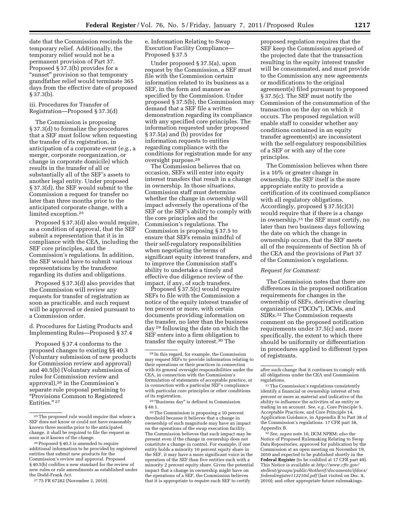date that the Commission rescinds the temporary relief. Additionally, the temporary relief would not be a permanent provision of Part 37. Proposed § 37.3(b) provides for a "sunset" provision so that temporary grandfather relief would terminate 365 days from the effective date of proposed § 37.3(b).

iii. Procedures for Transfer of Registration—Proposed § 37.3(d)

The Commission is proposing § 37.3(d) to formalize the procedures that a SEF must follow when requesting the transfer of its registration, in anticipation of a corporate event (*e.g.,* a merger, corporate reorganization, or change in corporate domicile) which results in the transfer of all or substantially all of the SEF's assets to another legal entity. Under proposed § 37.3(d), the SEF would submit to the Commission a request for transfer no later than three months prior to the anticipated corporate change, with a limited exception.25

Proposed § 37.3(d) also would require, as a condition of approval, that the SEF submit a representation that it is in compliance with the CEA, including the SEF core principles, and the Commission's regulations. In addition, the SEF would have to submit various representations by the transferee regarding its duties and obligations.

Proposed § 37.3(d) also provides that the Commission will review any requests for transfer of registration as soon as practicable, and such request will be approved or denied pursuant to a Commission order.

d. Procedures for Listing Products and Implementing Rules—Proposed § 37.4

Proposed § 37.4 conforms to the proposed changes to existing §§ 40.3 (Voluntary submission of new products for Commission review and approval) and 40.5(b) (Voluntary submission of rules for Commission review and approval),26 in the Commission's separate rule proposal pertaining to ''Provisions Common to Registered Entities." 27

e. Information Relating to Swap Execution Facility Compliance— Proposed § 37.5

Under proposed § 37.5(a), upon request by the Commission, a SEF must file with the Commission certain information related to its business as a SEF, in the form and manner as specified by the Commission. Under proposed § 37.5(b), the Commission may demand that a SEF file a written demonstration regarding its compliance with any specified core principles. The information requested under proposed § 37.5(a) and (b) provides for information requests to entities regarding compliance with the conditions for registration made for any oversight purpose.28

The Commission believes that on occasion, SEFs will enter into equity interest transfers that result in a change in ownership. In those situations, Commission staff must determine whether the change in ownership will impact adversely the operations of the SEF or the SEF's ability to comply with the core principles and the Commission's regulations. The Commission is proposing § 37.5 to ensure that SEFs remain mindful of their self-regulatory responsibilities when negotiating the terms of significant equity interest transfers, and to improve the Commission staff's ability to undertake a timely and effective due diligence review of the impact, if any, of such transfers.

Proposed § 37.5(c) would require SEFs to file with the Commission a notice of the equity interest transfer of ten percent or more, with certain documents providing information on the transfer, no later than the business day 29 following the date on which the SEF enters into a firm obligation to transfer the equity interest.30 The

<sup>29</sup> "Business day" is defined in Commission § 40.1.

30The Commission is proposing a 10 percent threshold because it believes that a change in ownership of such magnitude may have an impact on the operations of the swap execution facility. The Commission believes that such impact may be present even if the change in ownership does not constitute a change in control. For example, if one entity holds a minority 10 percent equity share in the SEF, it may have a more significant voice in the operation of the SEF than five entities each with a minority 2 percent equity share. Given the potential impact that a change in ownership might have on the operations of a SEF, the Commission believes that it is appropriate to require such SEF to certify

proposed regulation requires that the SEF keep the Commission apprised of the projected date that the transaction resulting in the equity interest transfer will be consummated, and must provide to the Commission any new agreements or modifications to the original agreement(s) filed pursuant to proposed § 37.5(c). The SEF must notify the Commission of the consummation of the transaction on the day on which it occurs. The proposed regulation will enable staff to consider whether any conditions contained in an equity transfer agreement(s) are inconsistent with the self-regulatory responsibilities of a SEF or with any of the core principles.

The Commission believes when there is a 10% or greater change in ownership, the SEF itself is the more appropriate entity to provide a certification of its continued compliance with all regulatory obligations. Accordingly, proposed § 37.5(c)(3) would require that if there is a change in ownership,31 the SEF must certify, no later than two business days following the date on which the change in ownership occurs, that the SEF meets all of the requirements of Section 5h of the CEA and the provisions of Part 37 of the Commission's regulations.

#### *Request for Comment:*

The Commission notes that there are differences in the proposed notification requirements for changes in the ownership of SEFs, derivative clearing organizations (''DCOs''), DCMs, and SDRs.32 The Commission requests comment on the proposed notification requirements under 37.5(c) and, more specifically, the extent to which there should be uniformity or differentiation in procedures applied to different types of registrants.

after such change that it continues to comply with all obligations under the CEA and Commission regulations.

32*See, supra* note 10, DCM NPRM; *also* the Notice of Proposed Rulemaking Relating to Swap Data Repositories, approved for publication by the Commission at an open meeting on November 19, 2010 and expected to be published shortly in the **Federal Register** (to be codified at 17 CFR part 49). This Notice is available at *[http://www.cftc.gov/](http://www.cftc.gov/stellent/groups/public/@otherif/documents/ifdocs/federalregister112210d.pdf)  [stellent/groups/public/@otherif/documents/ifdocs/](http://www.cftc.gov/stellent/groups/public/@otherif/documents/ifdocs/federalregister112210d.pdf)  [federalregister112210d.pdf](http://www.cftc.gov/stellent/groups/public/@otherif/documents/ifdocs/federalregister112210d.pdf)* (last visited on Dec. 8, 2010); and other appropriate future rulemakings.

<sup>25</sup>The proposed rule would require that where a SEF does not know or could not have reasonably known three months prior to the anticipated change, it shall be required to file the request as soon as it knows of the change.

<sup>26</sup>Proposed § 40.3 is amended to require additional information to be provided by registered entities that submit new products for the Commission's review and approval. Proposed § 40.5(b) codifies a new standard for the review of new rules or rule amendments as established under the Dodd-Frank Act.

<sup>27</sup> 75 FR 67282 (November 2, 2010).

<sup>28</sup> In this regard, for example, the Commission may request SEFs to provide information relating to their operations or their practices in connection with its general oversight responsibilities under the CEA, in connection with the Commission's formulation of statements of acceptable practice, or in connection with a particular SEF's compliance with particular core principles or other conditions of its registration.

<sup>&</sup>lt;sup>31</sup>The Commission's regulations consistently identify a financial or ownership interest of ten percent or more as material and indicative of the ability to influence the activities of an entity or trading in an account. *See, e.g.,* Core Principle 5, Acceptable Practices, and Core Principle 14, Application Guidance, in Appendix B to Part 38 of the Commission's regulations. 17 CFR part 38, Appendix B.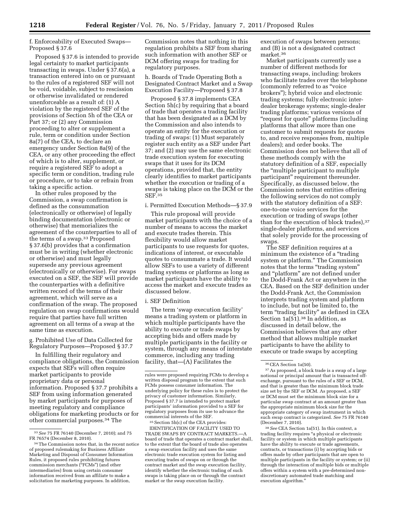# f. Enforceability of Executed Swaps— Proposed § 37.6

Proposed § 37.6 is intended to provide legal certainty to market participants transacting in swaps. Under § 37.6(a), a transaction entered into on or pursuant to the rules of a registered SEF will not be void, voidable, subject to rescission or otherwise invalidated or rendered unenforceable as a result of: (1) A violation by the registered SEF of the provisions of Section 5h of the CEA or Part 37; or (2) any Commission proceeding to alter or supplement a rule, term or condition under Section 8a(7) of the CEA, to declare an emergency under Section 8a(9) of the CEA, or any other proceeding the effect of which is to alter, supplement, or require a registered SEF to adopt a specific term or condition, trading rule or procedure, or to take or refrain from taking a specific action.

In other rules proposed by the Commission, a swap confirmation is defined as the consummation (electronically or otherwise) of legally binding documentation (electronic or otherwise) that memorializes the agreement of the counterparties to all of the terms of a swap.33 Proposed § 37.6(b) provides that a confirmation must be in writing (whether electronic or otherwise) and must legally supersede any previous agreement (electronically or otherwise). For swaps executed on a SEF, the SEF will provide the counterparties with a definitive written record of the terms of their agreement, which will serve as a confirmation of the swap. The proposed regulation on swap confirmations would require that parties have full written agreement on all terms of a swap at the same time as execution.

g. Prohibited Use of Data Collected for Regulatory Purposes—Proposed § 37.7

In fulfilling their regulatory and compliance obligations, the Commission expects that SEFs will often require market participants to provide proprietary data or personal information. Proposed § 37.7 prohibits a SEF from using information generated by market participants for purposes of meeting regulatory and compliance obligations for marketing products or for other commercial purposes.34 The

Commission notes that nothing in this regulation prohibits a SEF from sharing such information with another SEF or DCM offering swaps for trading for regulatory purposes.

h. Boards of Trade Operating Both a Designated Contract Market and a Swap Execution Facility—Proposed § 37.8

Proposed § 37.8 implements CEA Section 5h(c) by requiring that a board of trade that operates a trading facility that has been designated as a DCM by the Commission and also intends to operate an entity for the execution or trading of swaps: (1) Must separately register such entity as a SEF under Part 37; and (2) may use the same electronic trade execution system for executing swaps that it uses for its DCM operations, provided that, the entity clearly identifies to market participants whether the execution or trading of a swaps is taking place on the DCM or the SEF.35

#### i. Permitted Execution Methods—§ 37.9

This rule proposal will provide market participants with the choice of a number of means to access the market and execute trades therein. This flexibility would allow market participants to use requests for quotes, indications of interest, or executable quotes to consummate a trade. It would allow SEFs to use a variety of different trading systems or platforms as long as market participants have the ability to access the market and execute trades as discussed below.

#### i. SEF Definition

The term 'swap execution facility' means a trading system or platform in which multiple participants have the ability to execute or trade swaps by accepting bids and offers made by multiple participants in the facility or system, through any means of interstate commerce, including any trading facility, that—(A) Facilitates the

35Section 5h(c) of the CEA provides: IDENTIFICATION OF FACILITY USED TO TRADE SWAPS BY CONTRACT MARKETS.—A board of trade that operates a contract market shall, to the extent that the board of trade also operates a swap execution facility and uses the same electronic trade execution system for listing and executing trades of swaps on or through the contract market and the swap execution facility, identify whether the electronic trading of such swaps is taking place on or through the contract market or the swap execution facility.

execution of swaps between persons; and (B) is not a designated contract market.36

Market participants currently use a number of different methods for transacting swaps, including: brokers who facilitate trades over the telephone (commonly referred to as ''voice brokers''); hybrid voice and electronic trading systems; fully electronic interdealer brokerage systems; single-dealer trading platforms; various versions of ''request for quote'' platforms (including platforms that allow more than one customer to submit requests for quotes to, and receive responses from, multiple dealers); and order books. The Commission does not believe that all of these methods comply with the statutory definition of a SEF, especially the ''multiple participant to multiple participant'' requirement thereunder. Specifically, as discussed below, the Commission notes that entities offering the following services do not comply with the statutory definition of a SEF: one-to-one voice services for the execution or trading of swaps (other than for the execution of block trades), 37 single-dealer platforms, and services that solely provide for the processing of swaps.

The SEF definition requires at a minimum the existence of a "trading" system or platform.'' The Commission notes that the terms ''trading system'' and ''platform'' are not defined under the Dodd-Frank Act or anywhere in the CEA. Based on the SEF definition under the Dodd-Frank Act, the Commission interprets trading system and platform to include, but not be limited to, the term "trading facility" as defined in CEA Section  $1a(51)$ .<sup>38</sup> In addition, as discussed in detail below, the Commission believes that any other method that allows multiple market participants to have the ability to execute or trade swaps by accepting

38*See* CEA Section 1a(51). In this context, a trading facility requires "a physical or electronic facility or system in which multiple participants have the ability to execute or trade agreements, contracts, or transactions (i) by accepting bids or offers made by other participants that are open to multiple participants in the facility or system; or (ii) through the interaction of multiple bids or multiple offers within a system with a pre-determined nondiscretionary automated trade matching and execution algorithm.''

<sup>33</sup>*See* 75 FR 76140 (December 7, 2010); and 75 FR 76574 (December 8, 2010).

<sup>34</sup>The Commission notes that, in the recent notice of proposed rulemaking for Business Affiliate Marketing and Disposal of Consumer Information Rules, it proposed rules prohibiting futures commission merchants (''FCMs'') (and other intermediaries) from using certain consumer information received from an affiliate to make a solicitation for marketing purposes. In addition,

rules were proposed requiring FCMs to develop a written disposal program to the extent that such FCMs possess consumer information. The underlying policy for these rules is to protect the privacy of customer information. Similarly, Proposed § 37.7 is intended to protect market participants' information provided to a SEF for regulatory purposes from its use to advance the commercial interests of the SEF.

<sup>36</sup>CEA Section 1a(50).

<sup>37</sup>As proposed, a block trade is a swap of a large notional or principal amount that is transacted offexchange, pursuant to the rules of a SEF or DCM, and that is greater than the minimum block trade size set by the SEF or DCM. As proposed, a SEF or DCM must set the minimum block size for a particular swap contract at an amount greater than the appropriate minimum block size for the appropriate category of swap instrument in which such swap contract is categorized. *See* 75 FR 76140 (December 7, 2010).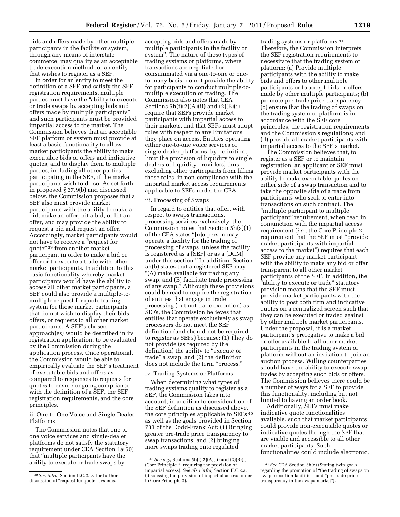bids and offers made by other multiple participants in the facility or system, through any means of interstate commerce, may qualify as an acceptable trade execution method for an entity that wishes to register as a SEF.

In order for an entity to meet the definition of a SEF and satisfy the SEF registration requirements, multiple parties must have the ''ability to execute or trade swaps by accepting bids and offers made by multiple participants'' and such participants must be provided impartial access to the market. The Commission believes that an acceptable SEF platform or system must provide at least a basic functionality to allow market participants the ability to make executable bids or offers and indicative quotes, and to display them to multiple parties, including all other parties participating in the SEF, if the market participants wish to do so. As set forth in proposed § 37.9(b) and discussed below, the Commission proposes that a SEF also must provide market participants with the ability to make a bid, make an offer, hit a bid, or lift an offer, and may provide the ability to request a bid and request an offer. Accordingly, market participants would not have to receive a ''request for quote'' 39 from another market participant in order to make a bid or offer or to execute a trade with other market participants. In addition to this basic functionality whereby market participants would have the ability to access all other market participants, a SEF could also provide a multiple-tomultiple request for quote trading system for those market participants that do not wish to display their bids, offers, or requests to all other market participants. A SEF's chosen approach(es) would be described in its registration application, to be evaluated by the Commission during the application process. Once operational, the Commission would be able to empirically evaluate the SEF's treatment of executable bids and offers as compared to responses to requests for quotes to ensure ongoing compliance with the definition of a SEF, the SEF registration requirements, and the core principles.

ii. One-to-One Voice and Single-Dealer Platforms

The Commission notes that one-toone voice services and single-dealer platforms do not satisfy the statutory requirement under CEA Section 1a(50) that ''multiple participants have the ability to execute or trade swaps by

accepting bids and offers made by multiple participants in the facility or system''. The nature of these types of trading systems or platforms, where transactions are negotiated or consummated via a one-to-one or oneto-many basis, do not provide the ability for participants to conduct multiple-tomultiple execution or trading. The Commission also notes that CEA Sections  $5h(f)(2)(A)(ii)$  and  $(2)(B)(i)$ require that SEFs provide market participants with impartial access to their markets, and that SEFs must adopt rules with respect to any limitations they place on access. Entities operating either one-to-one voice services or single-dealer platforms, by definition, limit the provision of liquidity to single dealers or liquidity providers, thus excluding other participants from filling those roles, in non-compliance with the impartial market access requirements applicable to SEFs under the CEA.

#### iii. Processing of Swaps

In regard to entities that offer, with respect to swaps transactions, processing services exclusively, the Commission notes that Section 5h(a)(1) of the CEA states ''[n]o person may operate a facility for the trading or processing of swaps, unless the facility is registered as a [SEF] or as a [DCM] under this section.'' In addition, Section 5h(b) states that a registered SEF may ''(A) make available for trading any swap, and (B) facilitate trade processing of any swap.'' Although these provisions could be read to require the registration of entities that engage in trade processing (but not trade execution) as SEFs, the Commission believes that entities that operate exclusively as swap processors do not meet the SEF definition (and should not be required to register as SEFs) because: (1) They do not provide (as required by the definition) the ability to "execute or trade'' a swap; and (2) the definition does not include the term ''process.''

# iv. Trading Systems or Platforms

When determining what types of trading systems qualify to register as a SEF, the Commission takes into account, in addition to consideration of the SEF definition as discussed above, the core principles applicable to SEFs 40 as well as the goals provided in Section 733 of the Dodd-Frank Act: (1) Bringing greater pre-trade price transparency to swap transactions; and (2) bringing more swaps trading onto regulated

trading systems or platforms.41 Therefore, the Commission interprets the SEF registration requirements to necessitate that the trading system or platform: (a) Provide multiple participants with the ability to make bids and offers to other multiple participants or to accept bids or offers made by other multiple participants; (b) promote pre-trade price transparency; (c) ensure that the trading of swaps on the trading system or platform is in accordance with the SEF core principles, the registration requirements and the Commission's regulations; and (d) provide all market participants with impartial access to the SEF's market.

The Commission believes that, to register as a SEF or to maintain registration, an applicant or SEF must provide market participants with the ability to make executable quotes on either side of a swap transaction and to take the opposite side of a trade from participants who seek to enter into transactions on such contract. The ''multiple participant to multiple participant'' requirement, when read in conjunction with the impartial access requirement (*i.e.,* the Core Principle 2 requirement that the SEF must ''provide market participants with impartial access to the market'') requires that each SEF provide any market participant with the ability to make any bid or offer transparent to all other market participants of the SEF. In addition, the "ability to execute or trade" statutory provision means that the SEF must provide market participants with the ability to post both firm and indicative quotes on a centralized screen such that they can be executed or traded against by other multiple market participants. Under the proposal, it is a market participant's prerogative to make a bid or offer available to all other market participants in the trading system or platform without an invitation to join an auction process. Willing counterparties should have the ability to execute swap trades by accepting such bids or offers. The Commission believes there could be a number of ways for a SEF to provide this functionality, including but not limited to having an order book.

Additionally, SEFs must make indicative quote functionalities available, such that market participants could provide non-executable quotes or indicative quotes through the SEF that are visible and accessible to all other market participants. Such functionalities could include electronic,

<sup>39</sup>*See infra,* Section II.C.2.i.v for further discussion of "request for quote" systems.

<sup>40</sup>*See e.g.,* Sections 5h(f)(2)(A)(ii) and (2)(B)(i) (Core Principle 2, requiring the provision of impartial access). *See also infra,* Section II.C.2.a. (discussing the provision of impartial access under to Core Principle 2).

<sup>41</sup>*See* CEA Section 5h(e) (Stating twin goals regarding the promotion of ''the trading of swaps on swap execution facilities'' and ''pre-trade price transparency in the swaps market'').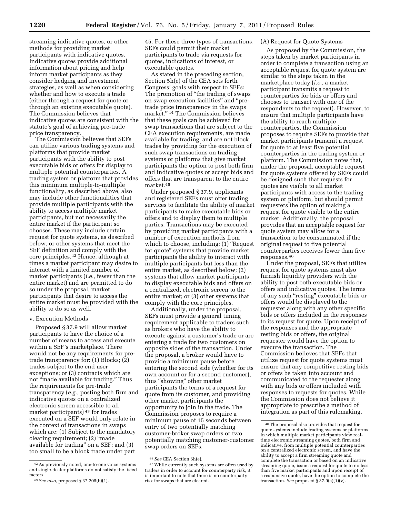streaming indicative quotes, or other methods for providing market participants with indicative quotes. Indicative quotes provide additional information about pricing and help inform market participants as they consider hedging and investment strategies, as well as when considering whether and how to execute a trade (either through a request for quote or through an existing executable quote). The Commission believes that indicative quotes are consistent with the statute's goal of achieving pre-trade price transparency.

The Commission believes that SEFs can utilize various trading systems and platforms that provide market participants with the ability to post executable bids or offers for display to multiple potential counterparties. A trading system or platform that provides this minimum multiple-to-multiple functionality, as described above, also may include other functionalities that provide multiple participants with the ability to access multiple market participants, but not necessarily the entire market if the participant so chooses. These may include certain request for quote systems, as described below, or other systems that meet the SEF definition and comply with the core principles.42 Hence, although at times a market participant may desire to interact with a limited number of market participants (*i.e.,* fewer than the entire market) and are permitted to do so under the proposal, market participants that desire to access the entire market must be provided with the ability to do so as well.

#### v. Execution Methods

Proposed § 37.9 will allow market participants to have the choice of a number of means to access and execute within a SEF's marketplace. There would not be any requirements for pretrade transparency for: (1) Blocks; (2) trades subject to the end user exceptions; or (3) contracts which are not ''made available for trading.'' Thus the requirements for pre-trade transparency (*e.g.,* posting both firm and indicative quotes on a centralized electronic screen accessible to all market participants) 43 for trades executed on a SEF would only relate in the context of transactions in swaps which are: (1) Subject to the mandatory clearing requirement; (2) ''made available for trading'' on a SEF; and (3) too small to be a block trade under part

45. For these three types of transactions, SEFs could permit their market participants to trade via requests for quotes, indications of interest, or executable quotes.

As stated in the preceding section, Section 5h(e) of the CEA sets forth Congress' goals with respect to SEFs: The promotion of ''the trading of swaps on swap execution facilities'' and ''pretrade price transparency in the swaps market.'' 44 The Commission believes that these goals can be achieved for swap transactions that are subject to the CEA execution requirements, are made available for trading, and are not block trades by providing for the execution of such swap transactions on trading systems or platforms that give market participants the option to post both firm and indicative quotes or accept bids and offers that are transparent to the entire market.45

Under proposed § 37.9, applicants and registered SEFs must offer trading services to facilitate the ability of market participants to make executable bids or offers and to display them to multiple parties. Transactions may be executed by providing market participants with a number of execution methods from which to choose, including:  $(1)$  "Request for quote'' systems that provide market participants the ability to interact with multiple participants but less than the entire market, as described below; (2) systems that allow market participants to display executable bids and offers on a centralized, electronic screen to the entire market; or (3) other systems that comply with the core principles.

Additionally, under the proposal, SEFs must provide a general timing requirement applicable to traders such as brokers who have the ability to execute against a customer's trade or are entering a trade for two customers on opposite sides of the transaction. Under the proposal, a broker would have to provide a minimum pause before entering the second side (whether for its own account or for a second customer), thus ''showing'' other market participants the terms of a request for quote from its customer, and providing other market participants the opportunity to join in the trade. The Commission proposes to require a minimum pause of 15 seconds between entry of two potentially matching customer-broker swap orders or two potentially matching customer-customer swap orders on SEFs.

#### (A) Request for Quote Systems

As proposed by the Commission, the steps taken by market participants in order to complete a transaction using an acceptable request for quote system are similar to the steps taken in the marketplace today (*i.e.,* a market participant transmits a request to counterparties for bids or offers and chooses to transact with one of the respondents to the request). However, to ensure that multiple participants have the ability to reach multiple counterparties, the Commission proposes to require SEFs to provide that market participants transmit a request for quote to at least five potential counterparties in the trading system or platform. The Commission notes that, under the proposal, acceptable request for quote systems offered by SEFs could be designed such that requests for quotes are visible to all market participants with access to the trading system or platform, but should permit requesters the option of making a request for quote visible to the entire market. Additionally, the proposal provides that an acceptable request for quote system may allow for a transaction to be consummated if the original request to five potential counterparties receives fewer than five responses.46

Under the proposal, SEFs that utilize request for quote systems must also furnish liquidity providers with the ability to post both executable bids or offers and indicative quotes. The terms of any such ''resting'' executable bids or offers would be displayed to the requester along with any other specific bids or offers included in the responses to its request for quote. Upon receipt of the responses and the appropriate resting bids or offers, the original requester would have the option to execute the transaction. The Commission believes that SEFs that utilize request for quote systems must ensure that any competitive resting bids or offers be taken into account and communicated to the requester along with any bids or offers included with responses to requests for quotes. While the Commission does not believe it appropriate to prescribe a method of integration as part of this rulemaking,

<sup>42</sup>As previously noted, one-to-one voice systems and single-dealer platforms do not satisfy the listed factors.

<sup>43</sup>*See also,* proposed § 37.205(b)(1).

<sup>44</sup>*See* CEA Section 5h(e).

<sup>45</sup>While currently such systems are often used by traders in order to account for counterparty risk, it is important to note that there is no counterparty risk for swaps that are cleared.

<sup>46</sup>The proposal also provides that request for quote systems include trading systems or platforms in which multiple market participants view realtime electronic streaming quotes, both firm and indicative, from multiple potential counterparties on a centralized electronic screen, and have the ability to accept a firm streaming quote and complete the transaction or based on an indicative streaming quote, issue a request for quote to no less than five market participants and upon receipt of a responsive quote, have the option to complete the transaction. *See* proposed § 37.9(a)(1)(v).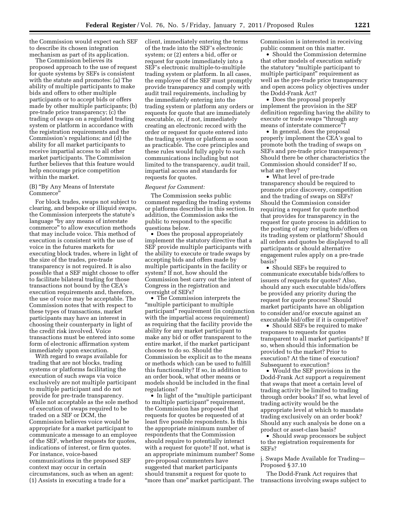the Commission would expect each SEF to describe its chosen integration mechanism as part of its application.

The Commission believes its proposed approach to the use of request for quote systems by SEFs is consistent with the statute and promotes: (a) The ability of multiple participants to make bids and offers to other multiple participants or to accept bids or offers made by other multiple participants; (b) pre-trade price transparency; (c) the trading of swaps on a regulated trading system or platform in accordance with the registration requirements and the Commission's regulations; and (d) the ability for all market participants to receive impartial access to all other market participants. The Commission further believes that this feature would help encourage price competition within the market.

#### (B) ''By Any Means of Interstate Commerce''

For block trades, swaps not subject to clearing, and bespoke or illiquid swaps, the Commission interprets the statute's language ''by any means of interstate commerce'' to allow execution methods that may include voice. This method of execution is consistent with the use of voice in the futures markets for executing block trades, where in light of the size of the trades, pre-trade transparency is not required. It is also possible that a SEF might choose to offer to facilitate bilateral trading for those transactions not bound by the CEA's execution requirements and, therefore, the use of voice may be acceptable. The Commission notes that with respect to these types of transactions, market participants may have an interest in choosing their counterparty in light of the credit risk involved. Voice transactions must be entered into some form of electronic affirmation system immediately upon execution.

With regard to swaps available for trading that are not blocks, trading systems or platforms facilitating the execution of such swaps via voice exclusively are not multiple participant to multiple participant and do not provide for pre-trade transparency. While not acceptable as the sole method of execution of swaps required to be traded on a SEF or DCM, the Commission believes voice would be appropriate for a market participant to communicate a message to an employee of the SEF, whether requests for quotes, indications of interest, or firm quotes. For instance, voice-based communications in the proposed SEF context may occur in certain circumstances, such as when an agent: (1) Assists in executing a trade for a

client, immediately entering the terms of the trade into the SEF's electronic system; or (2) enters a bid, offer or request for quote immediately into a SEF's electronic multiple-to-multiple trading system or platform. In all cases, the employee of the SEF must promptly provide transparency and comply with audit trail requirements, including by the immediately entering into the trading system or platform any orders or requests for quote that are immediately executable, or, if not, immediately creating an electronic record with the order or request for quote entered into the trading system or platform as soon as practicable. The core principles and these rules would fully apply to such communications including but not limited to the transparency, audit trail, impartial access and standards for requests for quotes.

#### *Request for Comment:*

The Commission seeks public comment regarding the trading systems or platforms described in this section. In addition, the Commission asks the public to respond to the specific questions below.

• Does the proposal appropriately implement the statutory directive that a SEF provide multiple participants with the ability to execute or trade swaps by accepting bids and offers made by multiple participants in the facility or system? If not, how should the Commission best carry out the intent of Congress in the registration and oversight of SEFs?

• The Commission interprets the ''multiple participant to multiple participant'' requirement (in conjunction with the impartial access requirement) as requiring that the facility provide the ability for any market participant to make any bid or offer transparent to the entire market, if the market participant chooses to do so. Should the Commission be explicit as to the means or methods which can be used to fulfill this functionality? If so, in addition to an order book, what other means or models should be included in the final regulations?

• In light of the "multiple participant" to multiple participant'' requirement, the Commission has proposed that requests for quotes be requested of at least five possible respondents. Is this the appropriate minimum number of respondents that the Commission should require to potentially interact with a request for quote? If not, what is an appropriate minimum number? Some pre-proposal commenters have suggested that market participants should transmit a request for quote to "more than one" market participant. The

Commission is interested in receiving public comment on this matter.

• Should the Commission determine that other models of execution satisfy the statutory ''multiple participant to multiple participant'' requirement as well as the pre-trade price transparency and open access policy objectives under the Dodd-Frank Act?

• Does the proposal properly implement the provision in the SEF definition regarding having the ability to execute or trade swaps ''through any means of interstate commerce''?

• In general, does the proposal properly implement the CEA's goal to promote both the trading of swaps on SEFs and pre-trade price transparency? Should there be other characteristics the Commission should consider? If so, what are they?

• What level of pre-trade transparency should be required to promote price discovery, competition and the trading of swaps on SEFs? Should the Commission consider requiring a request for quote method that provides for transparency in the request for quote process in addition to the posting of any resting bids/offers on its trading system or platform? Should all orders and quotes be displayed to all participants or should alternative engagement rules apply on a pre-trade basis?

• Should SEFs be required to communicate executable bids/offers to issuers of requests for quotes? Also, should any such executable bids/offers be provided any priority during the request for quote process? Should market participants have an obligation to consider and/or execute against an executable bid/offer if it is competitive?

• Should SEFs be required to make responses to requests for quotes transparent to all market participants? If so, when should this information be provided to the market? Prior to execution? At the time of execution? Subsequent to execution?

• Would the SEF provisions in the Dodd-Frank Act support a requirement that swaps that meet a certain level of trading activity be limited to trading through order books? If so, what level of trading activity would be the appropriate level at which to mandate trading exclusively on an order book? Should any such analysis be done on a product or asset-class basis?

• Should swap processors be subject to the registration requirements for SEFs?

j. Swaps Made Available for Trading— Proposed § 37.10

The Dodd-Frank Act requires that transactions involving swaps subject to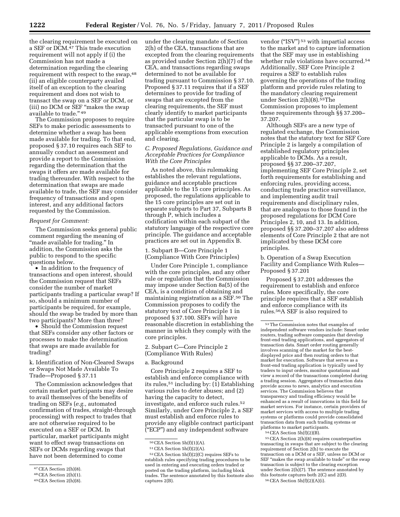the clearing requirement be executed on a SEF or DCM.<sup>47</sup> This trade execution requirement will not apply if (i) the Commission has not made a determination regarding the clearing requirement with respect to the swap,48 (ii) an eligible counterparty availed itself of an exception to the clearing requirement and does not wish to transact the swap on a SEF or DCM, or (iii) no DCM or SEF "makes the swap available to trade.'' 49

The Commission proposes to require SEFs to make periodic assessments to determine whether a swap has been made available for trading. To that end, proposed § 37.10 requires each SEF to annually conduct an assessment and provide a report to the Commission regarding the determination that the swaps it offers are made available for trading thereunder. With respect to the determination that swaps are made available to trade, the SEF may consider frequency of transactions and open interest, and any additional factors requested by the Commission.

#### *Request for Comment:*

The Commission seeks general public comment regarding the meaning of ''made available for trading.'' In addition, the Commission asks the public to respond to the specific questions below.

• In addition to the frequency of transactions and open interest, should the Commission request that SEFs consider the number of market participants trading a particular swap? If so, should a minimum number of participants be required, for example, should the swap be traded by more than two participants? More than three?

• Should the Commission request that SEFs consider any other factors or processes to make the determination that swaps are made available for trading?

k. Identification of Non-Cleared Swaps or Swaps Not Made Available To Trade—Proposed § 37.11

The Commission acknowledges that certain market participants may desire to avail themselves of the benefits of trading on SEFs (*e.g.,* automated confirmation of trades, straight-through processing) with respect to trades that are not otherwise required to be executed on a SEF or DCM. In particular, market participants might want to effect swap transactions on SEFs or DCMs regarding swaps that have not been determined to come

under the clearing mandate of Section 2(h) of the CEA, transactions that are excepted from the clearing requirements as provided under Section 2(h)(7) of the CEA, and transactions regarding swaps determined to not be available for trading pursuant to Commission § 37.10. Proposed § 37.11 requires that if a SEF determines to provide for trading of swaps that are excepted from the clearing requirements, the SEF must clearly identify to market participants that the particular swap is to be transacted pursuant to one of the applicable exemptions from execution and clearing.

#### *C. Proposed Regulations, Guidance and Acceptable Practices for Compliance With the Core Principles*

As noted above, this rulemaking establishes the relevant regulations, guidance and acceptable practices applicable to the 15 core principles. As proposed, the regulations applicable to the 15 core principles are set out in separate subparts to Part 37, Subparts B through P, which includes a codification within each subpart of the statutory language of the respective core principle. The guidance and acceptable practices are set out in Appendix B.

1. Subpart B—Core Principle 1 (Compliance With Core Principles)

Under Core Principle 1, compliance with the core principles, and any other rule or regulation that the Commission may impose under Section 8a(5) of the CEA, is a condition of obtaining and maintaining registration as a SEF.50 The Commission proposes to codify the statutory text of Core Principle 1 in proposed § 37.100. SEFs will have reasonable discretion in establishing the manner in which they comply with the core principles.

2. Subpart C—Core Principle 2 (Compliance With Rules)

#### a. Background

Core Principle 2 requires a SEF to establish and enforce compliance with its rules,<sup>51</sup> including by:  $(1)$  Establishing various rules to deter abuses; and (2) having the capacity to detect, investigate, and enforce such rules.52 Similarly, under Core Principle 2, a SEF must establish and enforce rules to provide any eligible contract participant (''ECP'') and any independent software

vendor (''ISV'') 53 with impartial access to the market and to capture information that the SEF may use in establishing whether rule violations have occurred.54 Additionally, SEF Core Principle 2 requires a SEF to establish rules governing the operations of the trading platform and provide rules relating to the mandatory clearing requirement under Section 2(h)(8).55The Commission proposes to implement these requirements through §§ 37.200– 37.207.

Although SEFs are a new type of regulated exchange, the Commission notes that the statutory text for SEF Core Principle 2 is largely a compilation of established regulatory principles applicable to DCMs. As a result, proposed §§ 37.200–37.207, implementing SEF Core Principle 2, set forth requirements for establishing and enforcing rules, providing access, conducting trade practice surveillance, and implementing audit trail requirements and disciplinary rules, that are analogous to those found in the proposed regulations for DCM Core Principles 2, 10, and 13. In addition, proposed §§ 37.200–37.207 also address elements of Core Principle 2 that are not implicated by these DCM core principles.

b. Operation of a Swap Execution Facility and Compliance With Rules— Proposed § 37.201

Proposed § 37.201 addresses the requirement to establish and enforce rules. More specifically, the core principle requires that a SEF establish and enforce compliance with its rules.56A SEF is also required to

55CEA Section 2(h)(8) requires counterparties transacting in swaps that are subject to the clearing requirement of Section 2(h) to execute the transaction on a DCM or a SEF, unless no DCM or SEF "makes the swap available to trade" or the swap transaction is subject to the clearing exception under Section 2(h)(7). The sentence annotated by this footnote captures both 2(C) and 2(D). 56CEA Section 5h(f)(2)(A)(i).

<sup>47</sup>CEA Section 2(h)(8).

<sup>48</sup>CEA Section 2(h)(1).

<sup>49</sup>CEA Section 2(h)(8).

 $50$  CEA Section  $5h(f)(1)(A)$ .

<sup>51</sup>CEA Section 5h(f)(2)(A).

<sup>52</sup>CEA Section 5h(f)(2)(C) requires SEFs to establish rules specifying trading procedures to be used in entering and executing orders traded or posted on the trading platform, including block trades. The sentence annotated by this footnote also captures 2(B).

<sup>53</sup>The Commission notes that examples of independent software vendors include: Smart order routers, trading software companies that develop front-end trading applications, and aggregators of transaction data. Smart order routing generally involves scanning of the market for the bestdisplayed price and then routing orders to that market for execution. Software that serves as a front-end trading application is typically used by traders to input orders, monitor quotations and view a record of the transactions completed during a trading session. Aggregators of transaction data provide access to news, analytics and execution services. The Commission believes that transparency and trading efficiency would be enhanced as a result of innovations in this field for market services. For instance, certain providers of market services with access to multiple trading systems or platforms could provide consolidated transaction data from such trading systems or platforms to market participants.

<sup>54</sup>CEA Section 5h(f)(2)(B).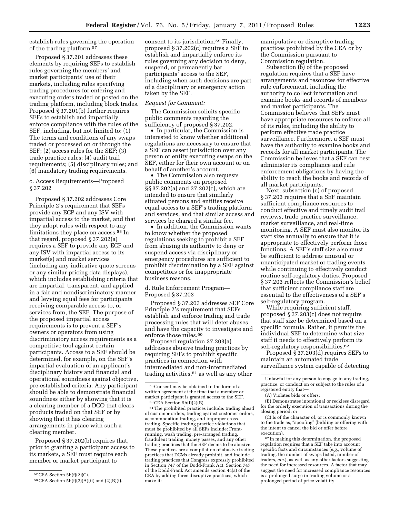## establish rules governing the operation of the trading platform.57

Proposed § 37.201 addresses these elements by requiring SEFs to establish rules governing the members' and market participants' use of their markets, including rules specifying trading procedures for entering and executing orders traded or posted on the trading platform, including block trades. Proposed § 37.201(b) further requires SEFs to establish and impartially enforce compliance with the rules of the SEF, including, but not limited to: (1) The terms and conditions of any swaps traded or processed on or through the SEF; (2) access rules for the SEF; (3) trade practice rules; (4) audit trail requirements; (5) disciplinary rules; and (6) mandatory trading requirements.

#### c. Access Requirements—Proposed § 37.202

Proposed § 37.202 addresses Core Principle 2's requirement that SEFs provide any ECP and any ISV with impartial access to the market, and that they adopt rules with respect to any limitations they place on access.58 In that regard, proposed § 37.202(a) requires a SEF to provide any ECP and any ISV with impartial access to its market(s) and market services (including any indicative quote screens or any similar pricing data displays), which includes establishing criteria that are impartial, transparent, and applied in a fair and nondiscriminatory manner and levying equal fees for participants receiving comparable access to, or services from, the SEF. The purpose of the proposed impartial access requirements is to prevent a SEF's owners or operators from using discriminatory access requirements as a competitive tool against certain participants. Access to a SEF should be determined, for example, on the SEF's impartial evaluation of an applicant's disciplinary history and financial and operational soundness against objective, pre-established criteria. Any participant should be able to demonstrate financial soundness either by showing that it is a clearing member of a DCO that clears products traded on that SEF or by showing that it has clearing arrangements in place with such a clearing member.

Proposed § 37.202(b) requires that, prior to granting a participant access to its markets, a SEF must require each member or market participant to

consent to its jurisdiction.59 Finally, proposed § 37.202(c) requires a SEF to establish and impartially enforce its rules governing any decision to deny, suspend, or permanently bar participants' access to the SEF, including when such decisions are part of a disciplinary or emergency action taken by the SEF.

#### *Request for Comment:*

The Commission solicits specific public comments regarding the sufficiency of proposed § 37.202.

• In particular, the Commission is interested to know whether additional regulations are necessary to ensure that a SEF can assert jurisdiction over any person or entity executing swaps on the SEF, either for their own account or on behalf of another's account.

• The Commission also requests public comments on proposed §§ 37.202(a) and 37.202(c), which are intended to ensure that similarly situated persons and entities receive equal access to a SEF's trading platform and services, and that similar access and services be charged a similar fee.

• In addition, the Commission wants to know whether the proposed regulations seeking to prohibit a SEF from abusing its authority to deny or suspend access via disciplinary or emergency procedures are sufficient to prohibit discrimination by a SEF against competitors or for inappropriate business reasons.

#### d. Rule Enforcement Program— Proposed § 37.203

Proposed § 37.203 addresses SEF Core Principle 2's requirement that SEFs establish and enforce trading and trade processing rules that will deter abuses and have the capacity to investigate and enforce those rules.60

Proposed regulation 37.203(a) addresses abusive trading practices by requiring SEFs to prohibit specific practices in connection with intermediated and non-intermediated trading activities, $61$  as well as any other

61The prohibited practices include: trading ahead of customer orders, trading against customer orders, accommodation trading, and improper crosstrading. Specific trading practice violations that must be prohibited by all SEFs include: Frontrunning, wash trading, pre-arranged trading, fraudulent trading, money passes, and any other trading practices that the SEF deems to be abusive. These practices are a compilation of abusive trading practices that DCMs already prohibit, and include trading practices that Congress expressly prohibited in Section 747 of the Dodd-Frank Act. Section 747 of the Dodd-Frank Act amends section 4c(a) of the CEA by adding three disruptive practices, which make it:

manipulative or disruptive trading practices prohibited by the CEA or by the Commission pursuant to Commission regulation.

Subsection (b) of the proposed regulation requires that a SEF have arrangements and resources for effective rule enforcement, including the authority to collect information and examine books and records of members and market participants. The Commission believes that SEFs must have appropriate resources to enforce all of its rules, including the ability to perform effective trade practice surveillance. Furthermore, a SEF must have the authority to examine books and records for all market participants. The Commission believes that a SEF can best administer its compliance and rule enforcement obligations by having the ability to reach the books and records of all market participants.

Next, subsection (c) of proposed § 37.203 requires that a SEF maintain sufficient compliance resources to conduct effective and timely audit trail reviews, trade practice surveillance, market surveillance, and real-time monitoring. A SEF must also monitor its staff size annually to ensure that it is appropriate to effectively perform those functions. A SEF's staff size also must be sufficient to address unusual or unanticipated market or trading events while continuing to effectively conduct routine self-regulatory duties. Proposed § 37.203 reflects the Commission's belief that sufficient compliance staff are essential to the effectiveness of a SEF's self-regulatory program.

While requiring sufficient staff, proposed § 37.203(c) does not require that staff size be determined based on a specific formula. Rather, it permits the individual SEF to determine what size staff it needs to effectively perform its self-regulatory responsibilities.<sup>62</sup>

Proposed § 37.203(d) requires SEFs to maintain an automated trade surveillance system capable of detecting

(B) Demonstrates intentional or reckless disregard for the orderly execution of transactions during the closing period; or

(C) Is of the character of, or is commonly known to the trade as, ''spoofing'' (bidding or offering with the intent to cancel the bid or offer before execution).

<sup>57</sup>CEA Section 5h(f)(2)(C).

<sup>58</sup>CEA Section 5h(f)(2)(A)(ii) and (2)(B)(i).

<sup>59</sup>Consent may be obtained in the form of a written agreement at the time that a member or market participant is granted access to the SEF.  $^{60}$ CEA Section 5h(f)(2)(B).

Unlawful for any person to engage in any trading, practice, or conduct on or subject to the rules of a registered entity that—

<sup>(</sup>A) Violates bids or offers;

<sup>62</sup> In making this determination, the proposed regulation requires that a SEF take into account specific facts and circumstances (*e.g.,* volume of trading, the number of swaps listed, number of traders, *etc.*), as well as any other factors suggesting the need for increased resources. A factor that may suggest the need for increased compliance resources is a prolonged surge in trading volume or a prolonged period of price volatility.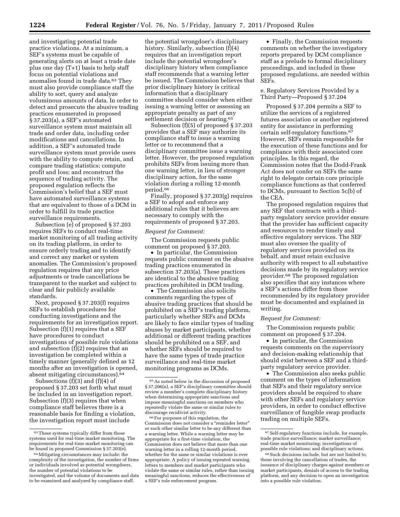and investigating potential trade practice violations. At a minimum, a SEF's systems must be capable of generating alerts on at least a trade date plus one day (T+1) basis to help staff focus on potential violations and anomalies found in trade data.<sup>63</sup> They must also provide compliance staff the ability to sort, query and analyze voluminous amounts of data. In order to detect and prosecute the abusive trading practices enumerated in proposed § 37.203(a), a SEF's automated surveillance system must maintain all trade and order data, including order modifications and cancellations. In addition, a SEF's automated trade surveillance system must provide users with the ability to compute retain, and compare trading statistics; compute profit and loss; and reconstruct the sequence of trading activity. The proposed regulation reflects the Commission's belief that a SEF must have automated surveillance systems that are equivalent to those of a DCM in order to fulfill its trade practice surveillance requirements.

Subsection (e) of proposed § 37.203 requires SEFs to conduct real-time market monitoring of all trading activity on its trading platform, in order to ensure orderly trading and to identify and correct any market or system anomalies. The Commission's proposed regulation requires that any price adjustments or trade cancellations be transparent to the market and subject to clear and fair publicly available standards.

Next, proposed § 37.203(f) requires SEFs to establish procedures for conducting investigations and the requirements for an investigation report. Subsection (f)(1) requires that a SEF have procedures to conduct investigations of possible rule violations and subsection (f)(2) requires that an investigation be completed within a timely manner (generally defined as 12 months after an investigation is opened, absent mitigating circumstances).64

Subsections  $(f)(3)$  and  $(f)(4)$  of proposed § 37.203 set forth what must be included in an investigation report. Subsection (f)(3) requires that when compliance staff believes there is a reasonable basis for finding a violation, the investigation report must include

the potential wrongdoer's disciplinary history. Similarly, subsection (f)(4) requires that an investigation report include the potential wrongdoer's disciplinary history when compliance staff recommends that a warning letter be issued. The Commission believes that prior disciplinary history is critical information that a disciplinary committee should consider when either issuing a warning letter or assessing an appropriate penalty as part of any settlement decision or hearing.<sup>65</sup>

Subsection (f)(5) of proposed § 37.203 provides that a SEF may authorize its compliance staff to issue a warning letter or to recommend that a disciplinary committee issue a warning letter. However, the proposed regulation prohibits SEFs from issuing more than one warning letter, in lieu of stronger disciplinary action, for the same violation during a rolling 12-month period.66

Finally, proposed § 37.203(g) requires a SEF to adopt and enforce any additional rules that it believes are necessary to comply with the requirements of proposed § 37.203.

#### *Request for Comment:*

The Commission requests public comment on proposed § 37.203.

• In particular, the Commission requests public comment on the abusive trading practices enumerated in subsection 37.203(a). These practices are identical to the abusive trading practices prohibited in DCM trading.

• The Commission also solicits comments regarding the types of abusive trading practices that should be prohibited on a SEF's trading platform, particularly whether SEFs and DCMs are likely to face similar types of trading abuses by market participants, whether additional or different trading practices should be prohibited on a SEF, and whether SEFs should be required to have the same types of trade practice surveillance and real-time market monitoring programs as DCMs.

66For purposes of this regulation, the Commission does not consider a ''reminder letter'' or such other similar letter to be any different than a warning letter. While a warning letter may be appropriate for a first-time violation, the Commission does not believe that more than one warning letter in a rolling 12-month period, whether for the same or similar violations is ever appropriate. A policy of issuing repeated warning letters to members and market participants who violate the same or similar rules, rather than issuing meaningful sanctions, reduces the effectiveness of a SEF's rule enforcement program.

• Finally, the Commission requests comments on whether the investigatory reports prepared by DCM compliance staff as a prelude to formal disciplinary proceedings, and included in these proposed regulations, are needed within SEFs.

#### e. Regulatory Services Provided by a Third Party—Proposed § 37.204

Proposed § 37.204 permits a SEF to utilize the services of a registered futures association or another registered entity for assistance in performing certain self-regulatory functions.67 However, SEFs remain responsible for the execution of these functions and for compliance with their associated core principles. In this regard, the Commission notes that the Dodd-Frank Act does not confer on SEFs the same right to delegate certain core principle compliance functions as that conferred to DCMs, pursuant to Section 5c(b) of the CEA.

The proposed regulation requires that any SEF that contracts with a thirdparty regulatory service provider ensure that the provider has sufficient capacity and resources to render timely and effective regulatory services. The SEF must also oversee the quality of regulatory services provided on its behalf, and must retain exclusive authority with respect to all substantive decisions made by its regulatory service provider.68 The proposed regulation also specifies that any instances where a SEF's actions differ from those recommended by its regulatory provider must be documented and explained in writing.

#### *Request for Comment:*

The Commission requests public comment on proposed § 37.204.

• In particular, the Commission requests comments on the supervisory and decision-making relationship that should exist between a SEF and a thirdparty regulatory service provider.

• The Commission also seeks public comment on the types of information that SEFs and their regulatory service providers should be required to share with other SEFs and regulatory service providers, in order to conduct effective surveillance of fungible swap products trading on multiple SEFs.

<sup>&</sup>lt;sup>63</sup> These systems typically differ from those systems used for real-time market monitoring. The requirements for real-time market monitoring can be found in proposed Commission § 37.203(e).

<sup>64</sup>Mitigating circumstances may include: the complexity of the investigation, the number of firms or individuals involved as potential wrongdoers, the number of potential violations to be investigated, and the volume of documents and data to be examined and analyzed by compliance staff.

<sup>65</sup>As noted below in the discussion of proposed § 37.206(n), a SEF's disciplinary committee should review a member's complete disciplinary history when determining appropriate sanctions and impose meaningful sanctions on members who repeatedly violate the same or similar rules to discourage recidivist activity.

<sup>67</sup>Self-regulatory functions include, for example, trade practice surveillance; market surveillance; real-time market monitoring; investigations of possible rule violations; and disciplinary actions.

<sup>68</sup>Such decisions include, but are not limited to, those involving the cancellation of trades, the issuance of disciplinary charges against members or market participants, denials of access to the trading platform, and any decision to open an investigation into a possible rule violation.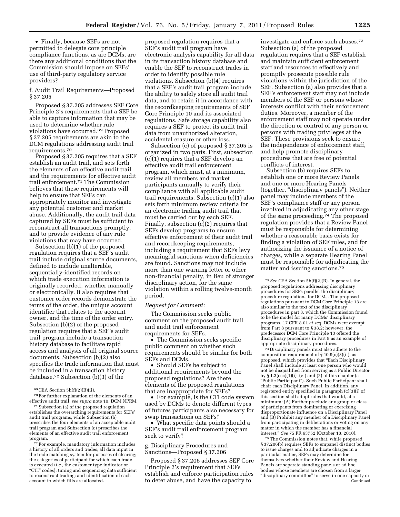• Finally, because SEFs are not permitted to delegate core principle compliance functions, as are DCMs, are there any additional conditions that the Commission should impose on SEFs' use of third-party regulatory service providers?

f. Audit Trail Requirements—Proposed § 37.205

Proposed § 37.205 addresses SEF Core Principle 2's requirements that a SEF be able to capture information that may be used to determine whether rule violations have occurred.69 Proposed § 37.205 requirements are akin to the DCM regulations addressing audit trail requirements.70

Proposed § 37.205 requires that a SEF establish an audit trail, and sets forth the elements of an effective audit trail and the requirements for effective audit trail enforcement.71 The Commission believes that these requirements will help to ensure that SEFs can appropriately monitor and investigate any potential customer and market abuse. Additionally, the audit trail data captured by SEFs must be sufficient to reconstruct all transactions promptly, and to provide evidence of any rule violations that may have occurred.

Subsection (b)(1) of the proposed regulation requires that a SEF's audit trail include original source documents, defined to include unalterable, sequentially-identified records on which trade execution information is originally recorded, whether manually or electronically. It also requires that customer order records demonstrate the terms of the order, the unique account identifier that relates to the account owner, and the time of the order entry. Subsection (b)(2) of the proposed regulation requires that a SEF's audit trail program include a transaction history database to facilitate rapid access and analysis of all original source documents. Subsection (b)(2) also specifies the trade information that must be included in a transaction history database.72 Subsection (b)(3) of the

proposed regulation requires that a SEF's audit trail program have electronic analysis capability for all data in its transaction history database and enable the SEF to reconstruct trades in order to identify possible rule violations. Subsection (b)(4) requires that a SEF's audit trail program include the ability to safely store all audit trail data, and to retain it in accordance with the recordkeeping requirements of SEF Core Principle 10 and its associated regulations. Safe storage capability also requires a SEF to protect its audit trail data from unauthorized alteration, accidental erasure or other loss.

Subsection (c) of proposed § 37.205 is organized in two parts. First, subsection (c)(1) requires that a SEF develop an effective audit trail enforcement program, which must, at a minimum, review all members and market participants annually to verify their compliance with all applicable audit trail requirements. Subsection (c)(1) also sets forth minimum review criteria for an electronic trading audit trail that must be carried out by each SEF. Finally, subsection (c)(2) requires that SEFs develop programs to ensure effective enforcement of their audit trail and recordkeeping requirements, including a requirement that SEFs levy meaningful sanctions when deficiencies are found. Sanctions may not include more than one warning letter or other non-financial penalty, in lieu of stronger disciplinary action, for the same violation within a rolling twelve-month period.

#### *Request for Comment:*

The Commission seeks public comment on the proposed audit trail and audit trail enforcement requirements for SEFs.

• The Commission seeks specific public comment on whether such requirements should be similar for both SEFs and DCMs.

• Should SEFs be subject to additional requirements beyond the proposed regulations? Are there elements of the proposed regulations that are inappropriate for SEFs?

• For example, is the CTI code system used by DCMs to denote different types of futures participants also necessary for swap transactions on SEFs?

• What specific data points should a SEF's audit trail enforcement program seek to verify?

#### g. Disciplinary Procedures and Sanctions—Proposed § 37.206

Proposed § 37.206 addresses SEF Core Principle 2's requirement that SEFs establish and enforce participation rules to deter abuse, and have the capacity to

investigate and enforce such abuses.73 Subsection (a) of the proposed regulation requires that a SEF establish and maintain sufficient enforcement staff and resources to effectively and promptly prosecute possible rule violations within the jurisdiction of the SEF. Subsection (a) also provides that a SEF's enforcement staff may not include members of the SEF or persons whose interests conflict with their enforcement duties. Moreover, a member of the enforcement staff may not operate under the direction or control of any person or persons with trading privileges at the SEF. These provisions seek to ensure the independence of enforcement staff, and help promote disciplinary procedures that are free of potential conflicts of interest.

Subsection (b) requires SEFs to establish one or more Review Panels and one or more Hearing Panels (together, "disciplinary panels"). Neither panel may include members of the SEF's compliance staff or any person involved in adjudicating any other stage of the same proceeding.<sup>74</sup> The proposed regulation provides that a Review Panel must be responsible for determining whether a reasonable basis exists for finding a violation of SEF rules, and for authorizing the issuance of a notice of charges, while a separate Hearing Panel must be responsible for adjudicating the matter and issuing sanctions.75

74 Disciplinary panels must also adhere to the composition requirement of § 40.9(c)(3)(ii), as proposed, which provides that ''Each Disciplinary Panel shall include at least one person who would not be disqualified from serving as a Public Director by  $\S 1.3(ccc)(1)(i)$ –(vi) and (2) of this chapter (a ''Public Participant''). Such Public Participant shall chair each Disciplinary Panel. In addition, any registered entity specified in paragraph (c)(3)(i) of this section shall adopt rules that would, at a minimum: (A) Further preclude any group or class of participants from dominating or exercising disproportionate influence on a Disciplinary Panel and (B) Prohibit any member of a Disciplinary Panel from participating in deliberations or voting on any matter in which the member has a financial interest.'' *See* 75 FR 63752 (October 18, 2010).

75The Commission notes that, while proposed § 37.206(b) requires SEFs to empanel distinct bodies to issue charges and to adjudicate charges in a particular matter, SEFs may determine for themselves whether their Review and Hearing Panels are separate standing panels or ad hoc bodies whose members are chosen from a larger "disciplinary committee" to serve in one capacity or Continued

<sup>69</sup>CEA Section 5h(f)(2)(B)(ii).

<sup>70</sup>For further explanation of the elements of an effective audit trail, *see supra* note 10, DCM NPRM.

<sup>71</sup>Subsection (a) of the proposed regulation establishes the overarching requirements for SEFs' audit trail programs, while Subsection (b) prescribes the four elements of an acceptable audit trail program and Subsection (c) prescribes the elements of an effective audit trail enforcement program.

<sup>72</sup>For example, mandatory information includes a history of all orders and trades; all data input in the trade matching system for purposes of clearing; the categories of participant for which each trade is executed (*i.e.,* the customer type indicator or ''CTI'' codes); timing and sequencing data sufficient to reconstruct trading; and identification of each account to which fills are allocated.

<sup>73</sup>*See* CEA Section 5h(f)(2)(B). In general, the proposed regulations addressing disciplinary procedures for SEFs parallel the disciplinary procedure regulations for DCMs. The proposed regulations pursuant to DCM Core Principle 13 are also similar to the text of the disciplinary procedures in part 8, which the Commission found to be the model for many DCMs' disciplinary programs. 17 CFR 8.01 *et seq.* DCMs were exempt from Part 8 pursuant to § 38.2; however, the predecessor DCM Core Principle 13 offered the disciplinary procedures in Part 8 as an example of appropriate disciplinary procedures.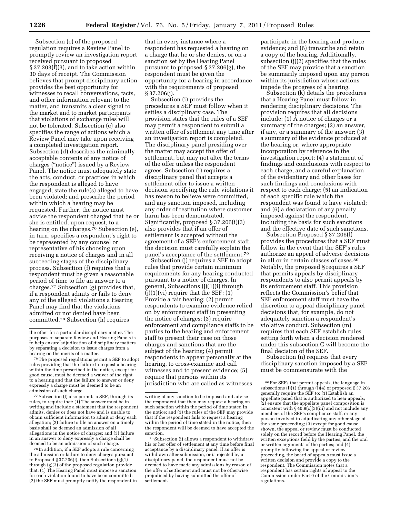Subsection (c) of the proposed regulation requires a Review Panel to promptly review an investigation report received pursuant to proposed § 37.203(f)(3), and to take action within 30 days of receipt. The Commission believes that prompt disciplinary action provides the best opportunity for witnesses to recall conversations, facts, and other information relevant to the matter, and transmits a clear signal to the market and to market participants that violations of exchange rules will not be tolerated. Subsection (c) also specifies the range of actions which a Review Panel may take upon receiving a completed investigation report. Subsection (d) describes the minimally acceptable contents of any notice of charges (''notice'') issued by a Review Panel. The notice must adequately state the acts, conduct, or practices in which the respondent is alleged to have engaged; state the rule(s) alleged to have been violated; and prescribe the period within which a hearing may be requested. Further, the notice must advise the respondent charged that he or she is entitled, upon request, to a hearing on the charges.<sup>76</sup> Subsection (e), in turn, specifies a respondent's right to be represented by any counsel or representative of his choosing upon receiving a notice of charges and in all succeeding stages of the disciplinary process. Subsection (f) requires that a respondent must be given a reasonable period of time to file an answer to a charges.77 Subsection (g) provides that, if a respondent admits or fails to deny any of the alleged violations a Hearing Panel may find that the violations admitted or not denied have been committed.78 Subsection (h) requires

77Subsection (f) also permits a SEF, through its rules, to require that: (1) The answer must be in writing and include a statement that the respondent admits, denies or does not have and is unable to obtain sufficient information to admit or deny each allegation; (2) failure to file an answer on a timely basis shall be deemed an admission of all allegations in the notice of charges; and (3) failure in an answer to deny expressly a charge shall be deemed to be an admission of such charge.

78 In addition, if a SEF adopts a rule concerning the admission or failure to deny charges pursuant to Proposed § 37.206(f), then Subsections (g)(1) through (g)(3) of the proposed regulation provide that: (1) The Hearing Panel must impose a sanction for each violation found to have been committed; (2) the SEF must promptly notify the respondent in

that in every instance where a respondent has requested a hearing on a charge that he or she denies, or on a sanction set by the Hearing Panel pursuant to proposed § 37.206(g), the respondent must be given the opportunity for a hearing in accordance with the requirements of proposed § 37.206(j).

Subsection (i) provides the procedures a SEF must follow when it settles a disciplinary case. The provision states that the rules of a SEF may permit a respondent to submit a written offer of settlement any time after an investigation report is completed. The disciplinary panel presiding over the matter may accept the offer of settlement, but may not alter the terms of the offer unless the respondent agrees. Subsection (i) requires a disciplinary panel that accepts a settlement offer to issue a written decision specifying the rule violations it has reason to believe were committed, and any sanction imposed, including any order of restitution where customer harm has been demonstrated. Significantly, proposed § 37.206(i)(3) also provides that if an offer of settlement is accepted without the agreement of a SEF's enforcement staff, the decision must carefully explain the panel's acceptance of the settlement.79

Subsection (j) requires a SEF to adopt rules that provide certain minimum requirements for any hearing conducted pursuant to a notice of charges. In general, Subsections (j)(1)(i) through  $(i)(1)(vi)$  require that the SEF:  $(1)$ Provide a fair hearing; (2) permit respondents to examine evidence relied on by enforcement staff in presenting the notice of charges; (3) require enforcement and compliance staffs to be parties to the hearing and enforcement staff to present their case on those charges and sanctions that are the subject of the hearing; (4) permit respondents to appear personally at the hearing, to cross-examine and call witnesses and to present evidence; (5) require that persons within its jurisdiction who are called as witnesses

participate in the hearing and produce evidence; and (6) transcribe and retain a copy of the hearing. Additionally, subsection (j)(2) specifies that the rules of the SEF may provide that a sanction be summarily imposed upon any person within its jurisdiction whose actions impede the progress of a hearing.

Subsection (k) details the procedures that a Hearing Panel must follow in rendering disciplinary decisions. The provision requires that all decisions include: (1) A notice of charges or a summary of the charges; (2) an answer, if any, or a summary of the answer; (3) a summary of the evidence produced at the hearing or, where appropriate incorporation by reference in the investigation report; (4) a statement of findings and conclusions with respect to each charge, and a careful explanation of the evidentiary and other bases for such findings and conclusions with respect to each charge; (5) an indication of each specific rule which the respondent was found to have violated; and (6) a declaration of any penalty imposed against the respondent, including the basis for such sanctions and the effective date of such sanctions.

Subsection Proposed § 37.206(l) provides the procedures that a SEF must follow in the event that the SEF's rules authorize an appeal of adverse decisions in all or in certain classes of cases.80 Notably, the proposed § requires a SEF that permits appeals by disciplinary respondents to also permit appeals by its enforcement staff. This provision reflects the Commission's belief that SEF enforcement staff must have the discretion to appeal disciplinary panel decisions that, for example, do not adequately sanction a respondent's violative conduct. Subsection (m) requires that each SEF establish rules setting forth when a decision rendered under this subsection C will become the final decision of the SEF.

Subsection (n) requires that every disciplinary sanction imposed by a SEF must be commensurate with the

the other for a particular disciplinary matter. The purposes of separate Review and Hearing Panels is to help ensure adjudication of disciplinary matters by separating a decision to issue charges from a hearing on the merits of a matter.

<sup>76</sup>The proposed regulations permit a SEF to adopt rules providing that the failure to request a hearing within the time prescribed in the notice, except for good cause, must be deemed a waiver of the right to a hearing and that the failure to answer or deny expressly a charge must be deemed to be an admission of such charge.

writing of any sanction to be imposed and advise the respondent that they may request a hearing on such sanction within the period of time stated in the notice; and (3) the rules of the SEF may provide that if the respondent fails to request a hearing within the period of time stated in the notice, then the respondent will be deemed to have accepted the sanction.

<sup>79</sup>Subsection (i) allows a respondent to withdraw his or her offer of settlement at any time before final acceptance by a disciplinary panel. If an offer is withdrawn after submission, or is rejected by a disciplinary panel, the respondent must not be deemed to have made any admissions by reason of the offer of settlement and must not be otherwise prejudiced by having submitted the offer of settlement.

<sup>80</sup>For SEFs that permit appeals, the language in subsections (l)(1) through (l)(4) of proposed § 37.206 generally require the SEF to: (1) Establish an appellate panel that is authorized to hear appeals; (2) ensure that the appellate panel composition is consistent with  $\S 40.9(c)(3)(iii)$  and not include any members of the SEF's compliance staff, or any person involved in adjudicating any other stage of the same proceeding; (3) except for good cause shown, the appeal or review must be conducted solely on the record before the Hearing Panel, the written exceptions field by the parties, and the oral or written arguments of the parties; and (4) promptly following the appeal or review proceeding, the board of appeals must issue a written decision and provide a copy to the respondent. The Commission notes that a respondent has certain rights of appeal to the Commission under Part 9 of the Commission's regulations.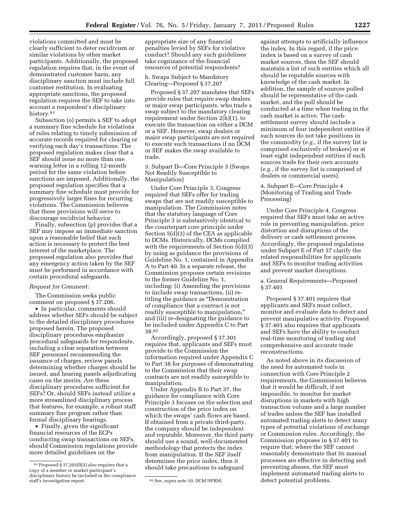violations committed and must be clearly sufficient to deter recidivism or similar violations by other market participants. Additionally, the proposed regulation requires that, in the event of demonstrated customer harm, any disciplinary sanction must include full customer restitution. In evaluating appropriate sanctions, the proposed regulation requires the SEF to take into account a respondent's disciplinary history.<sup>81</sup>

Subsection (o) permits a SEF to adopt a summary fine schedule for violations of rules relating to timely submission of accurate records required for clearing or verifying each day's transactions. The proposed regulation makes clear that a SEF should issue no more than one warning letter in a rolling 12-month period for the same violation before sanctions are imposed. Additionally, the proposed regulation specifies that a summary fine schedule must provide for progressively larger fines for recurring violations. The Commission believes that these provisions will serve to discourage recidivist behavior.

Finally, subsection (p) provides that a SEF may impose an immediate sanction upon a reasonable belief that such action is necessary to protect the best interest of the marketplace. The proposed regulation also provides that any emergency action taken by the SEF must be performed in accordance with certain procedural safeguards.

#### *Request for Comment:*

The Commission seeks public comment on proposed § 37.206.

• In particular, comments should address whether SEFs should be subject to the detailed disciplinary procedures proposed herein. The proposed disciplinary procedures emphasize procedural safeguards for respondents, including a clear separation between SEF personnel recommending the issuance of charges, review panels determining whether charges should be issued, and hearing panels adjudicating cases on the merits. Are these disciplinary procedures sufficient for SEFs? Or, should SEFs instead utilize a more streamlined disciplinary process that features, for example, a robust staff summary fine program rather than formal disciplinary hearings.

• Finally, given the significant financial resources of the ECPs conducting swap transactions on SEFs, should Commission regulations provide more detailed guidelines on the

appropriate size of any financial penalties levied by SEFs for violative conduct? Should any such guidelines take cognizance of the financial resources of potential respondents?

h. Swaps Subject to Mandatory Clearing—Proposed § 37.207

Proposed § 37.207 mandates that SEFs provide rules that require swap dealers or major swap participants, who trade a swap subject to the mandatory clearing requirement under Section 2(h)(1), to execute the transaction on either a DCM or a SEF. However, swap dealers or major swap participants are not required to execute such transactions if no DCM or SEF makes the swap available to trade.

3. Subpart D—Core Principle 3 (Swaps Not Readily Susceptible to Manipulation)

Under Core Principle 3, Congress required that SEFs offer for trading swaps that are not readily susceptible to manipulation. The Commission notes that the statutory language of Core Principle 3 is substantively identical to the counterpart core principle under Section 5(d)(3) of the CEA as applicable to DCMs. Historically, DCMs complied with the requirements of Section 5(d)(3) by using as guidance the provisions of Guideline No. 1, contained in Appendix A to Part 40. In a separate release, the Commission proposes certain revisions to the former Guideline No. 1, including: (i) Amending the provisions to include swap transactions, (ii) retitling the guidance as ''Demonstration of compliance that a contract is not readily susceptible to manipulation,'' and (iii) re-designating the guidance to be included under Appendix C to Part 38.82

Accordingly, proposed § 37.301 requires that, applicants and SEFs must provide to the Commission the information required under Appendix C to Part 38 for purposes of demonstrating to the Commission that their swap contracts are not readily susceptible to manipulation.

Under Appendix B to Part 37, the guidance for compliance with Core Principle 3 focuses on the selection and construction of the price index on which the swaps' cash flows are based. If obtained from a private third-party, the company should be independent and reputable. Moreover, the third party should use a sound, well-documented methodology that protects the index from manipulation. If the SEF itself determines the price index, then it should take precautions to safeguard

against attempts to artificially influence the index. In this regard, if the price index is based on a survey of cash market sources, then the SEF should maintain a list of such entities which all should be reputable sources with knowledge of the cash market. In addition, the sample of sources polled should be representative of the cash market, and the poll should be conducted at a time when trading in the cash market is active. The cashsettlement survey should include a minimum of four independent entities if such sources do not take positions in the commodity (*e.g.,* if the survey list is comprised exclusively of brokers) or at least eight independent entities if such sources trade for their own accounts (*e.g.,* if the survey list is comprised of dealers or commercial users).

# 4. Subpart E—Core Principle 4 (Monitoring of Trading and Trade Processing)

Under Core Principle 4, Congress required that SEFs must take an active role in preventing manipulation, price distortion and disruptions of the delivery or cash settlement process. Accordingly, the proposed regulations under Subpart E of Part 37 clarify the related responsibilities for applicants and SEFs to monitor trading activities and prevent market disruptions.

a. General Requirements—Proposed § 37.401

Proposed § 37.401 requires that applicants and SEFs must collect, monitor and evaluate data to detect and prevent manipulative activity. Proposed § 37.401 also requires that applicants and SEFs have the ability to conduct real-time monitoring of trading and comprehensive and accurate trade reconstructions.

As noted above in its discussion of the need for automated tools in connection with Core Principle 2 requirements, the Commission believes that it would be difficult, if not impossible, to monitor for market disruptions in markets with high transaction volume and a large number of trades unless the SEF has installed automated trading alerts to detect many types of potential violations of exchange or Commission rules. Accordingly, the Commission proposes in § 37.401 to require that, where the SEF cannot reasonably demonstrate that its manual processes are effective in detecting and preventing abuses, the SEF must implement automated trading alerts to detect potential problems.

<sup>81</sup>Proposed § 37.203(f)(3) also requires that a copy of a member or market participant's disciplinary history be included in the compliance

 $s<sup>2</sup> See, supra note 10, DCM NPRM.$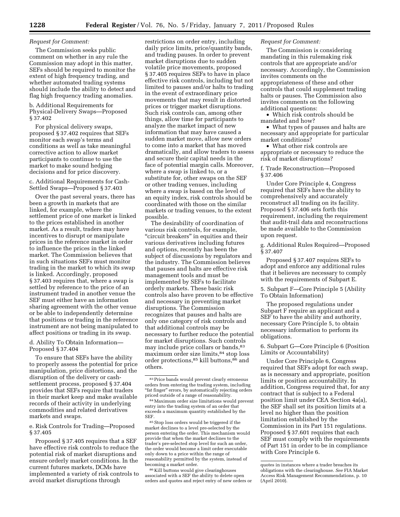#### *Request for Comment:*

The Commission seeks public comment on whether in any rule the Commission may adopt in this matter, SEFs should be required to monitor the extent of high frequency trading, and whether automated trading systems should include the ability to detect and flag high frequency trading anomalies.

b. Additional Requirements for Physical-Delivery Swaps—Proposed § 37.402

For physical delivery swaps, proposed § 37.402 requires that SEFs monitor each swap's terms and conditions as well as take meaningful corrective action to allow market participants to continue to use the market to make sound hedging decisions and for price discovery.

#### c. Additional Requirements for Cash-Settled Swaps—Proposed § 37.403

Over the past several years, there has been a growth in markets that are linked, for example, where the settlement price of one market is linked to the prices established in another market. As a result, traders may have incentives to disrupt or manipulate prices in the reference market in order to influence the prices in the linked market. The Commission believes that in such situations SEFs must monitor trading in the market to which its swap is linked. Accordingly, proposed § 37.403 requires that, where a swap is settled by reference to the price of an instrument traded in another venue the SEF must either have an information sharing agreement with the other venue or be able to independently determine that positions or trading in the reference instrument are not being manipulated to affect positions or trading in its swap.

#### d. Ability To Obtain Information— Proposed § 37.404

To ensure that SEFs have the ability to properly assess the potential for price manipulation, price distortions, and the disruption of the delivery or cashsettlement process, proposed § 37.404 provides that SEFs require that traders in their market keep and make available records of their activity in underlying commodities and related derivatives markets and swaps.

e. Risk Controls for Trading—Proposed § 37.405

Proposed § 37.405 requires that a SEF have effective risk controls to reduce the potential risk of market disruptions and ensure orderly market conditions. In the current futures markets, DCMs have implemented a variety of risk controls to avoid market disruptions through

restrictions on order entry, including daily price limits, price/quantity bands, and trading pauses. In order to prevent market disruptions due to sudden volatile price movements, proposed § 37.405 requires SEFs to have in place effective risk controls, including but not limited to pauses and/or halts to trading in the event of extraordinary price movements that may result in distorted prices or trigger market disruptions. Such risk controls can, among other things, allow time for participants to analyze the market impact of new information that may have caused a sudden market move, allow new orders to come into a market that has moved dramatically, and allow traders to assess and secure their capital needs in the face of potential margin calls. Moreover, where a swap is linked to, or a substitute for, other swaps on the SEF or other trading venues, including where a swap is based on the level of an equity index, risk controls should be coordinated with those on the similar markets or trading venues, to the extent possible.

The desirability of coordination of various risk controls, for example, "circuit breakers" in equities and their various derivatives including futures and options, recently has been the subject of discussions by regulators and the industry. The Commission believes that pauses and halts are effective risk management tools and must be implemented by SEFs to facilitate orderly markets. These basic risk controls also have proven to be effective and necessary in preventing market disruptions. The Commission recognizes that pauses and halts are only one category of risk controls and that additional controls may be necessary to further reduce the potential for market disruptions. Such controls may include price collars or bands, 83 maximum order size limits,84 stop loss order protections,  $^{85}$  kill buttons,  $^{86}$  and others.

 $^{\mathrm{85}}$  Stop loss orders would be triggered if the market declines to a level pre-selected by the person entering the order. This mechanism would provide that when the market declines to the trader's pre-selected stop level for such an order, the order would become a limit order executable only down to a price within the range of reasonability permitted by the system, instead of becoming a market order.

86 Kill buttons would give clearinghouses associated with a SEF the ability to delete open orders and quotes and reject entry of new orders or

#### *Request for Comment:*

The Commission is considering mandating in this rulemaking risk controls that are appropriate and/or necessary. Accordingly, the Commission invites comments on the appropriateness of these and other controls that could supplement trading halts or pauses. The Commission also invites comments on the following additional questions:

• Which risk controls should be mandated and how?

• What types of pauses and halts are necessary and appropriate for particular market conditions?

• What other risk controls are appropriate or necessary to reduce the risk of market disruptions?

f. Trade Reconstruction—Proposed § 37.406

Under Core Principle 4, Congress required that SEFs have the ability to comprehensively and accurately reconstruct all trading on its facility. Proposed § 37.406 sets forth this requirement, including the requirement that audit-trail data and reconstructions be made available to the Commission upon request.

g. Additional Rules Required—Proposed § 37.407

Proposed § 37.407 requires SEFs to adopt and enforce any additional rules that it believes are necessary to comply with the requirements of Subpart E.

5. Subpart F—Core Principle 5 (Ability To Obtain Information)

The proposed regulations under Subpart F require an applicant and a SEF to have the ability and authority, necessary Core Principle 5, to obtain necessary information to perform its obligations.

6. Subpart G—Core Principle 6 (Position Limits or Accountability)

Under Core Principle 6, Congress required that SEFs adopt for each swap, as is necessary and appropriate, position limits or position accountability. In addition, Congress required that, for any contract that is subject to a Federal position limit under CEA Section 4a(a), the SEF shall set its position limits at a level no higher than the position limitation established by the Commission in its Part 151 regulations. Proposed § 37.601 requires that each SEF must comply with the requirements of Part 151 in order to be in compliance with Core Principle 6.

<sup>83</sup>Price bands would prevent clearly erroneous orders from entering the trading system, including "fat finger" errors, by automatically rejecting orders priced outside of a range of reasonability.

<sup>84</sup>Maximum order size limitations would prevent entry into the trading system of an order that exceeds a maximum quantity established by the SEF.

quotes in instances where a trader breaches its obligations with the clearinghouse. *See* FIA Market Access Risk Management Recommendations, p. 10 (April 2010).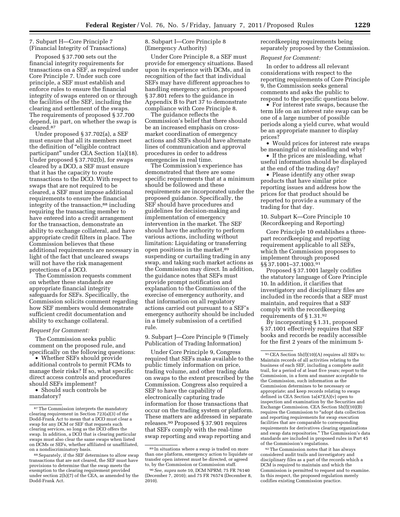#### 7. Subpart H—Core Principle 7 (Financial Integrity of Transactions)

Proposed § 37.700 sets out the financial integrity requirements for transactions on a SEF, as required under Core Principle 7. Under such core principle, a SEF must establish and enforce rules to ensure the financial integrity of swaps entered on or through the facilities of the SEF, including the clearing and settlement of the swaps. The requirements of proposed § 37.700 depend, in part, on whether the swap is cleared.87

Under proposed § 37.702(a), a SEF must ensure that all its members meet the definition of ''eligible contract participant'' under CEA Section 1(a)(18). Under proposed § 37.702(b), for swaps cleared by a DCO, a SEF must ensure that it has the capacity to route transactions to the DCO. With respect to swaps that are not required to be cleared, a SEF must impose additional requirements to ensure the financial integrity of the transaction,<sup>88</sup> including requiring the transacting member to have entered into a credit arrangement for the transaction, demonstrate an ability to exchange collateral, and have appropriate credit filters in place. The Commission believes that these additional requirements are necessary in light of the fact that uncleared swaps will not have the risk management protections of a DCO.

The Commission requests comment on whether these standards are appropriate financial integrity safeguards for SEFs. Specifically, the Commission solicits comment regarding how SEF members would demonstrate sufficient credit documentation and ability to exchange collateral.

#### *Request for Comment:*

The Commission seeks public comment on the proposed rule, and specifically on the following questions:

• Whether SEFs should provide additional controls to permit FCMs to manage their risks? If so, what specific direct access controls and procedures should SEFs implement?

• Should such controls be mandatory?

8. Subpart I—Core Principle 8 (Emergency Authority)

Under Core Principle 8, a SEF must provide for emergency situations. Based upon its experience with DCMs, and in recognition of the fact that individual SEFs may have different approaches to handling emergency action, proposed § 37.801 refers to the guidance in Appendix B to Part 37 to demonstrate compliance with Core Principle 8.

The guidance reflects the Commission's belief that there should be an increased emphasis on crossmarket coordination of emergency actions and SEFs should have alternate lines of communication and approval procedures in order to address emergencies in real time.

The Commission's experience has demonstrated that there are some specific requirements that at a minimum should be followed and these requirements are incorporated under the proposed guidance. Specifically, the SEF should have procedures and guidelines for decision-making and implementation of emergency intervention in the market. The SEF should have the authority to perform various actions, including without limitation: Liquidating or transferring open positions in the market,<sup>89</sup> suspending or curtailing trading in any swap, and taking such market actions as the Commission may direct. In addition, the guidance notes that SEFs must provide prompt notification and explanation to the Commission of the exercise of emergency authority, and that information on all regulatory actions carried out pursuant to a SEF's emergency authority should be included in a timely submission of a certified rule.

9. Subpart J—Core Principle 9 (Timely Publication of Trading Information)

Under Core Principle 9, Congress required that SEFs make available to the public timely information on price, trading volume, and other trading data on swaps to the extent prescribed by the Commission. Congress also required a SEF to have the capability of electronically capturing trade information for those transactions that occur on the trading system or platform. These matters are addressed in separate releases.90 Proposed § 37.901 requires that SEFs comply with the real-time swap reporting and swap reporting and

recordkeeping requirements being separately proposed by the Commission.

#### *Request for Comment:*

In order to address all relevant considerations with respect to the reporting requirements of Core Principle 9, the Commission seeks general comments and asks the public to respond to the specific questions below.

• For interest rate swaps, because the term life on an interest rate swap can be one of a large number of possible periods along a yield curve, what would be an appropriate manner to display prices?

• Would prices for interest rate swaps be meaningful or misleading and why?

• If the prices are misleading, what useful information should be displayed at the end of the trading day?

• Please identify any other swap products that have similar price reporting issues and address how the prices for that product should be reported to provide a summary of the trading for that day.

10. Subpart K—Core Principle 10 (Recordkeeping and Reporting)

Core Principle 10 establishes a threepart recordkeeping and reporting requirement applicable to all SEFs, which the Commission proposes to implement through proposed §§ 37.1001–37.1003.91

Proposed § 37.1001 largely codifies the statutory language of Core Principle 10. In addition, it clarifies that investigatory and disciplinary files are included in the records that a SEF must maintain, and requires that a SEF comply with the recordkeeping requirements of § 1.31.92

By incorporating § 1.31, proposed § 37.1001 effectively requires that SEF books and records be readily accessible for the first 2 years of the minimum 5-

92The Commission notes that it has always considered audit trails and investigatory and disciplinary files as a part of the records which a DCM is required to maintain and which the Commission is permitted to request and to examine. In this respect, the proposed regulation merely codifies existing Commission practice.

<sup>87</sup>The Commission interprets the mandatory clearing requirement in Section 723(a)(3) of the Dodd-Frank Act to mean that a DCO must clear a swap for any DCM or SEF that requests such clearing services, so long as the DCO offers the swap. In addition, a DCO that is clearing particular swaps must also clear the same swaps when listed on DCMs or SEFs, whether affiliated or unaffiliated, on a nondiscriminatory basis.

<sup>88</sup>Separately, if the SEF determines to allow swap transactions that are not cleared, the SEF must have provisions to determine that the swap meets the exemption to the clearing requirement provided under section 2(h)(7) of the CEA, as amended by the Dodd-Frank Act.

<sup>89</sup> In situations where a swap is traded on more than one platform, emergency action to liquidate or transfer open interest must be directed, or agreed to, by the Commission or Commission staff.

<sup>90</sup>*See, supra* note 10, DCM NPRM; 75 FR 76140 (December 7, 2010); and 75 FR 76574 (December 8, 2010).

<sup>91</sup>CEA Section 5h(f)(10)(A) requires all SEFs to: Maintain records of all activities relating to the business of each SEF, including a complete audit trail, for a period of at least five years; report to the Commission, in a form and manner acceptable to the Commission, such information as the Commission determines to be necessary or appropriate; and keep records relating to swaps defined in CEA Section 1a(47)(A)(v) open to inspection and examination by the Securities and Exchange Commission. CEA Section 5h(f)(10)(B) requires the Commission to ''adopt data collection and reporting requirements for swap execution facilities that are comparable to corresponding requirements for derivatives clearing organizations and swap data repositories.'' The Commission's data standards are included in proposed rules in Part 45 of the Commission's regulations.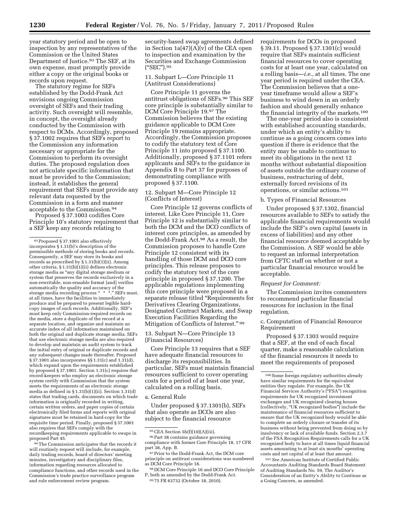year statutory period and be open to inspection by any representatives of the Commission or the United States Department of Justice.93 The SEF, at its own expense, must promptly provide either a copy or the original books or records upon request.

The statutory regime for SEFs established by the Dodd-Frank Act envisions ongoing Commission oversight of SEFs and their trading activity. Such oversight will resemble, in concept, the oversight already conducted by the Commission with respect to DCMs. Accordingly, proposed § 37.1002 requires that SEFs report to the Commission any information necessary or appropriate for the Commission to perform its oversight duties. The proposed regulation does not articulate specific information that must be provided to the Commission; instead, it establishes the general requirement that SEFs must provide any relevant data requested by the Commission in a form and manner acceptable to the Commission.94

Proposed § 37.1003 codifies Core Principle 10's statutory requirement that a SEF keep any records relating to

94The Commission anticipates that the records it will routinely request will include, for example, daily trading records, board of directors' meeting minutes, investigatory and disciplinary files, information regarding resources allocated to compliance functions, and other records used in the Commission's trade practice surveillance program and rule enforcement review program.

11. Subpart L—Core Principle 11 (Antitrust Considerations)

Core Principle 11 governs the antitrust obligations of SEFs.96 This SEF core principle is substantially similar to DCM Core Principle 19.97 The Commission believes that the existing guidance applicable to DCM Core Principle 19 remains appropriate. Accordingly, the Commission proposes to codify the statutory text of Core Principle 11 into proposed § 37.1100. Additionally, proposed § 37.1101 refers applicants and SEFs to the guidance in Appendix B to Part 37 for purposes of demonstrating compliance with proposed § 37.1100.

#### 12. Subpart M—Core Principle 12 (Conflicts of Interest)

Core Principle 12 governs conflicts of interest. Like Core Principle 11, Core Principle 12 is substantially similar to both the DCM and the DCO conflicts of interest core principles, as amended by the Dodd-Frank Act.98 As a result, the Commission proposes to handle Core Principle 12 consistent with its handling of those DCM and DCO core principles. This release proposes to codify the statutory text of the core principle in proposed § 37.1200. The applicable regulations implementing this core principle were proposed in a separate release titled ''Requirements for Derivatives Clearing Organizations, Designated Contract Markets, and Swap Execution Facilities Regarding the Mitigation of Conflicts of Interest." 99

13. Subpart N—Core Principle 13 (Financial Resources)

Core Principle 13 requires that a SEF have adequate financial resources to discharge its responsibilities. In particular, SEFs must maintain financial resources sufficient to cover operating costs for a period of at least one year, calculated on a rolling basis.

#### a. General Rule

Under proposed § 37.1301(b), SEFs that also operate as DCOs are also subject to the financial resource

requirements for DCOs in proposed § 39.11. Proposed § 37.1301(c) would require that SEFs maintain sufficient financial resources to cover operating costs for at least one year, calculated on a rolling basis—*i.e.,* at all times. The one year period is required under the CEA. The Commission believes that a oneyear timeframe would allow a SEF's business to wind down in an orderly fashion and should generally enhance the financial integrity of the markets.100

The one-year period also is consistent with established accounting standards, under which an entity's ability to continue as a going concern comes into question if there is evidence that the entity may be unable to continue to meet its obligations in the next 12 months without substantial disposition of assets outside the ordinary course of business, restructuring of debt, externally forced revisions of its operations, or similar actions.101

#### b. Types of Financial Resources

Under proposed § 37.1302, financial resources available to SEFs to satisfy the applicable financial requirements would include the SEF's own capital (assets in excess of liabilities) and any other financial resource deemed acceptable by the Commission. A SEF would be able to request an informal interpretation from CFTC staff on whether or not a particular financial resource would be acceptable.

#### *Request for Comment:*

The Commission invites commenters to recommend particular financial resources for inclusion in the final regulation.

#### c. Computation of Financial Resource Requirement

Proposed § 37.1303 would require that a SEF, at the end of each fiscal quarter, make a reasonable calculation of the financial resources it needs to meet the requirements of proposed

101*See* American Institute of Certified Public Accountants Auditing Standards Board Statement of Auditing Standards No. 59, The Auditor's Consideration of an Entity's Ability to Continue as a Going Concern, as amended.

<sup>93</sup>Proposed § 37.1001 also effectively incorporates § 1.31(b)'s description of the permissible methods of storing books and records. Consequently, a SEF may store its books and records as prescribed by § 1.31(b)(1)(ii). Among other criteria, § 1.31(b)(1)(ii) defines electronic storage media as ''any digital storage medium or system that preserves the records exclusively in a non-rewritable, non-erasable format [and] verifies automatically the quality and accuracy of the storage media recording process \* \* \*.'' SEFs must, at all times, have the facilities to immediately produce and be prepared to present legible hardcopy images of such records. Additionally, SEF's must keep only Commission-required records on the media, store a duplicate of the record at a separate location, and organize and maintain an accurate index of all information maintained on both the original and duplicate storage media. SEFs that use electronic storage media are also required to develop and maintain an audit system to track the initial entry of original or duplicate records and any subsequent changes made thereafter. Proposed § 37.1001 also incorporates §§ 1.31(c) and 1.31(d), which expand upon the requirements established by proposed § 37.1001. Section 1.31(c) requires that record-keepers who employ an electronic storage system certify with Commission that the system meets the requirements of an electronic storage media as defined in § 1.31(b)(1)(ii). Section 1.31(d) states that trading cards, documents on which trade information is originally recorded in writing, certain written orders, and paper copies of certain electronically filed forms and reports with original signatures must be retained in hard-copy for the requisite time period. Finally, proposed § 37.1001 also requires that SEFs comply with the recordkeeping requirements applicable to swaps in proposed Part 45.

security-based swap agreements defined in Section 1a(47)(A)(v) of the CEA open to inspection and examination by the Securities and Exchange Commission (''SEC'').95

 $95$  CEA Section  $5h(f)(10)(A)(iii)$ .

<sup>96</sup>Part 38 contains guidance governing compliance with former Core Principle 18. 17 CFR part 38, App. B.

<sup>97</sup> Prior to the Dodd-Frank Act, the DCM core principle on antitrust considerations was numbered as DCM Core Principle 18.

<sup>98</sup> DCM Core Principle 16 and DCO Core Principle P, both as amended by the Dodd-Frank Act.

<sup>99</sup> 75 FR 63732 (October 18, 2010).

<sup>100</sup>Some foreign regulatory authorities already have similar requirements for the equivalent entities they regulate. For example, the UK Financial Services Authority's ("FSA") recognition requirements for UK recognized investment exchanges and UK recognized clearing houses (collectively, ''UK recognized bodies'') include the maintenance of financial resources sufficient to ensure that the UK recognized body would be able to complete an orderly closure or transfer of its business without being prevented from doing so by insolvency or lack of available funds. Section 2.3.7 of the FSA Recognition Requirements calls for a UK recognized body to have at all times liquid financial assets amounting to at least six months' operating costs and net capital of at least that amount.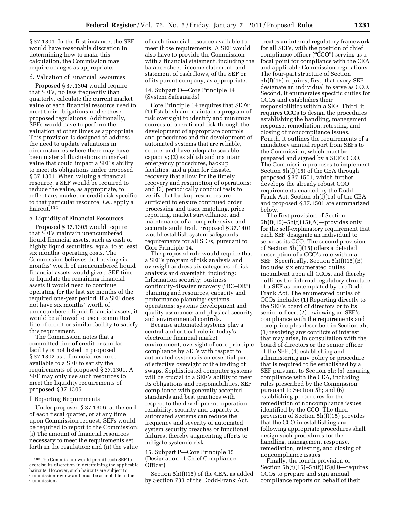§ 37.1301. In the first instance, the SEF would have reasonable discretion in determining how to make this calculation, the Commission may require changes as appropriate.

#### d. Valuation of Financial Resources

Proposed § 37.1304 would require that SEFs, no less frequently than quarterly, calculate the current market value of each financial resource used to meet their obligations under these proposed regulations. Additionally, SEFs would have to perform the valuation at other times as appropriate. This provision is designed to address the need to update valuations in circumstances where there may have been material fluctuations in market value that could impact a SEF's ability to meet its obligations under proposed § 37.1301. When valuing a financial resource, a SEF would be required to reduce the value, as appropriate, to reflect any market or credit risk specific to that particular resource, *i.e.,* apply a haircut.102

#### e. Liquidity of Financial Resources

Proposed § 37.1305 would require that SEFs maintain unencumbered liquid financial assets, such as cash or highly liquid securities, equal to at least six months' operating costs. The Commission believes that having six months' worth of unencumbered liquid financial assets would give a SEF time to liquidate the remaining financial assets it would need to continue operating for the last six months of the required one-year period. If a SEF does not have six months' worth of unencumbered liquid financial assets, it would be allowed to use a committed line of credit or similar facility to satisfy this requirement.

The Commission notes that a committed line of credit or similar facility is not listed in proposed § 37.1302 as a financial resource available to a SEF to satisfy the requirements of proposed § 37.1301. A SEF may only use such resources to meet the liquidity requirements of proposed § 37.1305.

#### f. Reporting Requirements

Under proposed § 37.1306, at the end of each fiscal quarter, or at any time upon Commission request, SEFs would be required to report to the Commission: (i) The amount of financial resources necessary to meet the requirements set forth in the regulation; and (ii) the value

of each financial resource available to meet those requirements. A SEF would also have to provide the Commission with a financial statement, including the balance sheet, income statement, and statement of cash flows, of the SEF or of its parent company, as appropriate.

# 14. Subpart O—Core Principle 14 (System Safeguards)

Core Principle 14 requires that SEFs: (1) Establish and maintain a program of risk oversight to identify and minimize sources of operational risk through the development of appropriate controls and procedures and the development of automated systems that are reliable, secure, and have adequate scalable capacity; (2) establish and maintain emergency procedures, backup facilities, and a plan for disaster recovery that allow for the timely recovery and resumption of operations; and (3) periodically conduct tests to verify that backup resources are sufficient to ensure continued order processing and trade matching, price reporting, market surveillance, and maintenance of a comprehensive and accurate audit trail. Proposed § 37.1401 would establish system safeguards requirements for all SEFs, pursuant to Core Principle 14.

The proposed rule would require that a SEF's program of risk analysis and oversight address six categories of risk analysis and oversight, including: Information security; business continuity-disaster recovery (''BC–DR'') planning and resources, capacity and performance planning; systems operations; systems development and quality assurance; and physical security and environmental controls.

Because automated systems play a central and critical role in today's electronic financial market environment, oversight of core principle compliance by SEFs with respect to automated systems is an essential part of effective oversight of the trading of swaps. Sophisticated computer systems will be crucial to a SEF's ability to meet its obligations and responsibilities. SEF compliance with generally accepted standards and best practices with respect to the development, operation, reliability, security and capacity of automated systems can reduce the frequency and severity of automated system security breaches or functional failures, thereby augmenting efforts to mitigate systemic risk.

#### 15. Subpart P—Core Principle 15 (Designation of Chief Compliance Officer)

Section 5h(f)(15) of the CEA, as added by Section 733 of the Dodd-Frank Act,

creates an internal regulatory framework for all SEFs, with the position of chief compliance officer (''CCO'') serving as a focal point for compliance with the CEA and applicable Commission regulations. The four-part structure of Section 5h(f)(15) requires, first, that every SEF designate an individual to serve as CCO. Second, it enumerates specific duties for CCOs and establishes their responsibilities within a SEF. Third, it requires CCOs to design the procedures establishing the handling, management response, remediation, retesting, and closing of noncompliance issues. Fourth, it outlines the requirements of a mandatory annual report from SEFs to the Commission, which must be prepared and signed by a SEF's CCO. The Commission proposes to implement Section 5h(f)(15) of the CEA through proposed § 37.1501, which further develops the already robust CCO requirements enacted by the Dodd-Frank Act. Section 5h(f)(15) of the CEA and proposed § 37.1501 are summarized below.

The first provision of Section  $5h(f)(15)-5h(f)(15)(A)$ —provides only for the self-explanatory requirement that each SEF designate an individual to serve as its CCO. The second provision of Section 5h(f)(15) offers a detailed description of a CCO's role within a SEF. Specifically, Section 5h(f)(15)(B) includes six enumerated duties incumbent upon all CCOs, and thereby outlines the internal regulatory structure of a SEF as contemplated by the Dodd-Frank Act. The enumerated duties of CCOs include: (1) Reporting directly to the SEF's board of directors or to its senior officer; (2) reviewing an SEF's compliance with the requirements and core principles described in Section 5h; (3) resolving any conflicts of interest that may arise, in consultation with the board of directors or the senior officer of the SEF; (4) establishing and administering any policy or procedure that is required to be established by a SEF pursuant to Section 5h; (5) ensuring compliance with the CEA, including rules prescribed by the Commission pursuant to Section 5h; and (6) establishing procedures for the remediation of noncompliance issues identified by the CCO. The third provision of Section 5h(f)(15) provides that the CCO in establishing and following appropriate procedures shall design such procedures for the handling, management response, remediation, retesting, and closing of noncompliance issues.

Finally, the fourth provision of Section  $5h(f)(15)-5h(f)(15)(D)$ —requires CCOs to prepare and sign annual compliance reports on behalf of their

<sup>102</sup>The Commission would permit each SEF to exercise its discretion in determining the applicable haircuts. However, such haircuts are subject to Commission review and must be acceptable to the Commission.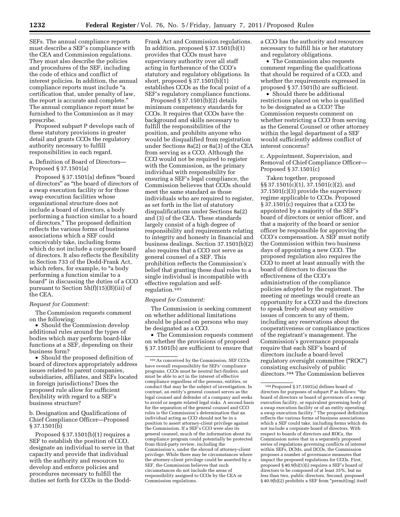SEFs. The annual compliance reports must describe a SEF's compliance with the CEA and Commission regulations. They must also describe the policies and procedures of the SEF, including the code of ethics and conflict of interest policies. In addition, the annual compliance reports must include ''a certification that, under penalty of law, the report is accurate and complete.'' The annual compliance report must be furnished to the Commission as it may prescribe.

Proposed subpart P develops each of these statutory provisions in greater detail and grants CCOs the regulatory authority necessary to fulfill responsibilities in each regard.

#### a. Definition of Board of Directors— Proposed § 37.1501(a)

Proposed § 37.1501(a) defines ''board of directors'' as ''the board of directors of a swap execution facility or for those swap execution facilities whose organizational structure does not include a board of directors, a body performing a function similar to a board of directors.'' The proposed definition reflects the various forms of business associations which a SEF could conceivably take, including forms which do not include a corporate board of directors. It also reflects the flexibility in Section 733 of the Dodd-Frank Act, which refers, for example, to "a body performing a function similar to a board'' in discussing the duties of a CCO pursuant to Section 5h(f)(15)(B)(iii) of the CEA.

#### *Request for Comment:*

The Commission requests comment on the following:

• Should the Commission develop additional rules around the types of bodies which may perform board-like functions at a SEF, depending on their business form?

• Should the proposed definition of board of directors appropriately address issues related to parent companies, subsidiaries, affiliates, and SEFs located in foreign jurisdictions? Does the proposed rule allow for sufficient flexibility with regard to a SEF's business structure?

#### b. Designation and Qualifications of Chief Compliance Officer—Proposed § 37.1501(b)

Proposed  $\S 37.1501(b)(1)$  requires a SEF to establish the position of CCO, designate an individual to serve in that capacity and provide that individual with the authority and resources to develop and enforce policies and procedures necessary to fulfill the duties set forth for CCOs in the DoddFrank Act and Commission regulations. In addition, proposed § 37.1501(b)(1) provides that CCOs must have supervisory authority over all staff acting in furtherance of the CCO's statutory and regulatory obligations. In short, proposed § 37.1501(b)(1) establishes CCOs as the focal point of a SEF's regulatory compliance functions.

Proposed § 37.1501(b)(2) details minimum competency standards for CCOs. It requires that CCOs have the background and skills necessary to fulfill the responsibilities of the position, and prohibits anyone who would be disqualified from registration under Sections 8a(2) or 8a(3) of the CEA from serving as a CCO. Although the CCO would not be required to register with the Commission, as the primary individual with responsibility for ensuring a SEF's legal compliance, the Commission believes that CCOs should meet the same standard as those individuals who are required to register, as set forth in the list of statutory disqualifications under Sections 8a(2) and (3) of the CEA. These standards largely consist of a high degree of responsibility and requirements relating to integrity and honesty in financial and business dealings. Section 37.1501(b)(2) also requires that a CCO not serve as general counsel of a SEF. This prohibition reflects the Commission's belief that granting these dual roles to a single individual is incompatible with effective regulation and selfregulation.103

#### *Request for Comment:*

The Commission is seeking comment on whether additional limitations should be placed on persons who may be designated as a CCO.

• The Commission requests comment on whether the provisions of proposed § 37.1501(b) are sufficient to ensure that

a CCO has the authority and resources necessary to fulfill his or her statutory and regulatory obligations.

• The Commission also requests comment regarding the qualifications that should be required of a CCO, and whether the requirements expressed in proposed § 37.1501(b) are sufficient.

• Should there be additional restrictions placed on who is qualified to be designated as a CCO? The Commission requests comment on whether restricting a CCO from serving as the General Counsel or other attorney within the legal department of a SEF would sufficiently address conflict of interest concerns?

c. Appointment, Supervision, and Removal of Chief Compliance Officer— Proposed § 37.1501(c)

Taken together, proposed §§ 37.1501(c)(1), 37.1501(c)(2), and 37.1501(c)(3) provide the supervisory regime applicable to CCOs. Proposed § 37.1501(c) requires that a CCO be appointed by a majority of the SEF's board of directors or senior officer, and that a majority of the board or senior officer be responsible for approving the CCO's compensation. A SEF must notify the Commission within two business days of appointing a new CCO. The proposed regulation also requires the CCO to meet at least annually with the board of directors to discuss the effectiveness of the CCO's administration of the compliance policies adopted by the registrant. The meeting or meetings would create an opportunity for a CCO and the directors to speak freely about any sensitive issues of concern to any of them, including any reservations about the cooperativeness or compliance practices of the registrant's management. The Commission's governance proposals require that each SEF's board of directors include a board-level regulatory oversight committee (''ROC'') consisting exclusively of public directors.104 The Commission believes

<sup>103</sup>As conceived by the Commission, SEF CCOs have overall responsibility for SEFs' compliance programs. CCOs must be neutral fact-finders, and must be able to act in the interest of effective compliance regardless of the persons, entities, or conduct that may be the subject of investigation. In contrast, an entity's general counsel serves as the legal counsel and defender of a company and seeks to avoid or negate related legal risks. A second basis for the separation of the general counsel and CCO roles is the Commission's determination that an individual acting as CCO should not be in a position to assert attorney-client privilege against the Commission. If a SEF's CCO were also its general counsel, much of the information about its compliance program could potentially be protected from third-party review, including the Commission's, under the shroud of attorney-client privilege. While there may be circumstances where the attorney-client privilege could be asserted by a SEF, the Commission believes that such circumstances do not include the areas of responsibility assigned to CCOs by the CEA or Commission regulations.

<sup>104</sup>Proposed § 37.1501(a) defines board of directors for purposes of subpart P as follows: ''the board of directors or board of governors of a swap execution facility, or equivalent governing body of a swap execution facility or of an entity operating a swap execution facility.'' The proposed definition reflects the various forms of business associations which a SEF could take, including forms which do not include a corporate board of directors. With respect to boards of directors and ROCs, the Commission notes that in a separately proposed series of regulations governing conflicts of interest within SEFs, DCMs, and DCOs, the Commission proposes a number of governance measures that impact the proposed regulations for CCOs. First, proposed § 40.9(b)(1)(i) requires a SEF's board of directors to be composed of at least 35%, but no less than two, public directors. Second, proposed § 40.9(b)(2) prohibits a SEF from "permit[ing] itself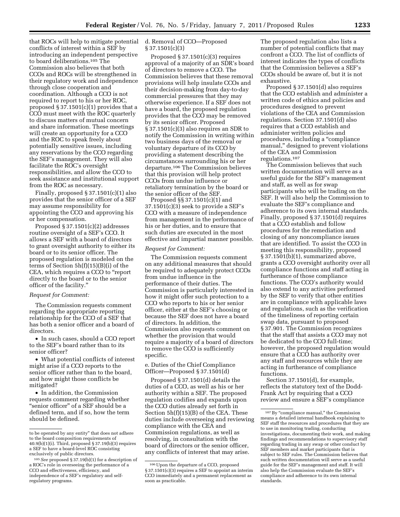that ROCs will help to mitigate potential conflicts of interest within a SEF by introducing an independent perspective to board deliberations.105 The Commission also believes that both CCOs and ROCs will be strengthened in their regulatory work and independence through close cooperation and coordination. Although a CCO is not required to report to his or her ROC, proposed § 37.1501(c)(1) provides that a CCO must meet with the ROC quarterly to discuss matters of mutual concern and share information. These meetings will create an opportunity for a CCO and the ROC to speak freely about potentially sensitive issues, including any reservations by the CCO regarding the SEF's management. They will also facilitate the ROC's oversight responsibilities, and allow the CCO to seek assistance and institutional support from the ROC as necessary.

Finally, proposed  $\S 37.1501(c)(1)$  also provides that the senior officer of a SEF may assume responsibility for appointing the CCO and approving his or her compensation.

Proposed § 37.1501(c)(2) addresses routine oversight of a SEF's CCO. It allows a SEF with a board of directors to grant oversight authority to either its board or to its senior officer. The proposed regulation is modeled on the terms of Section 5h(f)(15)(B)(i) of the CEA, which requires a CCO to ''report directly to the board or to the senior officer of the facility.''

#### *Request for Comment:*

The Commission requests comment regarding the appropriate reporting relationship for the CCO of a SEF that has both a senior officer and a board of directors.

• In such cases, should a CCO report to the SEF's board rather than to its senior officer?

• What potential conflicts of interest might arise if a CCO reports to the senior officer rather than to the board, and how might those conflicts be mitigated?

• In addition, the Commission requests comment regarding whether "senior officer" of a SEF should be a defined term, and if so, how the term should be defined.

# d. Removal of CCO—Proposed § 37.1501(c)(3)

Proposed § 37.1501(c)(3) requires approval of a majority of an SDR's board of directors to remove a CCO. The Commission believes that these removal provisions will help insulate CCOs and their decision-making from day-to-day commercial pressures that they may otherwise experience. If a SEF does not have a board, the proposed regulation provides that the CCO may be removed by its senior officer. Proposed § 37.1501(c)(3) also requires an SDR to notify the Commission in writing within two business days of the removal or voluntary departure of its CCO by providing a statement describing the circumstances surrounding his or her departure.106 The Commission believes that this provision will help protect CCOs from undue influence or retaliatory termination by the board or the senior officer of the SEF.

Proposed §§ 37.1501(c)(1) and 37.1501(c)(3) seek to provide a SEF's CCO with a measure of independence from management in the performance of his or her duties, and to ensure that such duties are executed in the most effective and impartial manner possible.

#### *Request for Comment:*

The Commission requests comment on any additional measures that should be required to adequately protect CCOs from undue influence in the performance of their duties. The Commission is particularly interested in how it might offer such protection to a CCO who reports to his or her senior officer, either at the SEF's choosing or because the SEF does not have a board of directors. In addition, the Commission also requests comment on whether the provision that would require a majority of a board of directors to remove the CCO is sufficiently specific.

e. Duties of the Chief Compliance Officer—Proposed § 37.1501(d)

Proposed § 37.1501(d) details the duties of a CCO, as well as his or her authority within a SEF. The proposed regulation codifies and expands upon the CCO duties already set forth in Section 5h(f)(15)(B) of the CEA. These duties include overseeing and reviewing compliance with the CEA and Commission regulations, as well as resolving, in consultation with the board of directors or the senior officer, any conflicts of interest that may arise.

The proposed regulation also lists a number of potential conflicts that may confront a CCO. The list of conflicts of interest indicates the types of conflicts that the Commission believes a SEF's CCOs should be aware of, but it is not exhaustive.

Proposed § 37.1501(d) also requires that the CCO establish and administer a written code of ethics and policies and procedures designed to prevent violations of the CEA and Commission regulations. Section 37.1501(d) also requires that a CCO establish and administer written policies and procedures, including a ''compliance manual,'' designed to prevent violations of the CEA and Commission regulations.107

The Commission believes that such written documentation will serve as a useful guide for the SEF's management and staff, as well as for swap participants who will be trading on the SEF. It will also help the Commission to evaluate the SEF's compliance and adherence to its own internal standards. Finally, proposed § 37.1501(d) requires that a CCO establish and follow procedures for the remediation and closing of any noncompliance issues that are identified. To assist the CCO in meeting this responsibility, proposed § 37.1501(b)(1), summarized above, grants a CCO oversight authority over all compliance functions and staff acting in furtherance of those compliance functions. The CCO's authority would also extend to any activities performed by the SEF to verify that other entities are in compliance with applicable laws and regulations, such as the verification of the timeliness of reporting certain swap data, pursuant to proposed § 37.901. The Commission recognizes that the staff that assists a CCO may not be dedicated to the CCO full-time; however, the proposed regulation would ensure that a CCO has authority over any staff and resources while they are acting in furtherance of compliance functions.

Section 37.1501(d), for example, reflects the statutory text of the Dodd-Frank Act by requiring that a CCO review and ensure a SEF's compliance

to be operated by any entity'' that does not adhere to the board composition requirements of 40.9(b)(1)(i). Third, proposed § 37.19(b)(3) requires a SEF to have a board-level ROC consisting exclusively of public directors.

<sup>105</sup>*See* proposed § 37.19(b)(1) for a description of a ROC's role in overseeing the performance of a CCO and effectiveness, efficiency, and independence of a SEF's regulatory and selfregulatory programs.

<sup>106</sup>Upon the departure of a CCO, proposed § 37.1501(c)(3) requires a SEF to appoint an interim CCO immediately and a permanent replacement as soon as practicable.

<sup>107</sup> By "compliance manual," the Commission means a detailed internal handbook explaining to SEF staff the resources and procedures that they are to use in monitoring trading, conducting investigations, documenting their work, and making findings and recommendations to supervisory staff regarding trading in any swap or other conduct by SEF members and market participants that is subject to SEF rules. The Commission believes that such written documentation will serve as a useful guide for the SEF's management and staff. It will also help the Commission evaluate the SEF's compliance and adherence to its own internal standards.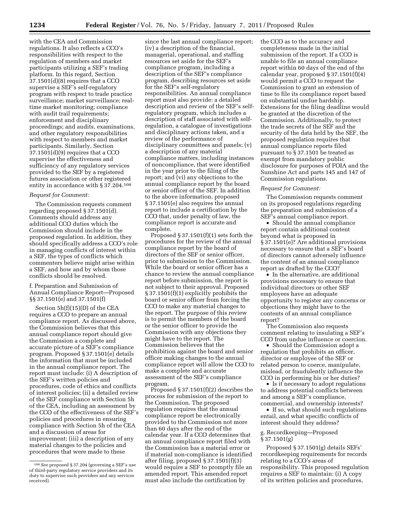with the CEA and Commission regulations. It also reflects a CCO's responsibilities with respect to the regulation of members and market participants utilizing a SEF's trading platform. In this regard, Section 37.1501(d)(8) requires that a CCO supervise a SEF's self-regulatory program with respect to trade practice surveillance; market surveillance; realtime market monitoring; compliance with audit trail requirements; enforcement and disciplinary proceedings; and audits, examinations, and other regulatory responsibilities with respect to members and market participants. Similarly, Section 37.1501(d)(9) requires that a CCO supervise the effectiveness and sufficiency of any regulatory services provided to the SEF by a registered futures association or other registered entity in accordance with § 37.204.108

#### *Request for Comment:*

The Commission requests comment regarding proposed § 37.1501(d). Comments should address any additional CCO duties which the Commission should include in the proposed regulation. In addition, they should specifically address a CCO's role in managing conflicts of interest within a SEF, the types of conflicts which commenters believe might arise within a SEF, and how and by whom those conflicts should be resolved.

f. Preparation and Submission of Annual Compliance Report—Proposed §§ 37.1501(e) and 37.1501(f)

Section 5h(f)(15)(D) of the CEA requires a CCO to prepare an annual compliance report. As discussed above, the Commission believes that this annual compliance report should give the Commission a complete and accurate picture of a SEF's compliance program. Proposed § 37.1501(e) details the information that must be included in the annual compliance report. The report must include: (i) A description of the SEF's written policies and procedures, code of ethics and conflicts of interest policies; (ii) a detailed review of the SEF compliance with Section 5h of the CEA, including an assessment by the CCO of the effectiveness of the SEF's policies and procedures in ensuring compliance with Section 5h of the CEA and a discussion of areas for improvement; (iii) a description of any material changes to the policies and procedures that were made to these

since the last annual compliance report; (iv) a description of the financial, managerial, operational, and staffing resources set aside for the SEF's compliance program, including a description of the SEF's compliance program, describing resources set aside for the SEF's self-regulatory responsibilities. An annual compliance report must also provide: a detailed description and review of the SEF's selfregulatory program, which includes a description of staff associated with selfregulation, a catalogue of investigations and disciplinary actions taken, and a review of the performance of disciplinary committees and panels; (v) a description of any material compliance matters, including instances of noncompliance, that were identified in the year prior to the filing of the report; and (vi) any objections to the annual compliance report by the board or senior officer of the SEF. In addition to the above information, proposed § 37.1501(e) also requires the annual report to include a certification by the CCO that, under penalty of law, the compliance report is accurate and complete.

Proposed § 37.1501(f)(1) sets forth the procedures for the review of the annual compliance report by the board of directors of the SEF or senior officer, prior to submission to the Commission. While the board or senior officer has a chance to review the annual compliance report before submission, the report is not subject to their approval. Proposed § 37.1501(f)(1) explicitly prohibits the board or senior officer from forcing the CCO to make any material changes to the report. The purpose of this review is to permit the members of the board or the senior officer to provide the Commission with any objections they might have to the report. The Commission believes that the prohibition against the board and senior officer making changes to the annual compliance report will allow the CCO to make a complete and accurate assessment of the SEF's compliance program.

Proposed § 37.1501(f)(2) describes the process for submission of the report to the Commission. The proposed regulation requires that the annual compliance report be electronically provided to the Commission not more than 60 days after the end of the calendar year. If a CCO determines that an annual compliance report filed with the Commission has a material error or if material non-compliance is identified after filing, proposed § 37.1501(f)(3) would require a SEF to promptly file an amended report. This amended report must also include the certification by

the CCO as to the accuracy and completeness made in the initial submission of the report. If a CCO is unable to file an annual compliance report within 60 days of the end of the calendar year, proposed § 37.1501(f)(4) would permit a CCO to request the Commission to grant an extension of time to file its compliance report based on substantial undue hardship. Extensions for the filing deadline would be granted at the discretion of the Commission. Additionally, to protect the trade secrets of the SEF and the security of the data held by the SEF, the proposed regulation requires that annual compliance reports filed pursuant to § 37.1501 be treated as exempt from mandatory public disclosure for purposes of FOIA and the Sunshine Act and parts 145 and 147 of Commission regulations.

#### *Request for Comment:*

The Commission requests comment on its proposed regulations regarding the preparation and submission of a SEF's annual compliance report.

• Should the annual compliance report contain additional content beyond what is proposed in § 37.1501(e)? Are additional provisions necessary to ensure that a SEF's board of directors cannot adversely influence the content of an annual compliance report as drafted by the CCO?

• In the alternative, are additional provisions necessary to ensure that individual directors or other SEF employees have an adequate opportunity to register any concerns or objections they might have to the contents of an annual compliance report?

The Commission also requests comment relating to insulating a SEF's CCO from undue influence or coercion.

• Should the Commission adopt a regulation that prohibits an officer, director or employee of the SEF or related person to coerce, manipulate, mislead, or fraudulently influence the CCO in performing his or her duties?

• Is it necessary to adopt regulations to address potential conflicts between and among a SEF's compliance, commercial, and ownership interests?

• If so, what should such regulations entail, and what specific conflicts of interest should they address?

#### g. Recordkeeping—Proposed § 37.1501(g)

Proposed § 37.1501(g) details SEFs' recordkeeping requirements for records relating to a CCO's areas of responsibility. This proposed regulation requires a SEF to maintain: (i) A copy of its written policies and procedures,

<sup>108</sup>*See* proposed § 37.204 (governing a SEF's use of third-party regulatory service providers and its duty to supervise such providers and any services received).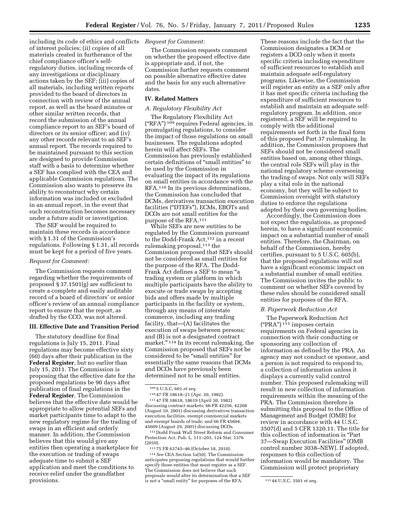including its code of ethics and conflicts of interest policies; (ii) copies of all materials created in furtherance of the chief compliance officer's selfregulatory duties, including records of any investigations or disciplinary actions taken by the SEF; (iii) copies of all materials, including written reports provided to the board of directors in connection with review of the annual report, as well as the board minutes or other similar written records, that record the submission of the annual compliance report to an SEF's board of directors or its senior officer; and (iv) any other records relevant to an SEF's annual report. The records required to be maintained pursuant to this section are designed to provide Commission staff with a basis to determine whether a SEF has complied with the CEA and applicable Commission regulations. The Commission also wants to preserve its ability to reconstruct why certain information was included or excluded in an annual report, in the event that such reconstruction becomes necessary under a future audit or investigation.

The SEF would be required to maintain these records in accordance with § 1.31 of the Commission's regulations. Following § 1.31, all records must be kept for a period of five years.

#### *Request for Comment:*

The Commission requests comment regarding whether the requirements of proposed § 37.1501(g) are sufficient to create a complete and easily auditable record of a board of directors' or senior officer's review of an annual compliance report to ensure that the report, as drafted by the CCO, was not altered.

#### **III. Effective Date and Transition Period**

The statutory deadline for final regulations is July 15, 2011. Final regulations may become effective sixty (60) days after their publication in the **Federal Register**, but no earlier than July 15, 2011. The Commission is proposing that the effective date for the proposed regulations be 90 days after publication of final regulations in the **Federal Register**. The Commission believes that the effective date would be appropriate to allow potential SEFs and market participants time to adapt to the new regulatory regime for the trading of swaps in an efficient and orderly manner. In addition, the Commission believes that this would give any entities then operating a marketplace for the execution or trading of swaps adequate time to submit a SEF application and meet the conditions to receive relief under the grandfather provisions.

#### *Request for Comment:*

The Commission requests comment on whether the proposed effective date is appropriate and, if not, the Commission further requests comment on possible alternative effective dates and the basis for any such alternative dates.

#### **IV. Related Matters**

#### *A. Regulatory Flexibility Act*

The Regulatory Flexibility Act ("RFA") <sup>109</sup> requires Federal agencies, in promulgating regulations, to consider the impact of those regulations on small businesses. The regulations adopted herein will affect SEFs. The Commission has previously established certain definitions of ''small entities'' to be used by the Commission in evaluating the impact of its regulations on small entities in accordance with the RFA.110 In its previous determinations, the Commission has concluded that DCMs, derivatives transaction execution facilities (''DTEFs''), ECMs, EBOTs and DCOs are not small entities for the purpose of the RFA.111

While SEFs are new entities to be regulated by the Commission pursuant to the Dodd-Frank Act,<sup>112</sup> in a recent rulemaking proposal,<sup>113</sup> the Commission proposed that SEFs should not be considered as small entities for the purpose of the RFA. The Dodd-Frank Act defines a SEF to mean ''a trading system or platform in which multiple participants have the ability to execute or trade swaps by accepting bids and offers made by multiple participants in the facility or system, through any means of interstate commerce, including any trading facility, that—(A) facilitates the execution of swaps between persons; and (B) is not a designated contract market.'' 114 In its recent rulemaking, the Commission proposed that SEFs not be considered to be ''small entities'' for essentially the same reasons that DCMs and DCOs have previously been determined not to be small entities.

111 47 FR 18618, 18619 (April 30, 1982) discussing contract markets; 66 FR 42256, 42268 (August 10, 2001) discussing derivatives transaction execution facilities, exempt commercial markets and exempt boards of trade; and 66 FR 45604, 45609 (August 29, 2001) discussing DCOs.

112 Dodd Frank Wall Street Reform and Consumer Protection Act, Pub. L. 111–203, 124 Stat. 1376 (2010).

113 75 FR 63745–46 (October 18, 2010).

114*See* CEA Section 1a(50). The Commission anticipates proposing regulations that would further specify those entities that must register as a SEF. The Commission does not believe that such proposals would alter its determination that a SEF is not a "small entity" for purposes of the RFA.  $11544 \text{ U.S.C. } 3501 \text{ et seq.}$ 

These reasons include the fact that the Commission designates a DCM or registers a DCO only when it meets specific criteria including expenditure of sufficient resources to establish and maintain adequate self-regulatory programs. Likewise, the Commission will register an entity as a SEF only after it has met specific criteria including the expenditure of sufficient resources to establish and maintain an adequate selfregulatory program. In addition, once registered, a SEF will be required to comply with the additional requirements set forth in the final form of this proposed Part 37 rulemaking. In addition, the Commission proposes that SEFs should not be considered small entities based on, among other things, the central role SEFs will play in the national regulatory scheme overseeing the trading of swaps. Not only will SEFs play a vital role in the national economy, but they will be subject to Commission oversight with statutory duties to enforce the regulations adopted by their own governing bodies.

Accordingly, the Commission does not expect the regulations, as proposed herein, to have a significant economic impact on a substantial number of small entities. Therefore, the Chairman, on behalf of the Commission, hereby certifies, pursuant to 5 U.S.C. 605(b), that the proposed regulations will not have a significant economic impact on a substantial number of small entities. The Commission invites the public to comment on whether SEFs covered by these rules should be considered small entities for purposes of the RFA.

#### *B. Paperwork Reduction Act*

The Paperwork Reduction Act  $("PRA")$ <sup>115</sup> imposes certain requirements on Federal agencies in connection with their conducting or sponsoring any collection of information as defined by the PRA. An agency may not conduct or sponsor, and a person is not required to respond to, a collection of information unless it displays a currently valid control number. This proposed rulemaking will result in new collection of information requirements within the meaning of the PRA. The Commission therefore is submitting this proposal to the Office of Management and Budget (OMB) for review in accordance with 44 U.S.C. 3507(d) and 5 CFR 1320.11. The title for this collection of information is ''Part 37—Swap Execution Facilities'' (OMB control number 3038–NEW). If adopted, responses to this collection of information would be mandatory. The Commission will protect proprietary

<sup>109</sup> 5 U.S.C. 601 *et seq.* 

<sup>110</sup> 47 FR 18618–21 (Apr. 30, 1982).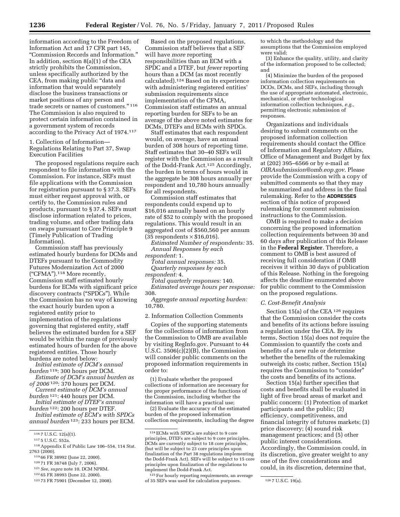information according to the Freedom of Information Act and 17 CFR part 145, ''Commission Records and Information.'' In addition, section 8(a)(1) of the CEA strictly prohibits the Commission, unless specifically authorized by the CEA, from making public ''data and information that would separately disclose the business transactions or market positions of any person and trade secrets or names of customers.'' 116 The Commission is also required to protect certain information contained in a government system of records according to the Privacy Act of 1974.117

1. Collection of Information— Regulations Relating to Part 37, Swap Execution Facilities

The proposed regulations require each respondent to file information with the Commission. For instance, SEFs must file applications with the Commission for registration pursuant to § 37.3. SEFs must either request approval with, or certify to, the Commission rules and products, pursuant to § 37.4. SEFs must disclose information related to prices, trading volume, and other trading data on swaps pursuant to Core Principle 9 (Timely Publication of Trading Information).

Commission staff has previously estimated hourly burdens for DCMs and DTEFs pursuant to the Commodity Futures Modernization Act of 2000 (''CFMA'').118 More recently, Commission staff estimated hourly burdens for ECMs with significant price discovery contracts (''SPDCs''). While the Commission has no way of knowing the exact hourly burden upon a registered entity prior to implementation of the regulations governing that registered entity, staff believes the estimated burden for a SEF would be within the range of previously estimated hours of burden for the above registered entities. Those hourly burdens are noted below:

*Initial estimate of DCM's annual burden* 119: 300 hours per DCM.

*Estimate of DCM's annual burden as of 2006* 120: 370 hours per DCM.

- *Current estimate of DCM's annual burden* 121: 440 hours per DCM.
- *Initial estimate of DTEF's annual burden* 122: 200 hours per DTEF.

*Initial estimate of ECM's with SPDCs annual burden* 123: 233 hours per ECM.

- 119 66 FR 38992 (June 22, 2000).
- 120 71 FR 38748 (July 7, 2006).
- 121*See, supra* note 10, DCM NPRM.
- 122 65 FR 38993 (June 22, 2000).

Based on the proposed regulations, Commission staff believes that a SEF will have *more* reporting responsibilities than an ECM with a SPDC and a DTEF, but *fewer* reporting hours than a DCM (as most recently calculated).124 Based on its experience with administering registered entities' submission requirements since implementation of the CFMA, Commission staff estimates an annual reporting burden for SEFs to be an average of the above noted estimates for DCMs, DTEFs and ECMs with SPDCs.

Staff estimates that each respondent would, on average, have an annual burden of 308 hours of reporting time. Staff estimates that 30–40 SEFs will register with the Commission as a result of the Dodd-Frank Act.125 Accordingly, the burden in terms of hours would in the aggregate be 308 hours annually per respondent and 10,780 hours annually for all respondents.

Commission staff estimates that respondents could expend up to \$16,016 annually based on an hourly rate of \$52 to comply with the proposed regulations. This would result in an aggregated cost of \$560,560 per annum  $(35$  respondents  $\times$  \$16,016).

*Estimated Number of respondents:* 35. *Annual Responses by each respondent:* 1.

*Total annual responses:* 35. *Quarterly responses by each* 

*respondent:* 4.

*Total quarterly responses:* 140. *Estimated average hours per response:*  308.

*Aggregate annual reporting burden:*  10,780.

2. Information Collection Comments

Copies of the supporting statements for the collections of information from the Commission to OMB are available by visiting RegInfo.gov. Pursuant to 44 U.S.C. 3506(c)(2)(B), the Commission will consider public comments on the proposed information requirements in order to:

(1) Evaluate whether the proposed collections of information are necessary for the proper performance of the functions of the Commission, including whether the information will have a practical use;

(2) Evaluate the accuracy of the estimated burden of the proposed information collection requirements, including the degree

125For hourly reporting requirements, an average of 35 SEFs was used for calculation purposes. 126 7 U.S.C. 19(a).

to which the methodology and the assumptions that the Commission employed were valid;

(3) Enhance the quality, utility, and clarity of the information proposed to be collected; and

(4) Minimize the burden of the proposed information collection requirements on DCOs, DCMs, and SEFs, including through the use of appropriate automated, electronic, mechanical, or other technological information collection techniques, *e.g.,*  permitting electronic submission of responses.

Organizations and individuals desiring to submit comments on the proposed information collection requirements should contact the Office of Information and Regulatory Affairs, Office of Management and Budget by fax at (202) 395–6566 or by e-mail at *[OIRAsubmission@omb.eop.gov](mailto:OIRAsubmission@omb.eop.gov)*. Please provide the Commission with a copy of submitted comments so that they may be summarized and address in the final rulemaking. Refer to the **ADDRESSES** section of this notice of proposed rulemaking for comment submission instructions to the Commission.

OMB is required to make a decision concerning the proposed information collection requirements between 30 and 60 days after publication of this Release in the **Federal Register**. Therefore, a comment to OMB is best assured of receiving full consideration if OMB receives it within 30 days of publication of this Release. Nothing in the foregoing affects the deadline enumerated above for public comment to the Commission on the proposed regulations.

#### *C. Cost-Benefit Analysis*

Section 15(a) of the CEA 126 requires that the Commission consider the costs and benefits of its actions before issuing a regulation under the CEA. By its terms, Section 15(a) does not require the Commission to quantify the costs and benefits of a new rule or determine whether the benefits of the rulemaking outweigh its costs; rather, Section 15(a) requires the Commission to "consider" the costs and benefits of its actions.

Section 15(a) further specifies that costs and benefits shall be evaluated in light of five broad areas of market and public concern: (1) Protection of market participants and the public; (2) efficiency, competitiveness, and financial integrity of futures markets; (3) price discovery; (4) sound risk management practices; and (5) other public interest considerations. Accordingly, the Commission could, in its discretion, give greater weight to any one of the five considerations and could, in its discretion, determine that,

<sup>116</sup> 7 U.S.C. 12(a)(1).

<sup>117</sup> 5 U.S.C. 552a.

<sup>118</sup>Appendix E of Public Law 106–554, 114 Stat. 2763 (2000).

<sup>123</sup> 73 FR 75901 (December 12, 2008).

<sup>124</sup>ECMs with SPDCs are subject to 9 core principles, DTEFs are subject to 9 core principles, DCMs are currently subject to 18 core principles, (but will be subject to 23 core principles upon finalization of the Part 38 regulations implementing the Dodd-Frank Act). SEFs will be subject to 15 core principles upon finalization of the regulations to implement the Dodd-Frank Act.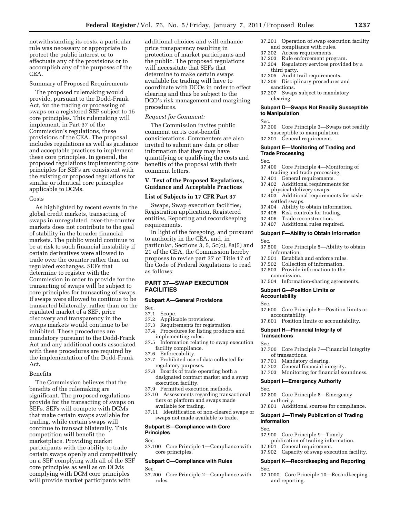notwithstanding its costs, a particular rule was necessary or appropriate to protect the public interest or to effectuate any of the provisions or to accomplish any of the purposes of the CEA.

#### Summary of Proposed Requirements

The proposed rulemaking would provide, pursuant to the Dodd-Frank Act, for the trading or processing of swaps on a registered SEF subject to 15 core principles. This rulemaking will implement, in Part 37 of the Commission's regulations, these provisions of the CEA. The proposal includes regulations as well as guidance and acceptable practices to implement these core principles. In general, the proposed regulations implementing core principles for SEFs are consistent with the existing or proposed regulations for similar or identical core principles applicable to DCMs.

#### **Costs**

As highlighted by recent events in the global credit markets, transacting of swaps in unregulated, over-the-counter markets does not contribute to the goal of stability in the broader financial markets. The public would continue to be at risk to such financial instability if certain derivatives were allowed to trade over the counter rather than on regulated exchanges. SEFs that determine to register with the Commission in order to provide for the transacting of swaps will be subject to core principles for transacting of swaps. If swaps were allowed to continue to be transacted bilaterally, rather than on the regulated market of a SEF, price discovery and transparency in the swaps markets would continue to be inhibited. These procedures are mandatory pursuant to the Dodd-Frank Act and any additional costs associated with these procedures are required by the implementation of the Dodd-Frank Act.

#### Benefits

The Commission believes that the benefits of the rulemaking are significant. The proposed regulations provide for the transacting of swaps on SEFs. SEFs will compete with DCMs that make certain swaps available for trading, while certain swaps will continue to transact bilaterally. This competition will benefit the marketplace. Providing market participants with the ability to trade certain swaps openly and competitively on a SEF complying with all of the SEF core principles as well as on DCMs complying with DCM core principles will provide market participants with

additional choices and will enhance price transparency resulting in protection of market participants and the public. The proposed regulations will necessitate that SEFs that determine to make certain swaps available for trading will have to coordinate with DCOs in order to effect clearing and thus be subject to the DCO's risk management and margining procedures.

#### *Request for Comment:*

The Commission invites public comment on its cost-benefit considerations. Commenters are also invited to submit any data or other information that they may have quantifying or qualifying the costs and benefits of the proposal with their comment letters.

#### **V. Text of the Proposed Regulations, Guidance and Acceptable Practices**

#### **List of Subjects in 17 CFR Part 37**

Swaps, Swap execution facilities, Registration application, Registered entities, Reporting and recordkeeping requirements.

In light of the foregoing, and pursuant to authority in the CEA, and, in particular, Sections 3, 5, 5c(c), 8a(5) and 21 of the CEA, the Commission hereby proposes to revise part 37 of Title 17 of the Code of Federal Regulations to read as follows:

# **PART 37—SWAP EXECUTION FACILITIES**

#### **Subpart A—General Provisions**

Sec.<br>37.1

- 37.1 Scope.<br>37.2 Applic
- Applicable provisions.
- 37.3 Requirements for registration.<br>37.4 Procedures for listing product
- Procedures for listing products and implementing rules.
- 37.5 Information relating to swap execution facility compliance.
- 37.6 Enforceability.
- 37.7 Prohibited use of data collected for regulatory purposes.
- 37.8 Boards of trade operating both a designated contract market and a swap execution facility.
- 37.9 Permitted execution methods.
- 37.10 Assessments regarding transactional tiers or platform and swaps made available for trading.
- 37.11 Identification of non-cleared swaps or swaps not made available to trade.

# **Subpart B—Compliance with Core Principles**

Sec.

37.100 Core Principle 1—Compliance with core principles.

#### **Subpart C—Compliance with Rules**

Sec.

37.200 Core Principle 2—Compliance with rules.

- 37.201 Operation of swap execution facility and compliance with rules.<br>37.202 Access requirements.
- 37.202 Access requirements.
- Rule enforcement program.
- 37.204 Regulatory services provided by a third party.
- 37.205 Audit trail requirements.
- 37.206 Disciplinary procedures and
- sanctions.
- 37.207 Swaps subject to mandatory clearing.

#### **Subpart D—Swaps Not Readily Susceptible to Manipulation**

Sec.

- 37.300 Core Principle 3—Swaps not readily susceptible to manipulation.
- 37.301 General requirement.

#### **Subpart E—Monitoring of Trading and Trade Processing**

Sec.

- 37.400 Core Principle 4—Monitoring of trading and trade processing.
- 37.401 General requirements.
- 37.402 Additional requirements for physical-delivery swaps.
- 37.403 Additional requirements for cash-
- settled swaps.<br>37.404 Ability to
- Ability to obtain information.
- 37.405 Risk controls for trading.
- 37.406 Trade reconstruction.
- 37.407 Additional rules required.

#### **Subpart F—Ability to Obtain Information**

Sec.

- 37.500 Core Principle 5—Ability to obtain information.<br>37.501 Establis
- Establish and enforce rules.
- 37.502 Collection of information.
- 37.503 Provide information to the commission.
- 37.504 Information-sharing agreements.

#### **Subpart G—Position Limits or Accountability**

Sec.

- 37.600 Core Principle 6—Position limits or accountability.
- 37.601 Position limits or accountability.

#### **Subpart H—Financial Integrity of Transactions**

Sec.

- 37.700 Core Principle 7—Financial integrity of transactions.
- 37.701 Mandatory clearing.
- 37.702 General financial integrity.
- 37.703 Monitoring for financial soundness.

#### **Subpart I—Emergency Authority**

Sec.

- 37.800 Core Principle 8—Emergency authority.
- 37.801 Additional sources for compliance.

# **Subpart J—Timely Publication of Trading Information**

- Sec.
- 37.900 Core Principle 9—Timely publication of trading information.
- 37.901 General requirement.
- 

# 37.902 Capacity of swap execution facility.

#### **Subpart K—Recordkeeping and Reporting**  Sec.

37.1000 Core Principle 10—Recordkeeping and reporting.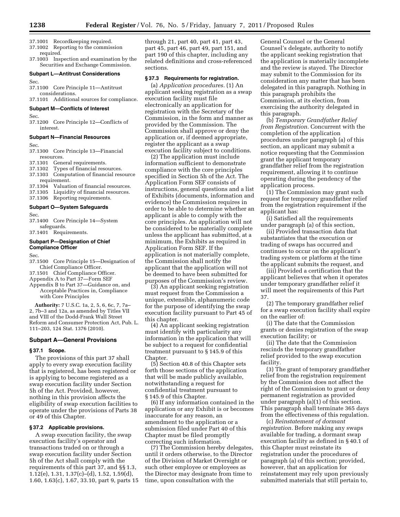- 37.1001 Recordkeeping required.
- 37.1002 Reporting to the commission
- required. 37.1003 Inspection and examination by the Securities and Exchange Commission.

# **Subpart L—Antitrust Considerations**  Sec.

37.1100 Core Principle 11—Antitrust considerations.

37.1101 Additional sources for compliance.

# **Subpart M—Conflicts of Interest**

Sec.

37.1200 Core Principle 12—Conflicts of interest.

#### **Subpart N—Financial Resources**

Sec.

- 37.1300 Core Principle 13—Financial resources.
- 37.1301 General requirements.
- 37.1302 Types of financial resources. 37.1303 Computation of financial resource requirement.<br>37.1304 Valuati Valuation of financial resources.
- 37.1305 Liquidity of financial resources.
- 37.1306 Reporting requirements.
- **Subpart O—System Safeguards**

Sec.

37.1400 Core Principle 14—System safeguards.

37.1401 Requirements.

#### **Subpart P—Designation of Chief Compliance Officer**

Sec.

- 37.1500 Core Principle 15—Designation of Chief Compliance Officer.
- 37.1501 Chief Compliance Officer.
- Appendix A to Part 37—Form SEF
- Appendix B to Part 37—Guidance on, and Acceptable Practices in, Compliance with Core Principles

**Authority:** 7 U.S.C. 1a, 2, 5, 6, 6c, 7, 7a– 2, 7b–3 and 12a, as amended by Titles VII and VIII of the Dodd-Frank Wall Street Reform and Consumer Protection Act, Pub. L. 111–203, 124 Stat. 1376 (2010).

#### **Subpart A—General Provisions**

#### **§ 37.1 Scope.**

The provisions of this part 37 shall apply to every swap execution facility that is registered, has been registered or is applying to become registered as a swap execution facility under Section 5h of the Act. Provided, however, nothing in this provision affects the eligibility of swap execution facilities to operate under the provisions of Parts 38 or 49 of this Chapter.

# **§ 37.2 Applicable provisions.**

A swap execution facility, the swap execution facility's operator and transactions traded on or through a swap execution facility under Section 5h of the Act shall comply with the requirements of this part 37, and §§ 1.3, 1.12(e), 1.31, 1.37(c)–(d), 1.52, 1.59(d), 1.60, 1.63(c), 1.67, 33.10, part 9, parts 15 through 21, part 40, part 41, part 43, part 45, part 46, part 49, part 151, and part 190 of this chapter, including any related definitions and cross-referenced sections.

#### **§ 37.3 Requirements for registration.**

(a) *Application procedures.* (1) An applicant seeking registration as a swap execution facility must file electronically an application for registration with the Secretary of the Commission, in the form and manner as provided by the Commission. The Commission shall approve or deny the application or, if deemed appropriate, register the applicant as a swap execution facility subject to conditions.

(2) The application must include information sufficient to demonstrate compliance with the core principles specified in Section 5h of the Act. The Application Form SEF consists of instructions, general questions and a list of Exhibits (documents, information and evidence) the Commission requires in order to be able to determine whether an applicant is able to comply with the core principles. An application will not be considered to be materially complete unless the applicant has submitted, at a minimum, the Exhibits as required in Application Form SEF. If the application is not materially complete, the Commission shall notify the applicant that the application will not be deemed to have been submitted for purposes of the Commission's review.

(3) An applicant seeking registration must request from the Commission a unique, extensible, alphanumeric code for the purpose of identifying the swap execution facility pursuant to Part 45 of this chapter.

(4) An applicant seeking registration must identify with particularity any information in the application that will be subject to a request for confidential treatment pursuant to § 145.9 of this Chapter.

(5) Section 40.8 of this Chapter sets forth those sections of the application that will be made publicly available, notwithstanding a request for confidential treatment pursuant to § 145.9 of this Chapter.

(6) If any information contained in the application or any Exhibit is or becomes inaccurate for any reason, an amendment to the application or a submission filed under Part 40 of this Chapter must be filed promptly correcting such information.

(7) The Commission hereby delegates, until it orders otherwise, to the Director of the Division of Market Oversight or such other employee or employees as the Director may designate from time to time, upon consultation with the

General Counsel or the General Counsel's delegate, authority to notify the applicant seeking registration that the application is materially incomplete and the review is stayed. The Director may submit to the Commission for its consideration any matter that has been delegated in this paragraph. Nothing in this paragraph prohibits the Commission, at its election, from exercising the authority delegated in this paragraph.

(b) *Temporary Grandfather Relief from Registration.* Concurrent with the completion of the application procedures under paragraph (a) of this section, an applicant may submit a notice requesting that the Commission grant the applicant temporary grandfather relief from the registration requirement, allowing it to continue operating during the pendency of the application process.

(1) The Commission may grant such request for temporary grandfather relief from the registration requirement if the applicant has:

(i) Satisfied all the requirements under paragraph (a) of this section,

(ii) Provided transaction data that substantiates that the execution or trading of swaps has occurred and continues to occur on the applicant's trading system or platform at the time the applicant submits the request, and

(iii) Provided a certification that the applicant believes that when it operates under temporary grandfather relief it will meet the requirements of this Part 37.

(2) The temporary grandfather relief for a swap execution facility shall expire on the earlier of:

(i) The date that the Commission grants or denies registration of the swap execution facility; or

(ii) The date that the Commission rescinds the temporary grandfather relief provided to the swap execution facility.

(3) The grant of temporary grandfather relief from the registration requirement by the Commission does not affect the right of the Commission to grant or deny permanent registration as provided under paragraph (a)(1) of this section. This paragraph shall terminate 365 days from the effectiveness of this regulation.

(c) *Reinstatement of dormant registration.* Before making any swaps available for trading, a dormant swap execution facility as defined in § 40.1 of this Chapter must reinstate its registration under the procedures of paragraph (a) of this section; provided, however, that an application for reinstatement may rely upon previously submitted materials that still pertain to,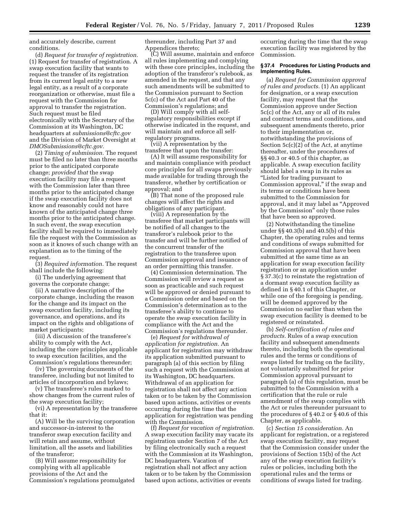and accurately describe, current conditions.

(d) *Request for transfer of registration.*  (1) Request for transfer of registration. A swap execution facility that wants to request the transfer of its registration from its current legal entity to a new legal entity, as a result of a corporate reorganization or otherwise, must file a request with the Commission for approval to transfer the registration. Such request must be filed electronically with the Secretary of the Commission at its Washington, DC headquarters at *[submissions@cftc.gov](mailto:submissions@cftc.gov)*  and the Division of Market Oversight at *[DMOSubmissions@cftc.gov.](mailto:DMOSubmissions@cftc.gov)* 

(2) *Timing of submission.* The request must be filed no later than three months prior to the anticipated corporate change; *provided that* the swap execution facility may file a request with the Commission later than three months prior to the anticipated change if the swap execution facility does not know and reasonably could not have known of the anticipated change three months prior to the anticipated change. In such event, the swap execution facility shall be required to immediately file the request with the Commission as soon as it knows of such change with an explanation as to the timing of the request.

(3) *Required information.* The request shall include the following:

(i) The underlying agreement that governs the corporate change;

(ii) A narrative description of the corporate change, including the reason for the change and its impact on the swap execution facility, including its governance, and operations, and its impact on the rights and obligations of market participants;

(iii) A discussion of the transferee's ability to comply with the Act, including the core principles applicable to swap execution facilities, and the Commission's regulations thereunder;

(iv) The governing documents of the transferee, including but not limited to articles of incorporation and bylaws;

(v) The transferee's rules marked to show changes from the current rules of the swap execution facility;

(vi) A representation by the transferee that it:

(A) Will be the surviving corporation and successor-in-interest to the transferor swap execution facility and will retain and assume, without limitation, all the assets and liabilities of the transferor;

(B) Will assume responsibility for complying with all applicable provisions of the Act and the Commission's regulations promulgated thereunder, including Part 37 and Appendices thereto;

(C) Will assume, maintain and enforce all rules implementing and complying with these core principles, including the adoption of the transferor's rulebook, as amended in the request, and that any such amendments will be submitted to the Commission pursuant to Section 5c(c) of the Act and Part 40 of the Commission's regulations; and

(D) Will comply with all selfregulatory responsibilities except if otherwise indicated in the request, and will maintain and enforce all selfregulatory programs.

(vii) A representation by the transferee that upon the transfer:

(A) It will assume responsibility for and maintain compliance with product core principles for all swaps previously made available for trading through the transferor, whether by certification or approval; and

(B) That none of the proposed rule changes will affect the rights and obligations of any participant.

(viii) A representation by the transferee that market participants will be notified of all changes to the transferor's rulebook prior to the transfer and will be further notified of the concurrent transfer of the registration to the transferee upon Commission approval and issuance of an order permitting this transfer.

(4) Commission determination. The Commission will review a request as soon as practicable and such request will be approved or denied pursuant to a Commission order and based on the Commission's determination as to the transferee's ability to continue to operate the swap execution facility in compliance with the Act and the Commission's regulations thereunder.

(e) *Request for withdrawal of application for registration.* An applicant for registration may withdraw its application submitted pursuant to paragraph (a) of this section by filing such a request with the Commission at its Washington, DC headquarters. Withdrawal of an application for registration shall not affect any action taken or to be taken by the Commission based upon actions, activities or events occurring during the time that the application for registration was pending with the Commission.

(f) *Request for vacation of registration.*  A swap execution facility may vacate its registration under Section 7 of the Act by filing electronically such a request with the Commission at its Washington, DC headquarters. Vacation of registration shall not affect any action taken or to be taken by the Commission based upon actions, activities or events

occurring during the time that the swap execution facility was registered by the Commission.

#### **§ 37.4 Procedures for Listing Products and Implementing Rules.**

(a) *Request for Commission approval of rules and products.* (1) An applicant for designation, or a swap execution facility, may request that the Commission approve under Section 5c(c) of the Act, any or all of its rules and contract terms and conditions, and subsequent amendments thereto, prior to their implementation or, notwithstanding the provisions of Section 5c(c)(2) of the Act, at anytime thereafter, under the procedures of §§ 40.3 or 40.5 of this chapter, as applicable. A swap execution facility should label a swap in its rules as ''Listed for trading pursuant to Commission approval,'' if the swap and its terms or conditions have been submitted to the Commission for approval, and it may label as ''Approved by the Commission'' only those rules that have been so approved.

(2) Notwithstanding the timeline under §§ 40.3(b) and 40.5(b) of this Chapter, the operating rules and terms and conditions of swaps submitted for Commission approval that have been submitted at the same time as an application for swap execution facility registration or an application under § 37.3(c) to reinstate the registration of a dormant swap execution facility as defined in § 40.1 of this Chapter, or while one of the foregoing is pending, will be deemed approved by the Commission no earlier than when the swap execution facility is deemed to be registered or reinstated.

(b) *Self-certification of rules and products.* Rules of a swap execution facility and subsequent amendments thereto, including both the operational rules and the terms or conditions of swaps listed for trading on the facility, not voluntarily submitted for prior Commission approval pursuant to paragraph (a) of this regulation, must be submitted to the Commission with a certification that the rule or rule amendment of the swap complies with the Act or rules thereunder pursuant to the procedures of § 40.2 or § 40.6 of this Chapter, as applicable.

(c) *Section 15 consideration.* An applicant for registration, or a registered swap execution facility, may request that the Commission consider under the provisions of Section 15(b) of the Act any of the swap execution facility's rules or policies, including both the operational rules and the terms or conditions of swaps listed for trading.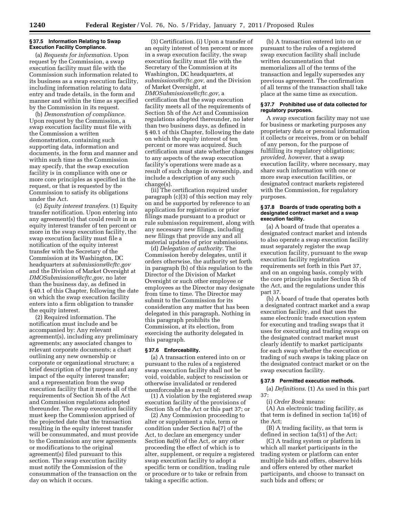#### **§ 37.5 Information Relating to Swap Execution Facility Compliance.**

(a) *Requests for information.* Upon request by the Commission, a swap execution facility must file with the Commission such information related to its business as a swap execution facility, including information relating to data entry and trade details, in the form and manner and within the time as specified by the Commission in its request.

(b) *Demonstration of compliance.*  Upon request by the Commission, a swap execution facility must file with the Commission a written demonstration, containing such supporting data, information and documents, in the form and manner and within such time as the Commission may specify, that the swap execution facility is in compliance with one or more core principles as specified in the request, or that is requested by the Commission to satisfy its obligations under the Act.

(c) *Equity interest transfers.* (1) Equity transfer notification. Upon entering into any agreement(s) that could result in an equity interest transfer of ten percent or more in the swap execution facility, the swap execution facility must file a notification of the equity interest transfer with the Secretary of the Commission at its Washington, DC headquarters at *[submissions@cftc.gov](mailto:submissions@cftc.gov)*  and the Division of Market Oversight at *[DMOSubmissions@cftc.gov,](mailto:DMOSubmissions@cftc.gov)* no later than the business day, as defined in § 40.1 of this Chapter, following the date on which the swap execution facility enters into a firm obligation to transfer the equity interest.

(2) Required information. The notification must include and be accompanied by: Any relevant agreement(s), including any preliminary agreements; any associated changes to relevant corporate documents; a chart outlining any new ownership or corporate or organizational structure; a brief description of the purpose and any impact of the equity interest transfer; and a representation from the swap execution facility that it meets all of the requirements of Section 5h of the Act and Commission regulations adopted thereunder. The swap execution facility must keep the Commission apprised of the projected date that the transaction resulting in the equity interest transfer will be consummated, and must provide to the Commission any new agreements or modifications to the original agreement(s) filed pursuant to this section. The swap execution facility must notify the Commission of the consummation of the transaction on the day on which it occurs.

(3) Certification. (i) Upon a transfer of an equity interest of ten percent or more in a swap execution facility, the swap execution facility must file with the Secretary of the Commission at its Washington, DC headquarters, at *[submissions@cftc.gov,](mailto:submissions@cftc.gov)* and the Division of Market Oversight, at *[DMOSubmissions@cftc.gov,](mailto:DMOSubmissions@cftc.gov)* a certification that the swap execution facility meets all of the requirements of Section 5h of the Act and Commission regulations adopted thereunder, no later than two business days, as defined in § 40.1 of this Chapter, following the date on which the equity interest of ten percent or more was acquired. Such certification must state whether changes to any aspects of the swap execution facility's operations were made as a result of such change in ownership, and include a description of any such change(s).

(ii) The certification required under paragraph (c)(3) of this section may rely on and be supported by reference to an application for registration or prior filings made pursuant to a product or rule submission requirement, along with any necessary new filings, including new filings that provide any and all material updates of prior submissions.

(d) *Delegation of authority.* The Commission hereby delegates, until it orders otherwise, the authority set forth in paragraph (b) of this regulation to the Director of the Division of Market Oversight or such other employee or employees as the Director may designate from time to time. The Director may submit to the Commission for its consideration any matter that has been delegated in this paragraph. Nothing in this paragraph prohibits the Commission, at its election, from exercising the authority delegated in this paragraph.

# **§ 37.6 Enforceability.**

(a) A transaction entered into on or pursuant to the rules of a registered swap execution facility shall not be void, voidable, subject to rescission or otherwise invalidated or rendered unenforceable as a result of:

(1) A violation by the registered swap execution facility of the provisions of Section 5h of the Act or this part 37; or

(2) Any Commission proceeding to alter or supplement a rule, term or condition under Section 8a(7) of the Act, to declare an emergency under Section 8a(9) of the Act, or any other proceeding the effect of which is to alter, supplement, or require a registered swap execution facility to adopt a specific term or condition, trading rule or procedure or to take or refrain from taking a specific action.

(b) A transaction entered into on or pursuant to the rules of a registered swap execution facility shall include written documentation that memorializes all of the terms of the transaction and legally supersedes any previous agreement. The confirmation of all terms of the transaction shall take place at the same time as execution.

#### **§ 37.7 Prohibited use of data collected for regulatory purposes.**

A swap execution facility may not use for business or marketing purposes any proprietary data or personal information it collects or receives, from or on behalf of any person, for the purpose of fulfilling its regulatory obligations; *provided, however,* that a swap execution facility, where necessary, may share such information with one or more swap execution facilities, or designated contract markets registered with the Commission, for regulatory purposes.

#### **§ 37.8 Boards of trade operating both a designated contract market and a swap execution facility.**

(a) A board of trade that operates a designated contract market and intends to also operate a swap execution facility must separately register the swap execution facility, pursuant to the swap execution facility registration requirements set forth in this Part 37, and on an ongoing basis, comply with the core principles under Section 5h of the Act, and the regulations under this part 37.

(b) A board of trade that operates both a designated contract market and a swap execution facility, and that uses the same electronic trade execution system for executing and trading swaps that it uses for executing and trading swaps on the designated contract market must clearly identify to market participants for each swap whether the execution or trading of such swaps is taking place on the designated contract market or on the swap execution facility.

#### **§ 37.9 Permitted execution methods.**

(a) *Definitions.* (1) As used in this part 37:

(i) *Order Book* means:

(A) An electronic trading facility, as that term is defined in section 1a(16) of the Act;

(B) A trading facility, as that term is defined in section 1a(51) of the Act;

(C) A trading system or platform in which all market participants in the trading system or platform can enter multiple bids and offers, observe bids and offers entered by other market participants, and choose to transact on such bids and offers; or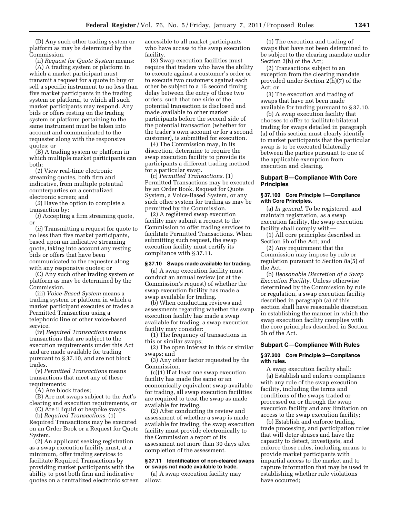(D) Any such other trading system or platform as may be determined by the Commission.

(ii) *Request for Quote System* means: (A) A trading system or platform in which a market participant must transmit a request for a quote to buy or sell a specific instrument to no less than five market participants in the trading system or platform, to which all such market participants may respond. Any bids or offers resting on the trading system or platform pertaining to the same instrument must be taken into account and communicated to the requester along with the responsive quotes; or

(B) A trading system or platform in which multiple market participants can both:

(*1*) View real-time electronic streaming quotes, both firm and indicative, from multiple potential counterparties on a centralized electronic screen; and

(*2*) Have the option to complete a transaction by:

(*i*) Accepting a firm streaming quote, or

(*ii*) Transmitting a request for quote to no less than five market participants, based upon an indicative streaming quote, taking into account any resting bids or offers that have been communicated to the requester along with any responsive quotes; or

(C) Any such other trading system or platform as may be determined by the Commission.

(iii) *Voice-Based System* means a trading system or platform in which a market participant executes or trades a Permitted Transaction using a telephonic line or other voice-based service.

(iv) *Required Transactions* means transactions that are subject to the execution requirements under this Act and are made available for trading pursuant to § 37.10, and are not block trades.

(v) *Permitted Transactions* means transactions that meet any of these requirements:

(A) Are block trades;

(B) Are not swaps subject to the Act's clearing and execution requirements, or

(C) Are illiquid or bespoke swaps.

(b) *Required Transactions.* (1) Required Transactions may be executed on an Order Book or a Request for Quote System.

(2) An applicant seeking registration as a swap execution facility must, at a minimum, offer trading services to facilitate Required Transactions by providing market participants with the ability to post both firm and indicative quotes on a centralized electronic screen accessible to all market participants who have access to the swap execution facility.

(3) Swap execution facilities must require that traders who have the ability to execute against a customer's order or to execute two customers against each other be subject to a 15 second timing delay between the entry of those two orders, such that one side of the potential transaction is disclosed and made available to other market participants before the second side of the potential transaction (whether for the trader's own account or for a second customer), is submitted for execution.

(4) The Commission may, in its discretion, determine to require the swap execution facility to provide its participants a different trading method for a particular swap.

(c) *Permitted Transactions.* (1) Permitted Transactions may be executed by an Order Book, Request for Quote System, a Voice-Based System, or any such other system for trading as may be permitted by the Commission.

(2) A registered swap execution facility may submit a request to the Commission to offer trading services to facilitate Permitted Transactions. When submitting such request, the swap execution facility must certify its compliance with § 37.11.

#### **§ 37.10 Swaps made available for trading.**

(a) A swap execution facility must conduct an annual review (or at the Commission's request) of whether the swap execution facility has made a swap available for trading.

(b) When conducting reviews and assessments regarding whether the swap execution facility has made a swap available for trading, a swap execution facility may consider:

(1) The frequency of transactions in this or similar swaps;

(2) The open interest in this or similar swaps; and

(3) Any other factor requested by the Commission.

(c)(1) If at least one swap execution facility has made the same or an economically equivalent swap available for trading, all swap execution facilities are required to treat the swap as made available for trading.

(2) After conducting its review and assessment of whether a swap is made available for trading, the swap execution facility must provide electronically to the Commission a report of its assessment not more than 30 days after completion of the assessment.

#### **§ 37.11 Identification of non-cleared swaps or swaps not made available to trade.**

(a) A swap execution facility may allow:

(1) The execution and trading of swaps that have not been determined to be subject to the clearing mandate under Section 2(h) of the Act;

(2) Transactions subject to an exception from the clearing mandate provided under Section 2(h)(7) of the Act; or

(3) The execution and trading of swaps that have not been made available for trading pursuant to § 37.10.

(b) A swap execution facility that chooses to offer to facilitate bilateral trading for swaps detailed in paragraph (a) of this section must clearly identify to market participants that the particular swap is to be executed bilaterally between the parties pursuant to one of the applicable exemption from execution and clearing.

# **Subpart B—Compliance With Core Principles**

#### **§ 37.100 Core Principle 1—Compliance with Core Principles.**

(a) *In general.* To be registered, and maintain registration, as a swap execution facility, the swap execution facility shall comply with—

(1) All core principles described in Section 5h of the Act; and

(2) Any requirement that the Commission may impose by rule or regulation pursuant to Section 8a(5) of the Act.

(b) *Reasonable Discretion of a Swap Execution Facility.* Unless otherwise determined by the Commission by rule or regulation, a swap execution facility described in paragraph (a) of this section shall have reasonable discretion in establishing the manner in which the swap execution facility complies with the core principles described in Section 5h of the Act.

#### **Subpart C—Compliance With Rules**

#### **§ 37.200 Core Principle 2—Compliance with rules.**

A swap execution facility shall: (a) Establish and enforce compliance with any rule of the swap execution facility, including the terms and conditions of the swaps traded or processed on or through the swap execution facility and any limitation on access to the swap execution facility;

(b) Establish and enforce trading, trade processing, and participation rules that will deter abuses and have the capacity to detect, investigate, and enforce those rules, including means to provide market participants with impartial access to the market and to capture information that may be used in establishing whether rule violations have occurred;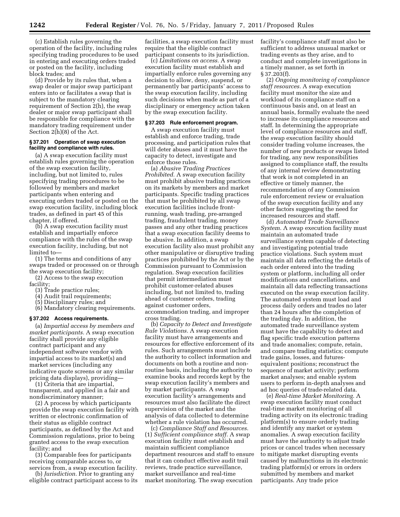(c) Establish rules governing the operation of the facility, including rules specifying trading procedures to be used in entering and executing orders traded or posted on the facility, including block trades; and

(d) Provide by its rules that, when a swap dealer or major swap participant enters into or facilitates a swap that is subject to the mandatory clearing requirement of Section 2(h), the swap dealer or major swap participant shall be responsible for compliance with the mandatory trading requirement under Section 2(h)(8) of the Act.

#### **§ 37.201 Operation of swap execution facility and compliance with rules.**

(a) A swap execution facility must establish rules governing the operation of the swap execution facility, including, but not limited to, rules specifying trading procedures to be followed by members and market participants when entering and executing orders traded or posted on the swap execution facility, including block trades, as defined in part 45 of this chapter, if offered.

(b) A swap execution facility must establish and impartially enforce compliance with the rules of the swap execution facility, including, but not limited to—

(1) The terms and conditions of any swaps traded or processed on or through the swap execution facility;

(2) Access to the swap execution facility;

- (3) Trade practice rules;
- (4) Audit trail requirements;
- (5) Disciplinary rules; and
- (6) Mandatory clearing requirements.

#### **§ 37.202 Access requirements.**

(a) *Impartial access by members and market participants.* A swap execution facility shall provide any eligible contract participant and any independent software vendor with impartial access to its market(s) and market services (including any indicative quote screens or any similar pricing data displays), providing—

(1) Criteria that are impartial, transparent, and applied in a fair and nondiscriminatory manner;

(2) A process by which participants provide the swap execution facility with written or electronic confirmation of their status as eligible contract participants, as defined by the Act and Commission regulations, prior to being granted access to the swap execution facility; and

(3) Comparable fees for participants receiving comparable access to, or services from, a swap execution facility.

(b) *Jurisdiction.* Prior to granting any eligible contract participant access to its

facilities, a swap execution facility must require that the eligible contract participant consents to its jurisdiction.

(c) *Limitations on access.* A swap execution facility must establish and impartially enforce rules governing any decision to allow, deny, suspend, or permanently bar participants' access to the swap execution facility, including such decisions when made as part of a disciplinary or emergency action taken by the swap execution facility.

#### **§ 37.203 Rule enforcement program.**

A swap execution facility must establish and enforce trading, trade processing, and participation rules that will deter abuses and it must have the capacity to detect, investigate and enforce those rules.

(a) *Abusive Trading Practices Prohibited.* A swap execution facility must prohibit abusive trading practices on its markets by members and market participants. Specific trading practices that must be prohibited by all swap execution facilities include frontrunning, wash trading, pre-arranged trading, fraudulent trading, money passes and any other trading practices that a swap execution facility deems to be abusive. In addition, a swap execution facility also must prohibit any other manipulative or disruptive trading practices prohibited by the Act or by the Commission pursuant to Commission regulation. Swap execution facilities that permit intermediation must prohibit customer-related abuses including, but not limited to, trading ahead of customer orders, trading against customer orders, accommodation trading, and improper cross trading.

(b) *Capacity to Detect and Investigate Rule Violations.* A swap execution facility must have arrangements and resources for effective enforcement of its rules. Such arrangements must include the authority to collect information and documents on both a routine and nonroutine basis, including the authority to examine books and records kept by the swap execution facility's members and by market participants. A swap execution facility's arrangements and resources must also facilitate the direct supervision of the market and the analysis of data collected to determine whether a rule violation has occurred.

(c) *Compliance Staff and Resources.*  (1) *Sufficient compliance staff.* A swap execution facility must establish and maintain sufficient compliance department resources and staff to ensure that it can conduct effective audit trail reviews, trade practice surveillance, market surveillance and real-time market monitoring. The swap execution

facility's compliance staff must also be sufficient to address unusual market or trading events as they arise, and to conduct and complete investigations in a timely manner, as set forth in § 37.203(f).

(2) *Ongoing monitoring of compliance staff resources.* A swap execution facility must monitor the size and workload of its compliance staff on a continuous basis and, on at least an annual basis, formally evaluate the need to increase its compliance resources and staff. In determining the appropriate level of compliance resources and staff, the swap execution facility should consider trading volume increases, the number of new products or swaps listed for trading, any new responsibilities assigned to compliance staff, the results of any internal review demonstrating that work is not completed in an effective or timely manner, the recommendation of any Commission rule enforcement review or evaluation of the swap execution facility and any other factors suggesting the need for increased resources and staff.

(d) *Automated Trade Surveillance System.* A swap execution facility must maintain an automated trade surveillance system capable of detecting and investigating potential trade practice violations. Such system must maintain all data reflecting the details of each order entered into the trading system or platform, including all order modifications and cancellations, and maintain all data reflecting transactions executed on the swap execution facility. The automated system must load and process daily orders and trades no later than 24 hours after the completion of the trading day. In addition, the automated trade surveillance system must have the capability to detect and flag specific trade execution patterns and trade anomalies; compute, retain, and compare trading statistics; compute trade gains, losses, and futuresequivalent positions; reconstruct the sequence of market activity; perform market analyses; and enable system users to perform in-depth analyses and ad hoc queries of trade-related data.

(e) *Real-time Market Monitoring.* A swap execution facility must conduct real-time market monitoring of all trading activity on its electronic trading platform(s) to ensure orderly trading and identify any market or system anomalies. A swap execution facility must have the authority to adjust trade prices or cancel trades when necessary to mitigate market disrupting events caused by malfunctions in its electronic trading platform(s) or errors in orders submitted by members and market participants. Any trade price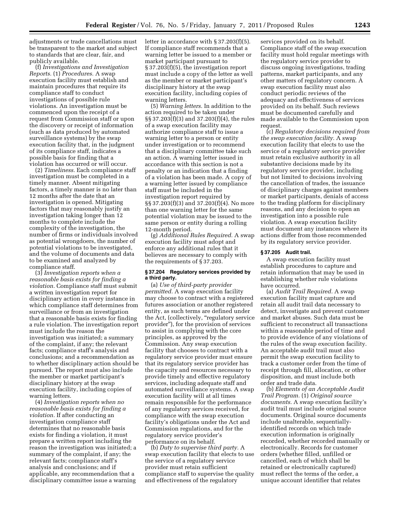adjustments or trade cancellations must be transparent to the market and subject to standards that are clear, fair, and publicly available.

(f) *Investigations and Investigation Reports.* (1) *Procedures.* A swap execution facility must establish and maintain procedures that require its compliance staff to conduct investigations of possible rule violations. An investigation must be commenced upon the receipt of a request from Commission staff or upon the discovery or receipt of information (such as data produced by automated surveillance systems) by the swap execution facility that, in the judgment of its compliance staff, indicates a possible basis for finding that a violation has occurred or will occur.

(2) *Timeliness.* Each compliance staff investigation must be completed in a timely manner. Absent mitigating factors, a timely manner is no later than 12 months after the date that an investigation is opened. Mitigating factors that may reasonably justify an investigation taking longer than 12 months to complete include the complexity of the investigation, the number of firms or individuals involved as potential wrongdoers, the number of potential violations to be investigated, and the volume of documents and data to be examined and analyzed by compliance staff.

(3) *Investigation reports when a reasonable basis exists for finding a violation.* Compliance staff must submit a written investigation report for disciplinary action in every instance in which compliance staff determines from surveillance or from an investigation that a reasonable basis exists for finding a rule violation. The investigation report must include the reason the investigation was initiated; a summary of the complaint, if any; the relevant facts; compliance staff's analysis and conclusions; and a recommendation as to whether disciplinary action should be pursued. The report must also include the member or market participant's disciplinary history at the swap execution facility, including copies of warning letters.

(4) *Investigation reports when no reasonable basis exists for finding a violation.* If after conducting an investigation compliance staff determines that no reasonable basis exists for finding a violation, it must prepare a written report including the reason the investigation was initiated; a summary of the complaint, if any; the relevant facts; compliance staff's analysis and conclusions; and if applicable, any recommendation that a disciplinary committee issue a warning

letter in accordance with § 37.203(f)(5). If compliance staff recommends that a warning letter be issued to a member or market participant pursuant to § 37.203(f)(5), the investigation report must include a copy of the letter as well as the member or market participant's disciplinary history at the swap execution facility, including copies of warning letters.

(5) *Warning letters.* In addition to the action required to be taken under §§ 37.203(f)(3) and 37.203(f)(4), the rules of a swap execution facility may authorize compliance staff to issue a warning letter to a person or entity under investigation or to recommend that a disciplinary committee take such an action. A warning letter issued in accordance with this section is not a penalty or an indication that a finding of a violation has been made. A copy of a warning letter issued by compliance staff must be included in the investigation report required by §§ 37.203(f)(3) and 37.203(f)(4). No more than one warning letter for the same potential violation may be issued to the same person or entity during a rolling 12-month period.

(g) *Additional Rules Required.* A swap execution facility must adopt and enforce any additional rules that it believes are necessary to comply with the requirements of § 37.203.

#### **§ 37.204 Regulatory services provided by a third party.**

(a) *Use of third-party provider permitted.* A swap execution facility may choose to contract with a registered futures association or another registered entity, as such terms are defined under the Act, (collectively, ''regulatory service provider''), for the provision of services to assist in complying with the core principles, as approved by the Commission. Any swap execution facility that chooses to contract with a regulatory service provider must ensure that its regulatory service provider has the capacity and resources necessary to provide timely and effective regulatory services, including adequate staff and automated surveillance systems. A swap execution facility will at all times remain responsible for the performance of any regulatory services received, for compliance with the swap execution facility's obligations under the Act and Commission regulations, and for the regulatory service provider's performance on its behalf.

(b) *Duty to supervise third party.* A swap execution facility that elects to use the service of a regulatory service provider must retain sufficient compliance staff to supervise the quality and effectiveness of the regulatory

services provided on its behalf. Compliance staff of the swap execution facility must hold regular meetings with the regulatory service provider to discuss ongoing investigations, trading patterns, market participants, and any other matters of regulatory concern. A swap execution facility must also conduct periodic reviews of the adequacy and effectiveness of services provided on its behalf. Such reviews must be documented carefully and made available to the Commission upon request.

(c) *Regulatory decisions required from the swap execution facility.* A swap execution facility that elects to use the service of a regulatory service provider must retain exclusive authority in all substantive decisions made by its regulatory service provider, including but not limited to decisions involving the cancellation of trades, the issuance of disciplinary charges against members or market participants, denials of access to the trading platform for disciplinary reasons, and any decision to open an investigation into a possible rule violation. A swap execution facility must document any instances where its actions differ from those recommended by its regulatory service provider.

#### **§ 37.205 Audit trail.**

A swap execution facility must establish procedures to capture and retain information that may be used in establishing whether rule violations have occurred.

(a) *Audit Trail Required.* A swap execution facility must capture and retain all audit trail data necessary to detect, investigate and prevent customer and market abuses. Such data must be sufficient to reconstruct all transactions within a reasonable period of time and to provide evidence of any violations of the rules of the swap execution facility. An acceptable audit trail must also permit the swap execution facility to track a customer order from the time of receipt through fill, allocation, or other disposition, and must include both order and trade data.

(b) *Elements of an Acceptable Audit Trail Program.* (1) *Original source documents.* A swap execution facility's audit trail must include original source documents. Original source documents include unalterable, sequentiallyidentified records on which trade execution information is originally recorded, whether recorded manually or electronically. Records for customer orders (whether filled, unfilled or cancelled, each of which shall be retained or electronically captured) must reflect the terms of the order, a unique account identifier that relates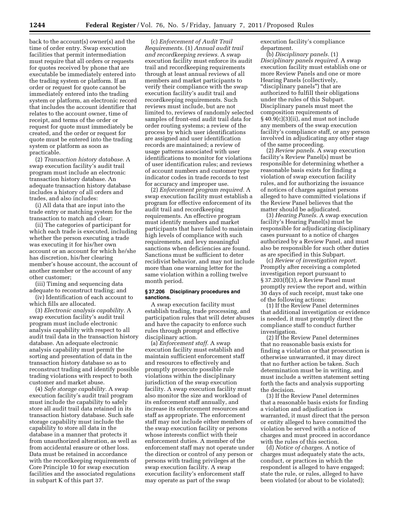back to the account(s) owner(s) and the time of order entry. Swap execution facilities that permit intermediation must require that all orders or requests for quotes received by phone that are executable be immediately entered into the trading system or platform. If an order or request for quote cannot be immediately entered into the trading system or platform, an electronic record that includes the account identifier that relates to the account owner, time of receipt, and terms of the order or request for quote must immediately be created, and the order or request for quote must be entered into the trading system or platform as soon as practicable.

(2) *Transaction history database.* A swap execution facility's audit trail program must include an electronic transaction history database. An adequate transaction history database includes a history of all orders and trades, and also includes:

(i) All data that are input into the trade entry or matching system for the transaction to match and clear;

(ii) The categories of participant for which each trade is executed, including whether the person executing a trade was executing it for his/her own account or an account for which he/she has discretion, his/her clearing member's house account, the account of another member or the account of any other customer;

(iii) Timing and sequencing data adequate to reconstruct trading; and

(iv) Identification of each account to which fills are allocated.

(3) *Electronic analysis capability.* A swap execution facility's audit trail program must include electronic analysis capability with respect to all audit trail data in the transaction history database. An adequate electronic analysis capability must permit the sorting and presentation of data in the transaction history database so as to reconstruct trading and identify possible trading violations with respect to both customer and market abuse.

(4) *Safe storage capability.* A swap execution facility's audit trail program must include the capability to safely store all audit trail data retained in its transaction history database. Such safe storage capability must include the capability to store all data in the database in a manner that protects it from unauthorized alteration, as well as from accidental erasure or other loss. Data must be retained in accordance with the recordkeeping requirements of Core Principle 10 for swap execution facilities and the associated regulations in subpart K of this part 37.

(c) *Enforcement of Audit Trail Requirements.* (1) *Annual audit trail and recordkeeping reviews.* A swap execution facility must enforce its audit trail and recordkeeping requirements through at least annual reviews of all members and market participants to verify their compliance with the swap execution facility's audit trail and recordkeeping requirements. Such reviews must include, but are not limited to, reviews of randomly selected samples of front-end audit trail data for order routing systems; a review of the process by which user identifications are assigned and user identification records are maintained; a review of usage patterns associated with user identifications to monitor for violations of user identification rules; and reviews of account numbers and customer type indicator codes in trade records to test for accuracy and improper use.

(2) *Enforcement program required.* A swap execution facility must establish a program for effective enforcement of its audit trail and recordkeeping requirements. An effective program must identify members and market participants that have failed to maintain high levels of compliance with such requirements, and levy meaningful sanctions when deficiencies are found. Sanctions must be sufficient to deter recidivist behavior, and may not include more than one warning letter for the same violation within a rolling twelve month period.

#### **§ 37.206 Disciplinary procedures and sanctions.**

A swap execution facility must establish trading, trade processing, and participation rules that will deter abuses and have the capacity to enforce such rules through prompt and effective disciplinary action.

(a) *Enforcement staff.* A swap execution facility must establish and maintain sufficient enforcement staff and resources to effectively and promptly prosecute possible rule violations within the disciplinary jurisdiction of the swap execution facility. A swap execution facility must also monitor the size and workload of its enforcement staff annually, and increase its enforcement resources and staff as appropriate. The enforcement staff may not include either members of the swap execution facility or persons whose interests conflict with their enforcement duties. A member of the enforcement staff may not operate under the direction or control of any person or persons with trading privileges at the swap execution facility. A swap execution facility's enforcement staff may operate as part of the swap

execution facility's compliance department.

(b) *Disciplinary panels.* (1) *Disciplinary panels required.* A swap execution facility must establish one or more Review Panels and one or more Hearing Panels (collectively, ''disciplinary panels'') that are authorized to fulfill their obligations under the rules of this Subpart. Disciplinary panels must meet the composition requirements of § 40.9(c)(3)(ii), and must not include any members of the swap execution facility's compliance staff, or any person involved in adjudicating any other stage of the same proceeding.

(2) *Review panels.* A swap execution facility's Review Panel(s) must be responsible for determining whether a reasonable basis exists for finding a violation of swap execution facility rules, and for authorizing the issuance of notices of charges against persons alleged to have committed violations if the Review Panel believes that the matter should be adjudicated.

(3) *Hearing Panels.* A swap execution facility's Hearing Panel(s) must be responsible for adjudicating disciplinary cases pursuant to a notice of charges authorized by a Review Panel, and must also be responsible for such other duties as are specified in this Subpart.

(c) *Review of investigation report.*  Promptly after receiving a completed investigation report pursuant to § 37.203(f)(3), a Review Panel must promptly review the report and, within 30 days of such receipt, must take one of the following actions:

(1) If the Review Panel determines that additional investigation or evidence is needed, it must promptly direct the compliance staff to conduct further investigation.

(2) If the Review Panel determines that no reasonable basis exists for finding a violation or that prosecution is otherwise unwarranted, it may direct that no further action be taken. Such determination must be in writing, and must include a written statement setting forth the facts and analysis supporting the decision.

(3) If the Review Panel determines that a reasonable basis exists for finding a violation and adjudication is warranted, it must direct that the person or entity alleged to have committed the violation be served with a notice of charges and must proceed in accordance with the rules of this section.

(d) *Notice of charges.* A notice of charges must adequately state the acts, conduct, or practices in which the respondent is alleged to have engaged; state the rule, or rules, alleged to have been violated (or about to be violated);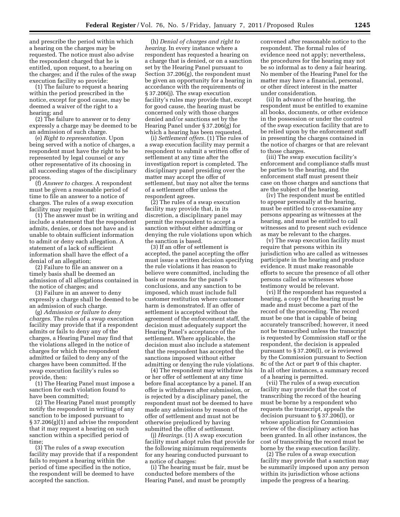and prescribe the period within which a hearing on the charges may be requested. The notice must also advise the respondent charged that he is entitled, upon request, to a hearing on the charges; and if the rules of the swap execution facility so provide:

(1) The failure to request a hearing within the period prescribed in the notice, except for good cause, may be deemed a waiver of the right to a hearing; and

(2) The failure to answer or to deny expressly a charge may be deemed to be an admission of such charge.

(e) *Right to representation.* Upon being served with a notice of charges, a respondent must have the right to be represented by legal counsel or any other representative of its choosing in all succeeding stages of the disciplinary process.

(f) *Answer to charges.* A respondent must be given a reasonable period of time to file an answer to a notice of charges. The rules of a swap execution facility may require that:

(1) The answer must be in writing and include a statement that the respondent admits, denies, or does not have and is unable to obtain sufficient information to admit or deny each allegation. A statement of a lack of sufficient information shall have the effect of a denial of an allegation;

(2) Failure to file an answer on a timely basis shall be deemed an admission of all allegations contained in the notice of charges; and

(3) Failure in an answer to deny expressly a charge shall be deemed to be an admission of such charge.

(g) *Admission or failure to deny charges.* The rules of a swap execution facility may provide that if a respondent admits or fails to deny any of the charges, a Hearing Panel may find that the violations alleged in the notice of charges for which the respondent admitted or failed to deny any of the charges have been committed. If the swap execution facility's rules so provide, then:

(1) The Hearing Panel must impose a sanction for each violation found to have been committed;

(2) The Hearing Panel must promptly notify the respondent in writing of any sanction to be imposed pursuant to § 37.206(g)(1) and advise the respondent that it may request a hearing on such sanction within a specified period of time;

(3) The rules of a swap execution facility may provide that if a respondent fails to request a hearing within the period of time specified in the notice, the respondent will be deemed to have accepted the sanction.

(h) *Denial of charges and right to hearing.* In every instance where a respondent has requested a hearing on a charge that is denied, or on a sanction set by the Hearing Panel pursuant to Section 37.206(g), the respondent must be given an opportunity for a hearing in accordance with the requirements of § 37.206(j). The swap execution facility's rules may provide that, except for good cause, the hearing must be concerned only with those charges denied and/or sanctions set by the Hearing Panel under § 37.206(g) for which a hearing has been requested.

(i) *Settlement offers.* (1) The rules of a swap execution facility may permit a respondent to submit a written offer of settlement at any time after the investigation report is completed. The disciplinary panel presiding over the matter may accept the offer of settlement, but may not alter the terms of a settlement offer unless the respondent agrees.

(2) The rules of a swap execution facility may provide that, in its discretion, a disciplinary panel may permit the respondent to accept a sanction without either admitting or denying the rule violations upon which the sanction is based.

(3) If an offer of settlement is accepted, the panel accepting the offer must issue a written decision specifying the rule violations it has reason to believe were committed, including the basis or reasons for the panel's conclusions, and any sanction to be imposed, which must include full customer restitution where customer harm is demonstrated. If an offer of settlement is accepted without the agreement of the enforcement staff, the decision must adequately support the Hearing Panel's acceptance of the settlement. Where applicable, the decision must also include a statement that the respondent has accepted the sanctions imposed without either admitting or denying the rule violations.

(4) The respondent may withdraw his or her offer of settlement at any time before final acceptance by a panel. If an offer is withdrawn after submission, or is rejected by a disciplinary panel, the respondent must not be deemed to have made any admissions by reason of the offer of settlement and must not be otherwise prejudiced by having submitted the offer of settlement.

(j) *Hearings.* (1) A swap execution facility must adopt rules that provide for the following minimum requirements for any hearing conducted pursuant to a notice of charges:

(i) The hearing must be fair, must be conducted before members of the Hearing Panel, and must be promptly

convened after reasonable notice to the respondent. The formal rules of evidence need not apply; nevertheless, the procedures for the hearing may not be so informal as to deny a fair hearing. No member of the Hearing Panel for the matter may have a financial, personal, or other direct interest in the matter under consideration.

(ii) In advance of the hearing, the respondent must be entitled to examine all books, documents, or other evidence in the possession or under the control of the swap execution facility that are to be relied upon by the enforcement staff in presenting the charges contained in the notice of charges or that are relevant to those charges.

(iii) The swap execution facility's enforcement and compliance staffs must be parties to the hearing, and the enforcement staff must present their case on those charges and sanctions that are the subject of the hearing.

(iv) The respondent must be entitled to appear personally at the hearing, must be entitled to cross-examine any persons appearing as witnesses at the hearing, and must be entitled to call witnesses and to present such evidence as may be relevant to the charges.

(v) The swap execution facility must require that persons within its jurisdiction who are called as witnesses participate in the hearing and produce evidence. It must make reasonable efforts to secure the presence of all other persons called as witnesses whose testimony would be relevant.

(vi) If the respondent has requested a hearing, a copy of the hearing must be made and must become a part of the record of the proceeding. The record must be one that is capable of being accurately transcribed; however, it need not be transcribed unless the transcript is requested by Commission staff or the respondent, the decision is appealed pursuant to § 37.206(l), or is reviewed by the Commission pursuant to Section 8c of the Act or part 9 of this chapter. In all other instances, a summary record of a hearing is permitted.

(vii) The rules of a swap execution facility may provide that the cost of transcribing the record of the hearing must be borne by a respondent who requests the transcript, appeals the decision pursuant to § 37.206(l), or whose application for Commission review of the disciplinary action has been granted. In all other instances, the cost of transcribing the record must be borne by the swap execution facility.

(2) The rules of a swap execution facility may provide that a sanction may be summarily imposed upon any person within its jurisdiction whose actions impede the progress of a hearing.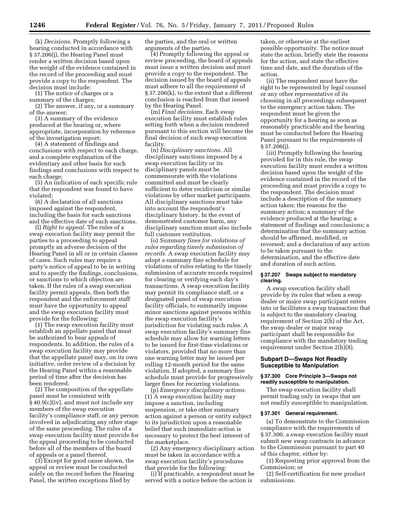(k) *Decisions.* Promptly following a hearing conducted in accordance with § 37.206(j), the Hearing Panel must render a written decision based upon the weight of the evidence contained in the record of the proceeding and must provide a copy to the respondent. The decision must include:

(1) The notice of charges or a summary of the charges;

(2) The answer, if any, or a summary of the answer;

(3) A summary of the evidence produced at the hearing or, where appropriate, incorporation by reference of the investigation report;

(4) A statement of findings and conclusions with respect to each charge, and a complete explanation of the evidentiary and other basis for such findings and conclusions with respect to each charge;

(5) An indication of each specific rule that the respondent was found to have violated;

(6) A declaration of all sanctions imposed against the respondent, including the basis for such sanctions and the effective date of such sanctions.

(l) *Right to appeal.* The rules of a swap execution facility may permit the parties to a proceeding to appeal promptly an adverse decision of the Hearing Panel in all or in certain classes of cases. Such rules may require a party's notice of appeal to be in writing and to specify the findings, conclusions, or sanctions to which objection are taken. If the rules of a swap execution facility permit appeals, then both the respondent and the enforcement staff must have the opportunity to appeal and the swap execution facility must provide for the following:

(1) The swap execution facility must establish an appellate panel that must be authorized to hear appeals of respondents. In addition, the rules of a swap execution facility may provide that the appellate panel may, on its own initiative, order review of a decision by the Hearing Panel within a reasonable period of time after the decision has been rendered.

(2) The composition of the appellate panel must be consistent with § 40.9(c)(iv), and must not include any members of the swap execution facility's compliance staff, or any person involved in adjudicating any other stage of the same proceeding. The rules of a swap execution facility must provide for the appeal proceeding to be conducted before all of the members of the board of appeals or a panel thereof.

(3) Except for good cause shown, the appeal or review must be conducted solely on the record before the Hearing Panel, the written exceptions filed by

the parties, and the oral or written arguments of the parties.

(4) Promptly following the appeal or review proceeding, the board of appeals must issue a written decision and must provide a copy to the respondent. The decision issued by the board of appeals must adhere to all the requirement of § 37.206(k), to the extent that a different conclusion is reached from that issued by the Hearing Panel.

(m) *Final decisions.* Each swap execution facility must establish rules setting forth when a decision rendered pursuant to this section will become the final decision of such swap execution facility.

(n) *Disciplinary sanctions.* All disciplinary sanctions imposed by a swap execution facility or its disciplinary panels must be commensurate with the violations committed and must be clearly sufficient to deter recidivism or similar violations by other market participants. All disciplinary sanctions must take into account the respondent's disciplinary history. In the event of demonstrated customer harm, any disciplinary sanction must also include full customer restitution.

(o) *Summary fines for violations of rules regarding timely submission of records.* A swap execution facility may adopt a summary fine schedule for violations of rules relating to the timely submission of accurate records required for clearing or verifying each day's transactions. A swap execution facility may permit its compliance staff, or a designated panel of swap execution facility officials, to summarily impose minor sanctions against persons within the swap execution facility's jurisdiction for violating such rules. A swap execution facility's summary fine schedule may allow for warning letters to be issued for first-time violations or violators, provided that no more than one warning letter may be issued per rolling 12-month period for the same violation. If adopted, a summary fine schedule must provide for progressively larger fines for recurring violations.

(p) *Emergency disciplinary actions.*  (1) A swap execution facility may impose a sanction, including suspension, or take other summary action against a person or entity subject to its jurisdiction upon a reasonable belief that such immediate action is necessary to protect the best interest of the marketplace.

(2) Any emergency disciplinary action must be taken in accordance with a swap execution facility's procedures that provide for the following:

(i) If practicable, a respondent must be served with a notice before the action is

taken, or otherwise at the earliest possible opportunity. The notice must state the action, briefly state the reasons for the action, and state the effective time and date, and the duration of the action.

(ii) The respondent must have the right to be represented by legal counsel or any other representative of its choosing in all proceedings subsequent to the emergency action taken. The respondent must be given the opportunity for a hearing as soon as reasonably practicable and the hearing must be conducted before the Hearing Panel pursuant to the requirements of § 37.206(j).

(iii) Promptly following the hearing provided for in this rule, the swap execution facility must render a written decision based upon the weight of the evidence contained in the record of the proceeding and must provide a copy to the respondent. The decision must include a description of the summary action taken; the reasons for the summary action; a summary of the evidence produced at the hearing; a statement of findings and conclusions; a determination that the summary action should be affirmed, modified, or reversed; and a declaration of any action to be taken pursuant to the determination, and the effective date and duration of such action.

#### **§ 37.207 Swaps subject to mandatory clearing.**

A swap execution facility shall provide by its rules that when a swap dealer or major swap participant enters into or facilitates a swap transaction that is subject to the mandatory clearing requirement of Section 2(h) of the Act, the swap dealer or major swap participant shall be responsible for compliance with the mandatory trading requirement under Section 2(h)(8).

# **Subpart D—Swaps Not Readily Susceptible to Manipulation**

#### **§ 37.300 Core Principle 3—Swaps not readily susceptible to manipulation.**

The swap execution facility shall permit trading only in swaps that are not readily susceptible to manipulation.

#### **§ 37.301 General requirement.**

(a) To demonstrate to the Commission compliance with the requirements of § 37.300, a swap execution facility must submit new swap contracts in advance to the Commission pursuant to part 40 of this chapter, either by:

(1) Requesting prior approval from the Commission; or

(2) Self-certification for new product submissions.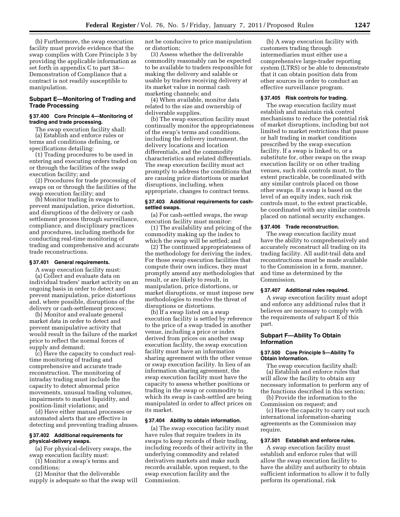(b) Furthermore, the swap execution facility must provide evidence that the swap complies with Core Principle 3 by providing the applicable information as set forth in appendix C to part 38— Demonstration of Compliance that a contract is not readily susceptible to manipulation.

#### **Subpart E—Monitoring of Trading and Trade Processing**

#### **§ 37.400 Core Principle 4—Monitoring of trading and trade processing.**

The swap execution facility shall: (a) Establish and enforce rules or

terms and conditions defining, or specifications detailing:

(1) Trading procedures to be used in entering and executing orders traded on or through the facilities of the swap execution facility; and

(2) Procedures for trade processing of swaps on or through the facilities of the swap execution facility; and

(b) Monitor trading in swaps to prevent manipulation, price distortion, and disruptions of the delivery or cash settlement process through surveillance, compliance, and disciplinary practices and procedures, including methods for conducting real-time monitoring of trading and comprehensive and accurate trade reconstructions.

#### **§ 37.401 General requirements.**

A swap execution facility must: (a) Collect and evaluate data on individual traders' market activity on an ongoing basis in order to detect and prevent manipulation, price distortions and, where possible, disruptions of the delivery or cash-settlement process;

(b) Monitor and evaluate general market data in order to detect and prevent manipulative activity that would result in the failure of the market price to reflect the normal forces of supply and demand;

(c) Have the capacity to conduct realtime monitoring of trading and comprehensive and accurate trade reconstruction. The monitoring of intraday trading must include the capacity to detect abnormal price movements, unusual trading volumes, impairments to market liquidity, and position-limit violations; and

(d) Have either manual processes or automated alerts that are effective in detecting and preventing trading abuses.

#### **§ 37.402 Additional requirements for physical-delivery swaps.**

(a) For physical-delivery swaps, the swap execution facility must:

(1) Monitor a swap's terms and conditions;

(2) Monitor that the deliverable supply is adequate so that the swap will not be conducive to price manipulation or distortion;

(3) Assess whether the deliverable commodity reasonably can be expected to be available to traders responsible for making the delivery and salable or usable by traders receiving delivery at its market value in normal cash marketing channels; and

(4) When available, monitor data related to the size and ownership of deliverable supplies.

(b) The swap execution facility must continually monitor the appropriateness of the swap's terms and conditions, including the delivery instrument, the delivery locations and location differentials, and the commodity characteristics and related differentials. The swap execution facility must act promptly to address the conditions that are causing price distortions or market disruptions, including, when appropriate, changes to contract terms.

#### **§ 37.403 Additional requirements for cashsettled swaps.**

(a) For cash-settled swaps, the swap execution facility must monitor:

(1) The availability and pricing of the commodity making up the index to which the swap will be settled; and

(2) The continued appropriateness of the methodology for deriving the index. For those swap execution facilities that compute their own indices, they must promptly amend any methodologies that result, or are likely to result, in manipulation, price distortions, or market disruptions, or must impose new methodologies to resolve the threat of disruptions or distortions.

(b) If a swap listed on a swap execution facility is settled by reference to the price of a swap traded in another venue, including a price or index derived from prices on another swap execution facility, the swap execution facility must have an information sharing agreement with the other venue or swap execution facility. In lieu of an information sharing agreement, the swap execution facility must have the capacity to assess whether positions or trading in the swap or commodity to which its swap is cash-settled are being manipulated in order to affect prices on its market.

#### **§ 37.404 Ability to obtain information.**

(a) The swap execution facility must have rules that require traders in its swaps to keep records of their trading, including records of their activity in the underlying commodity and related derivatives markets and make such records available, upon request, to the swap execution facility and the Commission.

(b) A swap execution facility with customers trading through intermediaries must either use a comprehensive large-trader reporting system (LTRS) or be able to demonstrate that it can obtain position data from other sources in order to conduct an effective surveillance program.

#### **§ 37.405 Risk controls for trading.**

The swap execution facility must establish and maintain risk control mechanisms to reduce the potential risk of market disruptions, including but not limited to market restrictions that pause or halt trading in market conditions prescribed by the swap execution facility. If a swap is linked to, or a substitute for, other swaps on the swap execution facility or on other trading venues, such risk controls must, to the extent practicable, be coordinated with any similar controls placed on those other swaps. If a swap is based on the level of an equity index, such risk controls must, to the extent practicable, be coordinated with any similar controls placed on national security exchanges.

#### **§ 37.406 Trade reconstruction.**

The swap execution facility must have the ability to comprehensively and accurately reconstruct all trading on its trading facility. All audit-trail data and reconstructions must be made available to the Commission in a form, manner, and time as determined by the Commission.

#### **§ 37.407 Additional rules required.**

A swap execution facility must adopt and enforce any additional rules that it believes are necessary to comply with the requirements of subpart E of this part.

#### **Subpart F—Ability To Obtain Information**

#### **§ 37.500 Core Principle 5—Ability To Obtain Information.**

The swap execution facility shall: (a) Establish and enforce rules that will allow the facility to obtain any necessary information to perform any of the functions described in this section;

(b) Provide the information to the Commission on request; and

(c) Have the capacity to carry out such international information-sharing agreements as the Commission may require.

#### **§ 37.501 Establish and enforce rules.**

A swap execution facility must establish and enforce rules that will allow the swap execution facility to have the ability and authority to obtain sufficient information to allow it to fully perform its operational, risk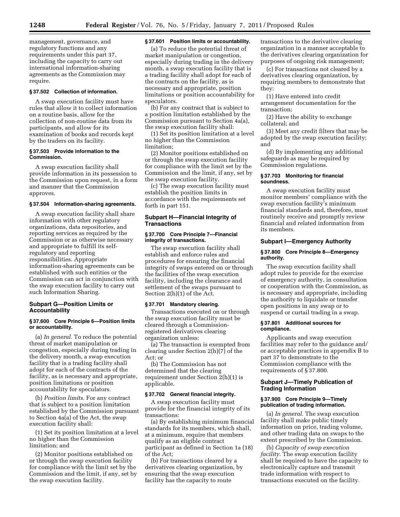management, governance, and regulatory functions and any requirements under this part 37, including the capacity to carry out international information-sharing agreements as the Commission may require.

#### **§ 37.502 Collection of information.**

A swap execution facility must have rules that allow it to collect information on a routine basis, allow for the collection of non-routine data from its participants, and allow for its examination of books and records kept by the traders on its facility.

#### **§ 37.503 Provide information to the Commission.**

A swap execution facility shall provide information in its possession to the Commission upon request, in a form and manner that the Commission approves.

#### **§ 37.504 Information-sharing agreements.**

A swap execution facility shall share information with other regulatory organizations, data repositories, and reporting services as required by the Commission or as otherwise necessary and appropriate to fulfill its selfregulatory and reporting responsibilities. Appropriate information-sharing agreements can be established with such entities or the Commission can act in conjunction with the swap execution facility to carry out such Information Sharing.

## **Subpart G—Position Limits or Accountability**

#### **§ 37.600 Core Principle 6—Position limits or accountability.**

(a) *In general.* To reduce the potential threat of market manipulation or congestion, especially during trading in the delivery month, a swap execution facility that is a trading facility shall adopt for each of the contracts of the facility, as is necessary and appropriate, position limitations or position accountability for speculators.

(b) *Position limits.* For any contract that is subject to a position limitation established by the Commission pursuant to Section 4a(a) of the Act, the swap execution facility shall:

(1) Set its position limitation at a level no higher than the Commission limitation; and

(2) Monitor positions established on or through the swap execution facility for compliance with the limit set by the Commission and the limit, if any, set by the swap execution facility.

#### **§ 37.601 Position limits or accountability.**

(a) To reduce the potential threat of market manipulation or congestion, especially during trading in the delivery month, a swap execution facility that is a trading facility shall adopt for each of the contracts on the facility, as is necessary and appropriate, position limitations or position accountability for speculators.

(b) For any contract that is subject to a position limitation established by the Commission pursuant to Section 4a(a), the swap execution facility shall:

(1) Set its position limitation at a level no higher than the Commission limitation;

(2) Monitor positions established on or through the swap execution facility for compliance with the limit set by the Commission and the limit, if any, set by the swap execution facility.

(c) The swap execution facility must establish the position limits in accordance with the requirements set forth in part 151.

#### **Subpart H—Financial Integrity of Transactions**

#### **§ 37.700 Core Principle 7—Financial integrity of transactions.**

The swap execution facility shall establish and enforce rules and procedures for ensuring the financial integrity of swaps entered on or through the facilities of the swap execution facility, including the clearance and settlement of the swaps pursuant to Section 2(h)(1) of the Act.

#### **§ 37.701 Mandatory clearing.**

Transactions executed on or through the swap execution facility must be cleared through a Commissionregistered derivatives clearing organization unless:

(a) The transaction is exempted from clearing under Section 2(h)(7) of the Act; or

(b) The Commission has not determined that the clearing requirement under Section 2(h)(1) is applicable.

#### **§ 37.702 General financial integrity.**

A swap execution facility must provide for the financial integrity of its transactions:

(a) By establishing minimum financial standards for its members, which shall, at a minimum, require that members qualify as an eligible contract participant as defined in Section 1a (18) of the Act;

(b) For transactions cleared by a derivatives clearing organization, by ensuring that the swap execution facility has the capacity to route

transactions to the derivative clearing organization in a manner acceptable to the derivatives clearing organization for purposes of ongoing risk management;

(c) For transactions not cleared by a derivatives clearing organization, by requiring members to demonstrate that they:

(1) Have entered into credit arrangement documentation for the transaction;

(2) Have the ability to exchange collateral; and

(3) Meet any credit filters that may be adopted by the swap execution facility; and

(d) By implementing any additional safeguards as may be required by Commission regulations.

#### **§ 37.703 Monitoring for financial soundness.**

A swap execution facility must monitor members' compliance with the swap execution facility's minimum financial standards and, therefore, must routinely receive and promptly review financial and related information from its members.

#### **Subpart I—Emergency Authority**

#### **§ 37.800 Core Principle 8—Emergency authority.**

The swap execution facility shall adopt rules to provide for the exercise of emergency authority, in consultation or cooperation with the Commission, as is necessary and appropriate, including the authority to liquidate or transfer open positions in any swap or to suspend or curtail trading in a swap.

#### **§ 37.801 Additional sources for compliance.**

Applicants and swap execution facilities may refer to the guidance and/ or acceptable practices in appendix B to part 37 to demonstrate to the Commission compliance with the requirements of § 37.800.

#### **Subpart J—Timely Publication of Trading Information**

#### **§ 37.900 Core Principle 9—Timely publication of trading information.**

(a) *In general.* The swap execution facility shall make public timely information on price, trading volume, and other trading data on swaps to the extent prescribed by the Commission.

(b) *Capacity of swap execution facility.* The swap execution facility shall be required to have the capacity to electronically capture and transmit trade information with respect to transactions executed on the facility.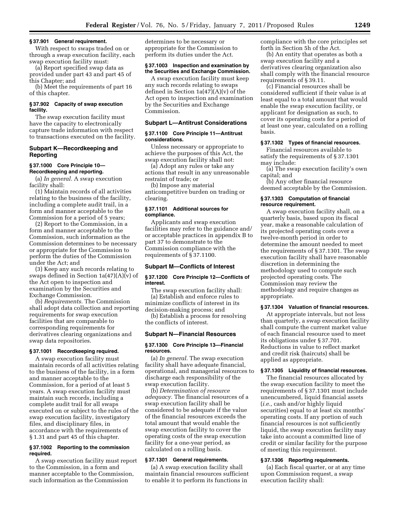#### **§ 37.901 General requirement.**

With respect to swaps traded on or through a swap execution facility, each swap execution facility must:

(a) Report specified swap data as provided under part 43 and part 45 of this Chapter; and

(b) Meet the requirements of part 16 of this chapter.

#### **§ 37.902 Capacity of swap execution facility.**

The swap execution facility must have the capacity to electronically capture trade information with respect to transactions executed on the facility.

#### **Subpart K—Recordkeeping and Reporting**

#### **§ 37.1000 Core Principle 10— Recordkeeping and reporting.**

(a) *In general.* A swap execution facility shall:

(1) Maintain records of all activities relating to the business of the facility, including a complete audit trail, in a form and manner acceptable to the Commission for a period of 5 years;

(2) Report to the Commission, in a form and manner acceptable to the Commission, such information as the Commission determines to be necessary or appropriate for the Commission to perform the duties of the Commission under the Act; and

(3) Keep any such records relating to swaps defined in Section 1a(47)(A)(v) of the Act open to inspection and examination by the Securities and Exchange Commission.

(b) *Requirements.* The Commission shall adopt data collection and reporting requirements for swap execution facilities that are comparable to corresponding requirements for derivatives clearing organizations and swap data repositories.

#### **§ 37.1001 Recordkeeping required.**

A swap execution facility must maintain records of all activities relating to the business of the facility, in a form and manner acceptable to the Commission, for a period of at least 5 years. A swap execution facility must maintain such records, including a complete audit trail for all swaps executed on or subject to the rules of the swap execution facility, investigatory files, and disciplinary files, in accordance with the requirements of § 1.31 and part 45 of this chapter.

#### **§ 37.1002 Reporting to the commission required.**

A swap execution facility must report to the Commission, in a form and manner acceptable to the Commission, such information as the Commission

determines to be necessary or appropriate for the Commission to perform its duties under the Act.

#### **§ 37.1003 Inspection and examination by the Securities and Exchange Commission.**

A swap execution facility must keep any such records relating to swaps defined in Section 1a(47)(A)(v) of the Act open to inspection and examination by the Securities and Exchange Commission.

#### **Subpart L—Antitrust Considerations**

#### **§ 37.1100 Core Principle 11—Antitrust considerations.**

Unless necessary or appropriate to achieve the purposes of this Act, the swap execution facility shall not:

(a) Adopt any rules or take any actions that result in any unreasonable restraint of trade; or

(b) Impose any material anticompetitive burden on trading or clearing.

#### **§ 37.1101 Additional sources for compliance.**

Applicants and swap execution facilities may refer to the guidance and/ or acceptable practices in appendix B to part 37 to demonstrate to the Commission compliance with the requirements of § 37.1100.

#### **Subpart M—Conflicts of Interest**

#### **§ 37.1200 Core Principle 12—Conflicts of interest.**

The swap execution facility shall: (a) Establish and enforce rules to minimize conflicts of interest in its decision-making process; and

(b) Establish a process for resolving the conflicts of interest.

#### **Subpart N—Financial Resources**

#### **§ 37.1300 Core Principle 13—Financial resources.**

(a) *In general.* The swap execution facility shall have adequate financial, operational, and managerial resources to discharge each responsibility of the swap execution facility.

(b) *Determination of resource adequacy.* The financial resources of a swap execution facility shall be considered to be adequate if the value of the financial resources exceeds the total amount that would enable the swap execution facility to cover the operating costs of the swap execution facility for a one-year period, as calculated on a rolling basis.

#### **§ 37.1301 General requirements.**

(a) A swap execution facility shall maintain financial resources sufficient to enable it to perform its functions in

compliance with the core principles set forth in Section 5h of the Act.

(b) An entity that operates as both a swap execution facility and a derivatives clearing organization also shall comply with the financial resource requirements of § 39.11.

(c) Financial resources shall be considered sufficient if their value is at least equal to a total amount that would enable the swap execution facility, or applicant for designation as such, to cover its operating costs for a period of at least one year, calculated on a rolling basis.

#### **§ 37.1302 Types of financial resources.**

Financial resources available to satisfy the requirements of § 37.1301 may include:

(a) The swap execution facility's own capital; and

(b) Any other financial resource deemed acceptable by the Commission.

#### **§ 37.1303 Computation of financial resource requirement.**

A swap execution facility shall, on a quarterly basis, based upon its fiscal year, make a reasonable calculation of its projected operating costs over a twelve-month period in order to determine the amount needed to meet the requirements of § 37.1301. The swap execution facility shall have reasonable discretion in determining the methodology used to compute such projected operating costs. The Commission may review the methodology and require changes as appropriate.

#### **§ 37.1304 Valuation of financial resources.**

At appropriate intervals, but not less than quarterly, a swap execution facility shall compute the current market value of each financial resource used to meet its obligations under § 37.701. Reductions in value to reflect market and credit risk (haircuts) shall be applied as appropriate.

# **§ 37.1305 Liquidity of financial resources.**

The financial resources allocated by the swap execution facility to meet the requirements of § 37.1301 must include unencumbered, liquid financial assets (*i.e.,* cash and/or highly liquid securities) equal to at least six months' operating costs. If any portion of such financial resources is not sufficiently liquid, the swap execution facility may take into account a committed line of credit or similar facility for the purpose of meeting this requirement.

# **§ 37.1306 Reporting requirements.**

(a) Each fiscal quarter, or at any time upon Commission request, a swap execution facility shall: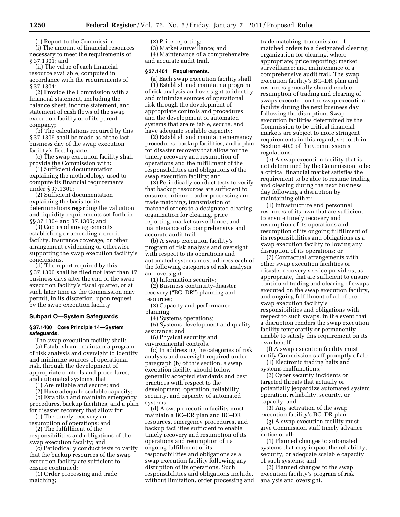(1) Report to the Commission:

(i) The amount of financial resources necessary to meet the requirements of § 37.1301; and

(ii) The value of each financial resource available, computed in accordance with the requirements of § 37.1304;

(2) Provide the Commission with a financial statement, including the balance sheet, income statement, and statement of cash flows of the swap execution facility or of its parent company;

(b) The calculations required by this § 37.1306 shall be made as of the last business day of the swap execution facility's fiscal quarter.

(c) The swap execution facility shall provide the Commission with:

(1) Sufficient documentation explaining the methodology used to compute its financial requirements under § 37.1301;

(2) Sufficient documentation explaining the basis for its determinations regarding the valuation and liquidity requirements set forth in §§ 37.1304 and 37.1305; and

(3) Copies of any agreements establishing or amending a credit facility, insurance coverage, or other arrangement evidencing or otherwise supporting the swap execution facility's conclusions.

(d) The report required by this § 37.1306 shall be filed not later than 17 business days after the end of the swap execution facility's fiscal quarter, or at such later time as the Commission may permit, in its discretion, upon request by the swap execution facility.

#### **Subpart O—System Safeguards**

#### **§ 37.1400 Core Principle 14—System safeguards.**

The swap execution facility shall: (a) Establish and maintain a program of risk analysis and oversight to identify and minimize sources of operational risk, through the development of appropriate controls and procedures, and automated systems, that:

(1) Are reliable and secure; and

(2) Have adequate scalable capacity;

(b) Establish and maintain emergency procedures, backup facilities, and a plan for disaster recovery that allow for:

(1) The timely recovery and resumption of operations; and

(2) The fulfillment of the responsibilities and obligations of the

swap execution facility; and (c) Periodically conduct tests to verify that the backup resources of the swap execution facility are sufficient to ensure continued:

(1) Order processing and trade matching;

# (2) Price reporting;

(3) Market surveillance; and

(4) Maintenance of a comprehensive and accurate audit trail.

#### **§ 37.1401 Requirements.**

(a) Each swap execution facility shall: (1) Establish and maintain a program of risk analysis and oversight to identify and minimize sources of operational risk through the development of appropriate controls and procedures and the development of automated systems that are reliable, secure, and have adequate scalable capacity;

(2) Establish and maintain emergency procedures, backup facilities, and a plan for disaster recovery that allow for the timely recovery and resumption of operations and the fulfillment of the responsibilities and obligations of the swap execution facility; and

(3) Periodically conduct tests to verify that backup resources are sufficient to ensure continued order processing and trade matching, transmission of matched orders to a designated clearing organization for clearing, price reporting, market surveillance, and maintenance of a comprehensive and accurate audit trail.

(b) A swap execution facility's program of risk analysis and oversight with respect to its operations and automated systems must address each of the following categories of risk analysis and oversight:

(1) Information security;

(2) Business continuity-disaster recovery ("BC–DR") planning and resources;

(3) Capacity and performance planning;

(4) Systems operations;

(5) Systems development and quality assurance; and

(6) Physical security and

environmental controls.

(c) In addressing the categories of risk analysis and oversight required under paragraph (b) of this section, a swap execution facility should follow generally accepted standards and best practices with respect to the development, operation, reliability, security, and capacity of automated systems.

(d) A swap execution facility must maintain a BC–DR plan and BC–DR resources, emergency procedures, and backup facilities sufficient to enable timely recovery and resumption of its operations and resumption of its ongoing fulfillment of its responsibilities and obligations as a swap execution facility following any disruption of its operations. Such responsibilities and obligations include, without limitation, order processing and

trade matching; transmission of matched orders to a designated clearing organization for clearing, where appropriate; price reporting; market surveillance; and maintenance of a comprehensive audit trail. The swap execution facility's BC–DR plan and resources generally should enable resumption of trading and clearing of swaps executed on the swap execution facility during the next business day following the disruption. Swap execution facilities determined by the Commission to be critical financial markets are subject to more stringent requirements in this regard, set forth in Section 40.9 of the Commission's regulations.

(e) A swap execution facility that is not determined by the Commission to be a critical financial market satisfies the requirement to be able to resume trading and clearing during the next business day following a disruption by maintaining either:

(1) Infrastructure and personnel resources of its own that are sufficient to ensure timely recovery and resumption of its operations and resumption of its ongoing fulfillment of its responsibilities and obligations as a swap execution facility following any disruption of its operations; or

(2) Contractual arrangements with other swap execution facilities or disaster recovery service providers, as appropriate, that are sufficient to ensure continued trading and clearing of swaps executed on the swap execution facility, and ongoing fulfillment of all of the swap execution facility's responsibilities and obligations with respect to such swaps, in the event that a disruption renders the swap execution facility temporarily or permanently unable to satisfy this requirement on its own behalf.

(f) A swap execution facility must notify Commission staff promptly of all:

(1) Electronic trading halts and systems malfunctions;

(2) Cyber security incidents or targeted threats that actually or potentially jeopardize automated system operation, reliability, security, or capacity; and

(3) Any activation of the swap execution facility's BC–DR plan.

(g) A swap execution facility must give Commission staff timely advance notice of all:

(1) Planned changes to automated systems that may impact the reliability, security, or adequate scalable capacity of such systems; and

(2) Planned changes to the swap execution facility's program of risk analysis and oversight.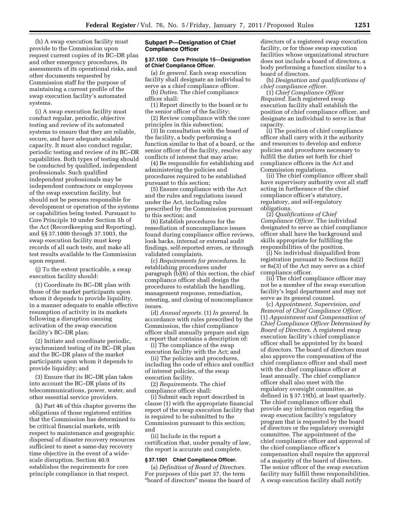(h) A swap execution facility must provide to the Commission upon request current copies of its BC–DR plan and other emergency procedures, its assessments of its operational risks, and other documents requested by Commission staff for the purpose of maintaining a current profile of the swap execution facility's automated systems.

(i) A swap execution facility must conduct regular, periodic, objective testing and review of its automated systems to ensure that they are reliable, secure, and have adequate scalable capacity. It must also conduct regular, periodic testing and review of its BC–DR capabilities. Both types of testing should be conducted by qualified, independent professionals. Such qualified independent professionals may be independent contractors or employees of the swap execution facility, but should not be persons responsible for development or operation of the systems or capabilities being tested. Pursuant to Core Principle 10 under Section 5h of the Act (Recordkeeping and Reporting), and §§ 37.1000 through 37.1003, the swap execution facility must keep records of all such tests, and make all test results available to the Commission upon request.

(j) To the extent practicable, a swap execution facility should:

(1) Coordinate its BC–DR plan with those of the market participants upon whom it depends to provide liquidity, in a manner adequate to enable effective resumption of activity in its markets following a disruption causing activation of the swap execution facility's BC–DR plan;

(2) Initiate and coordinate periodic, synchronized testing of its BC–DR plan and the BC–DR plans of the market participants upon whom it depends to provide liquidity; and

(3) Ensure that its BC–DR plan takes into account the BC–DR plans of its telecommunications, power, water, and other essential service providers.

(k) Part 46 of this chapter governs the obligations of those registered entities that the Commission has determined to be critical financial markets, with respect to maintenance and geographic dispersal of disaster recovery resources sufficient to meet a same-day recovery time objective in the event of a widescale disruption. Section 40.9 establishes the requirements for core principle compliance in that respect.

#### **Subpart P—Designation of Chief Compliance Officer**

#### **§ 37.1500 Core Principle 15—Designation of Chief Compliance Officer.**

(a) *In general.* Each swap execution facility shall designate an individual to serve as a chief compliance officer.

(b) *Duties.* The chief compliance officer shall:

(1) Report directly to the board or to the senior officer of the facility;

(2) Review compliance with the core principles in this subsection;

(3) In consultation with the board of the facility, a body performing a function similar to that of a board, or the senior officer of the facility, resolve any conflicts of interest that may arise;

(4) Be responsible for establishing and administering the policies and procedures required to be established pursuant to this section;

(5) Ensure compliance with the Act and the rules and regulations issued under the Act, including rules prescribed by the Commission pursuant to this section; and

(6) Establish procedures for the remediation of noncompliance issues found during compliance office reviews, look backs, internal or external audit findings, self-reported errors, or through validated complaints.

(c) *Requirements for procedures.* In establishing procedures under paragraph (b)(6) of this section, the chief compliance officer shall design the procedures to establish the handling, management response, remediation, retesting, and closing of noncompliance issues.

(d) *Annual reports.* (1) *In general.* In accordance with rules prescribed by the Commission, the chief compliance officer shall annually prepare and sign a report that contains a description of:

(i) The compliance of the swap execution facility with the Act; and

(ii) The policies and procedures, including the code of ethics and conflict of interest policies, of the swap

execution facility. (2) *Requirements.* The chief compliance officer shall:

(i) Submit each report described in clause (1) with the appropriate financial report of the swap execution facility that is required to be submitted to the Commission pursuant to this section; and

(ii) Include in the report a certification that, under penalty of law, the report is accurate and complete.

#### **§ 37.1501 Chief Compliance Officer.**

(a) *Definition of Board of Directors.*  For purposes of this part 37, the term ''board of directors'' means the board of

directors of a registered swap execution facility, or for those swap execution facilities whose organizational structure does not include a board of directors, a body performing a function similar to a board of directors.

(b) *Designation and qualifications of chief compliance officer.* 

(1) *Chief Compliance Officer Required.* Each registered swap execution facility shall establish the position of chief compliance officer, and designate an individual to serve in that capacity.

(i) The position of chief compliance officer shall carry with it the authority and resources to develop and enforce policies and procedures necessary to fulfill the duties set forth for chief compliance officers in the Act and Commission regulations.

(ii) The chief compliance officer shall have supervisory authority over all staff acting in furtherance of the chief compliance officer's statutory, regulatory, and self-regulatory obligations.

(2) *Qualifications of Chief Compliance Officer.* The individual designated to serve as chief compliance officer shall have the background and skills appropriate for fulfilling the responsibilities of the position.

(i) No individual disqualified from registration pursuant to Sections 8a(2) or 8a(3) of the Act may serve as a chief compliance officer.

(ii) The chief compliance officer may not be a member of the swap execution facility's legal department and may not serve as its general counsel.

(c) *Appointment, Supervision, and Removal of Chief Compliance Officer.*  (1) *Appointment and Compensation of Chief Compliance Officer Determined by Board of Directors.* A registered swap execution facility's chief compliance officer shall be appointed by its board of directors. The board of directors must also approve the compensation of the chief compliance officer and shall meet with the chief compliance officer at least annually. The chief compliance officer shall also meet with the regulatory oversight committee, as defined in § 37.19(b), at least quarterly. The chief compliance officer shall provide any information regarding the swap execution facility's regulatory program that is requested by the board of directors or the regulatory oversight committee. The appointment of the chief compliance officer and approval of the chief compliance officer's compensation shall require the approval of a majority of the board of directors. The senior officer of the swap execution facility may fulfill these responsibilities. A swap execution facility shall notify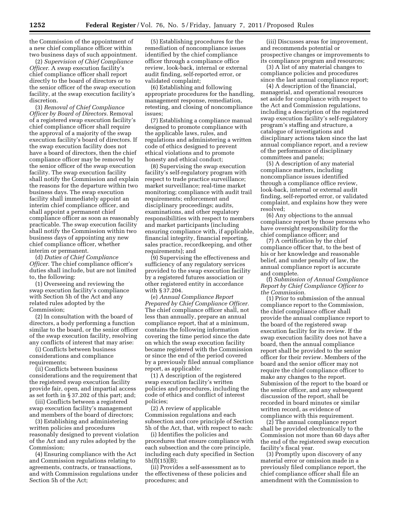the Commission of the appointment of a new chief compliance officer within two business days of such appointment.

(2) *Supervision of Chief Compliance Officer.* A swap execution facility's chief compliance officer shall report directly to the board of directors or to the senior officer of the swap execution facility, at the swap execution facility's discretion.

(3) *Removal of Chief Compliance Officer by Board of Directors.* Removal of a registered swap execution facility's chief compliance officer shall require the approval of a majority of the swap execution facility's board of directors. If the swap execution facility does not have a board of directors, then the chief compliance officer may be removed by the senior officer of the swap execution facility. The swap execution facility shall notify the Commission and explain the reasons for the departure within two business days. The swap execution facility shall immediately appoint an interim chief compliance officer, and shall appoint a permanent chief compliance officer as soon as reasonably practicable. The swap execution facility shall notify the Commission within two business days of appointing any new chief compliance officer, whether interim or permanent.

(d) *Duties of Chief Compliance Officer.* The chief compliance officer's duties shall include, but are not limited to, the following:

(1) Overseeing and reviewing the swap execution facility's compliance with Section 5h of the Act and any related rules adopted by the Commission;

(2) In consultation with the board of directors, a body performing a function similar to the board, or the senior officer of the swap execution facility, resolving any conflicts of interest that may arise:

(i) Conflicts between business considerations and compliance requirements;

(ii) Conflicts between business considerations and the requirement that the registered swap execution facility provide fair, open, and impartial access as set forth in § 37.202 of this part; and;

(iii) Conflicts between a registered swap execution facility's management and members of the board of directors;

(3) Establishing and administering written policies and procedures reasonably designed to prevent violation of the Act and any rules adopted by the Commission;

(4) Ensuring compliance with the Act and Commission regulations relating to agreements, contracts, or transactions, and with Commission regulations under Section 5h of the Act;

(5) Establishing procedures for the remediation of noncompliance issues identified by the chief compliance officer through a compliance office review, look-back, internal or external audit finding, self-reported error, or validated complaint;

(6) Establishing and following appropriate procedures for the handling, management response, remediation, retesting, and closing of noncompliance issues;

(7) Establishing a compliance manual designed to promote compliance with the applicable laws, rules, and regulations and administering a written code of ethics designed to prevent ethical violations and to promote honesty and ethical conduct;

(8) Supervising the swap execution facility's self-regulatory program with respect to trade practice surveillance; market surveillance; real-time market monitoring; compliance with audit trail requirements; enforcement and disciplinary proceedings; audits, examinations, and other regulatory responsibilities with respect to members and market participants (including ensuring compliance with, if applicable, financial integrity, financial reporting, sales practice, recordkeeping, and other requirements); and

(9) Supervising the effectiveness and sufficiency of any regulatory services provided to the swap execution facility by a registered futures association or other registered entity in accordance with § 37.204.

(e) *Annual Compliance Report Prepared by Chief Compliance Officer.*  The chief compliance officer shall, not less than annually, prepare an annual compliance report, that at a minimum, contains the following information covering the time period since the date on which the swap execution facility became registered with the Commission or since the end of the period covered by a previously filed annual compliance report, as applicable:

(1) A description of the registered swap execution facility's written policies and procedures, including the code of ethics and conflict of interest policies;

(2) A review of applicable Commission regulations and each subsection and core principle of Section 5h of the Act, that, with respect to each:

(i) Identifies the policies and procedures that ensure compliance with each subsection and the core principle, including each duty specified in Section 5h(f)(15)(B);

(ii) Provides a self-assessment as to the effectiveness of these policies and procedures; and

(iii) Discusses areas for improvement, and recommends potential or prospective changes or improvements to its compliance program and resources;

(3) A list of any material changes to compliance policies and procedures since the last annual compliance report;

(4) A description of the financial, managerial, and operational resources set aside for compliance with respect to the Act and Commission regulations, including a description of the registered swap execution facility's self-regulatory program's staffing and structure, a catalogue of investigations and disciplinary actions taken since the last annual compliance report, and a review of the performance of disciplinary committees and panels;

(5) A description of any material compliance matters, including noncompliance issues identified through a compliance office review, look-back, internal or external audit finding, self-reported error, or validated complaint, and explains how they were resolved;

(6) Any objections to the annual compliance report by those persons who have oversight responsibility for the chief compliance officer; and

(7) A certification by the chief compliance officer that, to the best of his or her knowledge and reasonable belief, and under penalty of law, the annual compliance report is accurate and complete.

(f) *Submission of Annual Compliance Report by Chief Compliance Officer to the Commission.* 

(1) Prior to submission of the annual compliance report to the Commission, the chief compliance officer shall provide the annual compliance report to the board of the registered swap execution facility for its review. If the swap execution facility does not have a board, then the annual compliance report shall be provided to the senior officer for their review. Members of the board and the senior officer may not require the chief compliance officer to make any changes to the report. Submission of the report to the board or the senior officer, and any subsequent discussion of the report, shall be recorded in board minutes or similar written record, as evidence of compliance with this requirement.

(2) The annual compliance report shall be provided electronically to the Commission not more than 60 days after the end of the registered swap execution facility's fiscal year.

(3) Promptly upon discovery of any material error or omission made in a previously filed compliance report, the chief compliance officer shall file an amendment with the Commission to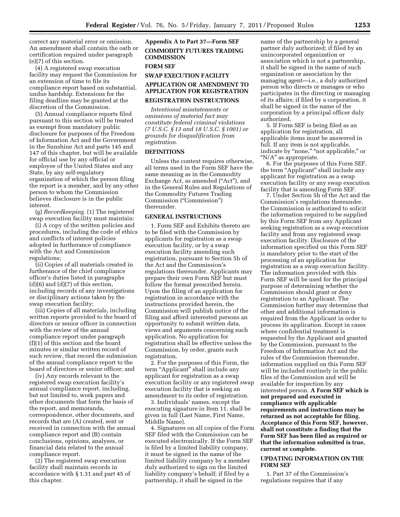correct any material error or omission. An amendment shall contain the oath or certification required under paragraph (e)(7) of this section.

(4) A registered swap execution facility may request the Commission for an extension of time to file its compliance report based on substantial, undue hardship. Extensions for the filing deadline may be granted at the discretion of the Commission.

(5) Annual compliance reports filed pursuant to this section will be treated as exempt from mandatory public disclosure for purposes of the Freedom of Information Act and the Government in the Sunshine Act and parts 145 and 147 of this chapter, but will be available for official use by any official or employee of the United States and any State, by any self-regulatory organization of which the person filing the report is a member, and by any other person to whom the Commission believes disclosure is in the public interest.

(g) *Recordkeeping.* (1) The registered swap execution facility must maintain:

(i) A copy of the written policies and procedures, including the code of ethics and conflicts of interest policies adopted in furtherance of compliance with the Act and Commission regulations;

(ii) Copies of all materials created in furtherance of the chief compliance officer's duties listed in paragraphs  $(d)(6)$  and  $(d)(7)$  of this section, including records of any investigations or disciplinary actions taken by the swap execution facility;

(iii) Copies of all materials, including written reports provided to the board of directors or senior officer in connection with the review of the annual compliance report under paragraph (f)(1) of this section and the board minutes or similar written record of such review, that record the submission of the annual compliance report to the board of directors or senior officer; and

(iv) Any records relevant to the registered swap execution facility's annual compliance report, including, but not limited to, work papers and other documents that form the basis of the report, and memoranda, correspondence, other documents, and records that are (A) created, sent or received in connection with the annual compliance report and (B) contain conclusions, opinions, analyses, or financial data related to the annual compliance report.

(2) The registered swap execution facility shall maintain records in accordance with § 1.31 and part 45 of this chapter.

# **Appendix A to Part 37—Form SEF COMMODITY FUTURES TRADING COMMISSION**

#### **FORM SEF**

# **SWAP EXECUTION FACILITY APPLICATION OR AMENDMENT TO APPLICATION FOR REGISTRATION REGISTRATION INSTRUCTIONS**

*Intentional misstatements or omissions of material fact may constitute federal criminal violations (7 U.S.C. § 13 and 18 U.S.C. § 1001) or grounds for disqualification from registration.* 

#### **DEFINITIONS**

Unless the context requires otherwise, all terms used in the Form SEF have the same meaning as in the Commodity Exchange Act, as amended ("Act"), and in the General Rules and Regulations of the Commodity Futures Trading Commission (''Commission'') thereunder.

#### **GENERAL INSTRUCTIONS**

1. Form SEF and Exhibits thereto are to be filed with the Commission by applicants for registration as a swap execution facility, or by a swap execution facility amending such registration, pursuant to Section 5h of the Act and the Commission's regulations thereunder. Applicants may prepare their own Form SEF but must follow the format prescribed herein. Upon the filing of an application for registration in accordance with the instructions provided herein, the Commission will publish notice of the filing and afford interested persons an opportunity to submit written data, views and arguments concerning such application. No application for registration shall be effective unless the Commission, by order, grants such registration.

2. For the purposes of this Form, the term "Applicant" shall include any applicant for registration as a swap execution facility or any registered swap execution facility that is seeking an amendment to its order of registration.

3. Individuals' names, except the executing signature in Item 11, shall be given in full (Last Name, First Name, Middle Name).

4. Signatures on all copies of the Form SEF filed with the Commission can be executed electronically. If the Form SEF is filed by a limited liability company, it must be signed in the name of the limited liability company by a member duly authorized to sign on the limited liability company's behalf; if filed by a partnership, it shall be signed in the

name of the partnership by a general partner duly authorized; if filed by an unincorporated organization or association which is not a partnership, it shall be signed in the name of such organization or association by the managing agent—i.e., a duly authorized person who directs or manages or who participates in the directing or managing of its affairs; if filed by a corporation, it shall be signed in the name of the corporation by a principal officer duly authorized.

5. If Form SEF is being filed as an application for registration, all applicable items must be answered in full. If any item is not applicable, indicate by "none," "not applicable," or "N/A" as appropriate.

6. For the purposes of this Form SEF, the term "Applicant" shall include any applicant for registration as a swap execution facility or any swap execution facility that is amending Form SEF.

7. Under Section 5h of the Act and the Commission's regulations thereunder, the Commission is authorized to solicit the information required to be supplied by this Form SEF from any Applicant seeking registration as a swap execution facility and from any registered swap execution facility. Disclosure of the information specified on this Form SEF is mandatory prior to the start of the processing of an application for registration as a swap execution facility. The information provided with this Form SEF will be used for the principal purpose of determining whether the Commission should grant or deny registration to an Applicant. The Commission further may determine that other and additional information is required from the Applicant in order to process its application. Except in cases where confidential treatment is requested by the Applicant and granted by the Commission, pursuant to the Freedom of Information Act and the rules of the Commission thereunder, information supplied on this Form SEF will be included routinely in the public files of the Commission and will be available for inspection by any interested person. **A Form SEF which is not prepared and executed in compliance with applicable requirements and instructions may be returned as not acceptable for filing. Acceptance of this Form SEF, however, shall not constitute a finding that the Form SEF has been filed as required or that the information submitted is true, current or complete.** 

# **UPDATING INFORMATION ON THE FORM SEF**

1. Part 37 of the Commission's regulations requires that if any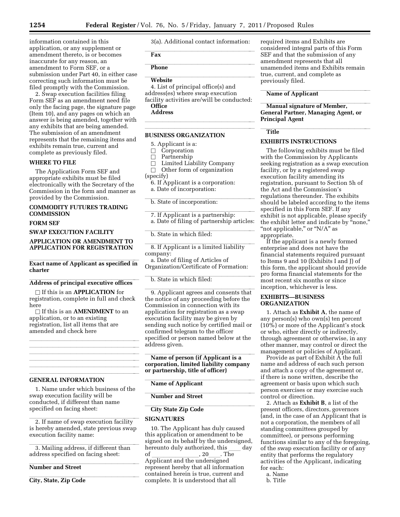information contained in this application, or any supplement or amendment thereto, is or becomes inaccurate for any reason, an amendment to Form SEF, or a submission under Part 40, in either case correcting such information must be filed promptly with the Commission.

2. Swap execution facilities filing Form SEF as an amendment need file only the facing page, the signature page (Item 10), and any pages on which an answer is being amended, together with any exhibits that are being amended. The submission of an amendment represents that the remaining items and exhibits remain true, current and complete as previously filed.

#### **WHERE TO FILE**

The Application Form SEF and appropriate exhibits must be filed electronically with the Secretary of the Commission in the form and manner as provided by the Commission.

# **COMMODITY FUTURES TRADING COMMISSION**

#### **FORM SEF**

#### **SWAP EXECUTION FACILITY**

#### **APPLICATION OR AMENDMENT TO APPLICATION FOR REGISTRATION**

# **Exact name of Applicant as specified in charter**

# Address of principal executive offices

□ If this is an **APPLICATION** for registration, complete in full and check here

□ If this is an **AMENDMENT** to an application, or to an existing registration, list all items that are amended and check here

llland i state av den state av den state av den state av den state av den state av den state av den state av d llland av den statsmannsna og statsmannsna og statsmannsna og statsmannsna og statsmannsna og statsmannsna og<br>Statsmannsna og statsmannsna og statsmannsna og statsmannsna og statsmannsna og statsmannsna og statsmannsna o llland av den statsmannsna og statsmannsna og statsmannsna og statsmannsna og statsmannsna og statsmannsna og<br>Statsmannsna og statsmannsna og statsmannsna og statsmannsna og statsmannsna og statsmannsna og statsmannsna o llland i state av den state av den state av den state av den state av den state av den state av den state av d llland av den statsmannsna og statsmannsna og statsmannsna og statsmannsna og statsmannsna og statsmannsna og<br>Statsmannsna og statsmannsna og statsmannsna og statsmannsna og statsmannsna og statsmannsna og statsmannsna o

#### lllllllllllllllllll **GENERAL INFORMATION**

1. Name under which business of the swap execution facility will be conducted, if different than name specified on facing sheet:

2. If name of swap execution facility is hereby amended, state previous swap execution facility name:

3. Mailing address, if different than address specified on facing sheet:

# **Number and Street Number and Street**

**City, State, Zip Code** 

3(a). Additional contact information:

#### llex and the state of the state of the state of the state of the state of the state of the state of the state of the state of the state of the state of the state of the state of the state of the state of the state of the s **Fax**

**Phone Phone** 

# **Website Website**

4. List of principal office(s) and address(es) where swap execution facility activities are/will be conducted: **Office** 

**Address** 

#### lla llight and the state of the state of the state of the state of the state of the state of the state of the lllllllllllllllllll

# **BUSINESS ORGANIZATION**

5. Applicant is a:

# $\Box$  Corporation<br>  $\Box$  Partnership

- $\Box$  Partnership<br> $\Box$  Limited Lia
- $\Box$  Limited Liability Company<br> $\Box$  Other form of organization
- Other form of organization
- (specify)
- 6. If Applicant is a corporation: a. Date of incorporation:

b. State of incorporation:

7. If Applicant is a partnership: a. Date of filing of partnership articles:

b. State in which filed:

8. If Applicant is a limited liability company:

a. Date of filing of Articles of Organization/Certificate of Formation:

b. State in which filed:

9. Applicant agrees and consents that the notice of any proceeding before the Commission in connection with its application for registration as a swap execution facility may be given by sending such notice by certified mail or confirmed telegram to the officer specified or person named below at the address given.

# **Name of person (if Applicant is a corporation, limited liability company or partnership, title of officer)**

**Name of Applicant** 

# **Number and Street**

# **City State Zip Code**

# **SIGNATURES**

10. The Applicant has duly caused this application or amendment to be signed on its behalf by the undersigned, hereunto duly authorized, this day<br>of , 20 . The of \_\_\_\_\_\_\_\_\_\_\_\_\_\_\_\_, 20\_\_\_\_\_. The<br>Applicant and the undersigned represent hereby that all information contained herein is true, current and complete. It is understood that all

required items and Exhibits are considered integral parts of this Form SEF and that the submission of any amendment represents that all unamended items and Exhibits remain true, current, and complete as previously filed.

# **Name of Applicant Name of Applicant**

**Manual signature of Member, General Partner, Managing Agent, or Principal Agent** 

# **Title**

# **EXHIBITS INSTRUCTIONS**

The following exhibits must be filed with the Commission by Applicants seeking registration as a swap execution facility, or by a registered swap execution facility amending its registration, pursuant to Section 5h of the Act and the Commission's regulations thereunder. The exhibits should be labeled according to the items specified in this Form SEF. If any exhibit is not applicable, please specify the exhibit letter and indicate by "none," "not applicable," or "N/A" as appropriate.

If the applicant is a newly formed enterprise and does not have the financial statements required pursuant to Items 9 and 10 (Exhibits I and J) of this form, the applicant should provide pro forma financial statements for the most recent six months or since inception, whichever is less.

# **EXHIBITS—BUSINESS ORGANIZATION**

1. Attach as **Exhibit A**, the name of any person(s) who own(s) ten percent (10%) or more of the Applicant's stock or who, either directly or indirectly, through agreement or otherwise, in any other manner, may control or direct the management or policies of Applicant.

Provide as part of Exhibit A the full name and address of each such person and attach a copy of the agreement or, if there is none written, describe the agreement or basis upon which such person exercises or may exercise such control or direction.

2. Attach as **Exhibit B**, a list of the present officers, directors, governors (and, in the case of an Applicant that is not a corporation, the members of all standing committees grouped by committee), or persons performing functions similar to any of the foregoing, of the swap execution facility or of any entity that performs the regulatory activities of the Applicant, indicating for each:

- a. Name
- b. Title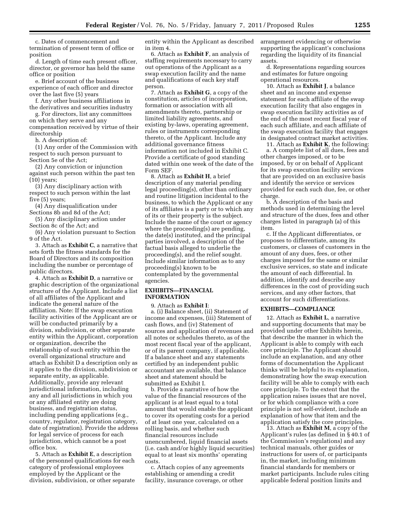c. Dates of commencement and termination of present term of office or position

d. Length of time each present officer, director, or governor has held the same office or position

e. Brief account of the business experience of each officer and director over the last five (5) years

f. Any other business affiliations in the derivatives and securities industry

g. For directors, list any committees on which they serve and any compensation received by virtue of their directorship

h. A description of:

(1) Any order of the Commission with respect to such person pursuant to Section 5e of the Act;

(2) Any conviction or injunction against such person within the past ten (10) years;

(3) Any disciplinary action with respect to such person within the last five (5) years;

(4) Any disqualification under Sections 8b and 8d of the Act;

(5) Any disciplinary action under Section 8c of the Act; and

(6) Any violation pursuant to Section 9 of the Act.

3. Attach as **Exhibit C**, a narrative that sets forth the fitness standards for the Board of Directors and its composition including the number or percentage of public directors.

4. Attach as **Exhibit D**, a narrative or graphic description of the organizational structure of the Applicant. Include a list of all affiliates of the Applicant and indicate the general nature of the affiliation. Note: If the swap execution facility activities of the Applicant are or will be conducted primarily by a division, subdivision, or other separate entity within the Applicant, corporation or organization, describe the relationship of such entity within the overall organizational structure and attach as Exhibit D a description only as it applies to the division, subdivision or separate entity, as applicable. Additionally, provide any relevant jurisdictional information, including any and all jurisdictions in which you or any affiliated entity are doing business, and registration status, including pending applications (e.g., country, regulator, registration category, date of registration). Provide the address for legal service of process for each jurisdiction, which cannot be a post office box.

5. Attach as **Exhibit E**, a description of the personnel qualifications for each category of professional employees employed by the Applicant or the division, subdivision, or other separate entity within the Applicant as described in item 4.

6. Attach as **Exhibit F**, an analysis of staffing requirements necessary to carry out operations of the Applicant as a swap execution facility and the name and qualifications of each key staff person.

7. Attach as **Exhibit G**, a copy of the constitution, articles of incorporation, formation or association with all amendments thereto, partnership or limited liability agreements, and existing by-laws, operating agreement, rules or instruments corresponding thereto, of the Applicant. Include any additional governance fitness information not included in Exhibit C. Provide a certificate of good standing dated within one week of the date of the Form SEF.

8. Attach as **Exhibit H**, a brief description of any material pending legal proceeding(s), other than ordinary and routine litigation incidental to the business, to which the Applicant or any of its affiliates is a party or to which any of its or their property is the subject. Include the name of the court or agency where the proceeding(s) are pending, the date(s) instituted, and the principal parties involved, a description of the factual basis alleged to underlie the proceeding(s), and the relief sought. Include similar information as to any proceeding(s) known to be contemplated by the governmental agencies.

# **EXHIBITS—FINANCIAL INFORMATION**

9. Attach as **Exhibit I**:

a. (i) Balance sheet, (ii) Statement of income and expenses, (iii) Statement of cash flows, and (iv) Statement of sources and application of revenues and all notes or schedules thereto, as of the most recent fiscal year of the applicant, or of its parent company, if applicable. If a balance sheet and any statements certified by an independent public accountant are available, that balance sheet and statement should be submitted as Exhibit I.

b. Provide a narrative of how the value of the financial resources of the applicant is at least equal to a total amount that would enable the applicant to cover its operating costs for a period of at least one year, calculated on a rolling basis, and whether such financial resources include unencumbered, liquid financial assets (i.e. cash and/or highly liquid securities) equal to at least six months' operating costs.

c. Attach copies of any agreements establishing or amending a credit facility, insurance coverage, or other

arrangement evidencing or otherwise supporting the applicant's conclusions regarding the liquidity of its financial assets.

d. Representations regarding sources and estimates for future ongoing operational resources.

10. Attach as **Exhibit J**, a balance sheet and an income and expense statement for each affiliate of the swap execution facility that also engages in swap execution facility activities as of the end of the most recent fiscal year of each such affiliate, and each affiliate of the swap execution facility that engages in designated contract market activities.

11. Attach as **Exhibit K**, the following: a. A complete list of all dues, fees and

other charges imposed, or to be imposed, by or on behalf of Applicant for its swap execution facility services that are provided on an exclusive basis and identify the service or services provided for each such due, fee, or other charge.

b. A description of the basis and methods used in determining the level and structure of the dues, fees and other charges listed in paragraph (a) of this item.

c. If the Applicant differentiates, or proposes to differentiate, among its customers, or classes of customers in the amount of any dues, fees, or other charges imposed for the same or similar exclusive services, so state and indicate the amount of each differential. In addition, identify and describe any differences in the cost of providing such services, and any other factors, that account for such differentiations.

# **EXHIBITS—COMPLIANCE**

12. Attach as **Exhibit L**, a narrative and supporting documents that may be provided under other Exhibits herein, that describe the manner in which the Applicant is able to comply with each core principle. The Applicant should include an explanation, and any other forms of documentation the Applicant thinks will be helpful to its explanation, demonstrating how the swap execution facility will be able to comply with each core principle. To the extent that the application raises issues that are novel, or for which compliance with a core principle is not self-evident, include an explanation of how that item and the application satisfy the core principles.

13. Attach as **Exhibit M**, a copy of the Applicant's rules (as defined in § 40.1 of the Commission's regulations) and any technical manuals, other guides or instructions for users of, or participants in, the market, including minimum financial standards for members or market participants. Include rules citing applicable federal position limits and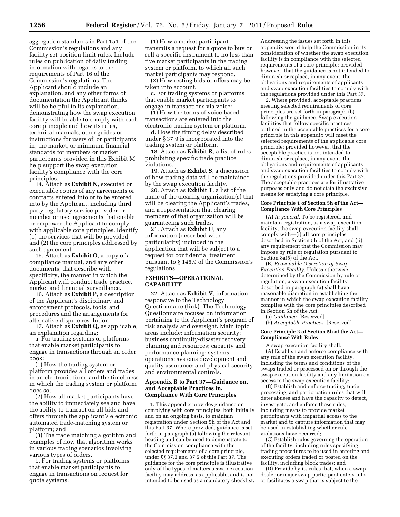aggregation standards in Part 151 of the Commission's regulations and any facility set position limit rules. Include rules on publication of daily trading information with regards to the requirements of Part 16 of the Commission's regulations. The Applicant should include an explanation, and any other forms of documentation the Applicant thinks will be helpful to its explanation, demonstrating how the swap execution facility will be able to comply with each core principle and how its rules, technical manuals, other guides or instructions for users of, or participants in, the market, or minimum financial standards for members or market participants provided in this Exhibit M help support the swap execution facility's compliance with the core principles.

14. Attach as **Exhibit N**, executed or executable copies of any agreements or contracts entered into or to be entered into by the Applicant, including third party regulatory service provider or member or user agreements that enable or empower the Applicant to comply with applicable core principles. Identify (1) the services that will be provided; and (2) the core principles addressed by such agreement.

15. Attach as **Exhibit O**, a copy of a compliance manual, and any other documents, that describe with specificity, the manner in which the Applicant will conduct trade practice, market and financial surveillance.

16. Attach as **Exhibit P**, a description of the Applicant's disciplinary and enforcement protocols, tools, and procedures and the arrangements for alternative dispute resolution.

17. Attach as **Exhibit Q**, as applicable, an explanation regarding:

a. For trading systems or platforms that enable market participants to engage in transactions through an order book:

(1) How the trading system or platform provides all orders and trades in an electronic form, and the timeliness in which the trading system or platform does so;

(2) How all market participants have the ability to immediately see and have the ability to transact on all bids and offers through the applicant's electronic automated trade-matching system or platform; and

(3) The trade matching algorithm and examples of how that algorithm works in various trading scenarios involving various types of orders.

b. For trading systems or platforms that enable market participants to engage in transactions on request for quote systems:

(1) How a market participant transmits a request for a quote to buy or sell a specific instrument to no less than five market participants in the trading system or platform, to which all such market participants may respond.

(2) How resting bids or offers may be taken into account.

c. For trading systems or platforms that enable market participants to engage in transactions via voice:

(1) How the terms of voice-based transactions are entered into the electronic trading system or platform.

d. How the timing delay described under § 37.9 is incorporated into the trading system or platform.

18. Attach as **Exhibit R**, a list of rules prohibiting specific trade practice violations.

19. Attach as **Exhibit S**, a discussion of how trading data will be maintained by the swap execution facility.

20. Attach as **Exhibit T**, a list of the name of the clearing organization(s) that will be clearing the Applicant's trades, and a representation that clearing members of that organization will be guaranteeing such trades.

21. Attach as **Exhibit U**, any information (described with particularity) included in the application that will be subject to a request for confidential treatment pursuant to § 145.9 of the Commission's regulations.

# **EXHIBITS—OPERATIONAL CAPABILITY**

22. Attach as **Exhibit V**, information responsive to the Technology Questionnaire (link). The Technology Questionnaire focuses on information pertaining to the Applicant's program of risk analysis and oversight. Main topic areas include: information security; business continuity-disaster recovery planning and resources; capacity and performance planning; systems operations; systems development and quality assurance; and physical security and environmental controls.

#### **Appendix B to Part 37—Guidance on, and Acceptable Practices in, Compliance With Core Principles**

1. This appendix provides guidance on complying with core principles, both initially and on an ongoing basis, to maintain registration under Section 5h of the Act and this Part 37. Where provided, guidance is set forth in paragraph (a) following the relevant heading and can be used to demonstrate to the Commission compliance with the selected requirements of a core principle, under §§ 37.3 and 37.5 of this Part 37. The guidance for the core principle is illustrative only of the types of matters a swap execution facility may address, as applicable, and is not intended to be used as a mandatory checklist.

Addressing the issues set forth in this appendix would help the Commission in its consideration of whether the swap execution facility is in compliance with the selected requirements of a core principle; provided however, that the guidance is not intended to diminish or replace, in any event, the obligations and requirements of applicants and swap execution facilities to comply with the regulations provided under this Part 37.

2. Where provided, acceptable practices meeting selected requirements of core principles are set forth in paragraph (b) following the guidance. Swap execution facilities that follow specific practices outlined in the acceptable practices for a core principle in this appendix will meet the selected requirements of the applicable core principle; provided however, that the acceptable practice is not intended to diminish or replace, in any event, the obligations and requirements of applicants and swap execution facilities to comply with the regulations provided under this Part 37. The acceptable practices are for illustrative purposes only and do not state the exclusive means for satisfying a core principle.

#### **Core Principle 1 of Section 5h of the Act— Compliance With Core Principles**

(A) *In general.* To be registered, and maintain registration, as a swap execution facility, the swap execution facility shall comply with—(i) all core principles described in Section 5h of the Act; and (ii) any requirement that the Commission may impose by rule or regulation pursuant to Section 8a(5) of the Act.

(B) *Reasonable Discretion of Swap Execution Facility.* Unless otherwise determined by the Commission by rule or regulation, a swap execution facility described in paragraph (a) shall have reasonable discretion in establishing the manner in which the swap execution facility complies with the core principles described in Section 5h of the Act.

(a) *Guidance.* [Reserved]

(b) *Acceptable Practices.* [Reserved]

#### **Core Principle 2 of Section 5h of the Act— Compliance With Rules**

A swap execution facility shall: (A) Establish and enforce compliance with any rule of the swap execution facility, including the terms and conditions of the swaps traded or processed on or through the swap execution facility and any limitation on access to the swap execution facility;

(B) Establish and enforce trading, trade processing, and participation rules that will deter abuses and have the capacity to detect, investigate, and enforce those rules, including means to provide market participants with impartial access to the market and to capture information that may be used in establishing whether rule violations have occurred;

(C) Establish rules governing the operation of the facility, including rules specifying trading procedures to be used in entering and executing orders traded or posted on the facility, including block trades; and

(D) Provide by its rules that, when a swap dealer or major swap participant enters into or facilitates a swap that is subject to the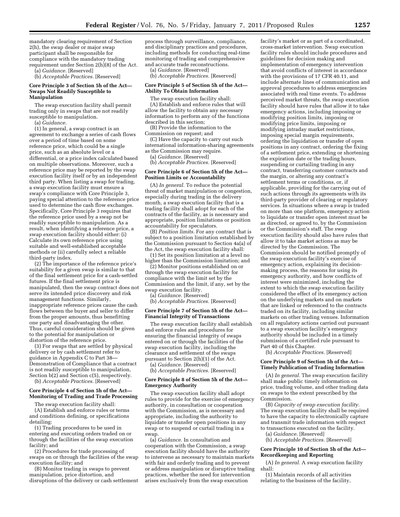mandatory clearing requirement of Section 2(h), the swap dealer or major swap participant shall be responsible for compliance with the mandatory trading requirement under Section 2(h)(8) of the Act.

(a) *Guidance.* [Reserved] (b) *Acceptable Practices.* [Reserved]

#### **Core Principle 3 of Section 5h of the Act— Swaps Not Readily Susceptible to Manipulation**

The swap execution facility shall permit trading only in swaps that are not readily susceptible to manipulation.

(a) *Guidance.* 

(1) In general, a swap contract is an agreement to exchange a series of cash flows over a period of time based on some reference price, which could be a single price, such as an absolute level or a differential, or a price index calculated based on multiple observations. Moreover, such a reference price may be reported by the swap execution facility itself or by an independent third party. When listing a swap for trading, a swap execution facility must ensure a swap's compliance with Core Principle 3, paying special attention to the reference price used to determine the cash flow exchanges. Specifically, Core Principle 3 requires that the reference price used by a swap not be readily susceptible to manipulation. As a result, when identifying a reference price, a swap execution facility should either: (i) Calculate its own reference price using suitable and well-established acceptable methods or (ii) carefully select a reliable third-party index.

(2) The importance of the reference price's suitability for a given swap is similar to that of the final settlement price for a cash-settled futures. If the final settlement price is manipulated, then the swap contract does not serve its intended price discovery and risk management functions. Similarly, inappropriate reference prices cause the cash flows between the buyer and seller to differ from the proper amounts, thus benefitting one party and disadvantaging the other. Thus, careful consideration should be given to the potential for manipulation or distortion of the reference price.

(3) For swaps that are settled by physical delivery or by cash settlement refer to guidance in Appendix C to Part 38— Demonstration of Compliance that a contract is not readily susceptible to manipulation, Section b(2) and Section c(5), respectively.

(b) *Acceptable Practices.* [Reserved]

#### **Core Principle 4 of Section 5h of the Act— Monitoring of Trading and Trade Processing**

The swap execution facility shall:

(A) Establish and enforce rules or terms and conditions defining, or specifications detailing:

(1) Trading procedures to be used in entering and executing orders traded on or through the facilities of the swap execution facility; and

(2) Procedures for trade processing of swaps on or through the facilities of the swap execution facility; and

(B) Monitor trading in swaps to prevent manipulation, price distortion, and disruptions of the delivery or cash settlement

process through surveillance, compliance, and disciplinary practices and procedures, including methods for conducting real-time monitoring of trading and comprehensive and accurate trade reconstructions.

(a) *Guidance.* [Reserved]

(b) *Acceptable Practices.* [Reserved]

#### **Core Principle 5 of Section 5h of the Act— Ability To Obtain Information**

The swap execution facility shall: (A) Establish and enforce rules that will allow the facility to obtain any necessary information to perform any of the functions described in this section;

(B) Provide the information to the Commission on request; and

(C) Have the capacity to carry out such international information-sharing agreements as the Commission may require.

(a) *Guidance.* [Reserved]

(b) *Acceptable Practices.* [Reserved]

#### **Core Principle 6 of Section 5h of the Act— Position Limits or Accountability**

(A) *In general.* To reduce the potential threat of market manipulation or congestion, especially during trading in the delivery month, a swap execution facility that is a trading facility shall adopt for each of the contracts of the facility, as is necessary and appropriate, position limitations or position accountability for speculators.

(B) *Position limits.* For any contract that is subject to a position limitation established by the Commission pursuant to Section 4a(a) of the Act, the swap execution facility shall:

(1) Set its position limitation at a level no higher than the Commission limitation; and

(2) Monitor positions established on or through the swap execution facility for compliance with the limit set by the Commission and the limit, if any, set by the swap execution facility.

(a) *Guidance.* [Reserved]

(b) *Acceptable Practices.* [Reserved]

#### **Core Principle 7 of Section 5h of the Act— Financial Integrity of Transactions**

The swap execution facility shall establish and enforce rules and procedures for ensuring the financial integrity of swaps entered on or through the facilities of the swap execution facility, including the clearance and settlement of the swaps pursuant to Section 2(h)(1) of the Act.

(a) *Guidance.* [Reserved]

(b) *Acceptable Practices.* [Reserved]

#### **Core Principle 8 of Section 5h of the Act— Emergency Authority**

The swap execution facility shall adopt rules to provide for the exercise of emergency authority, in consultation or cooperation with the Commission, as is necessary and appropriate, including the authority to liquidate or transfer open positions in any swap or to suspend or curtail trading in a swap.

(a) *Guidance.* In consultation and cooperation with the Commission, a swap execution facility should have the authority to intervene as necessary to maintain markets with fair and orderly trading and to prevent or address manipulation or disruptive trading practices, whether the need for intervention arises exclusively from the swap execution

facility's market or as part of a coordinated, cross-market intervention. Swap execution facility rules should include procedures and guidelines for decision making and implementation of emergency intervention that avoid conflicts of interest in accordance with the provisions of 17 CFR 40.11, and include alternate lines of communication and approval procedures to address emergencies associated with real time events. To address perceived market threats, the swap execution facility should have rules that allow it to take emergency actions, including imposing or modifying position limits, imposing or modifying price limits, imposing or modifying intraday market restrictions, imposing special margin requirements, ordering the liquidation or transfer of open positions in any contract, ordering the fixing of a settlement price, extending or shortening the expiration date or the trading hours, suspending or curtailing trading in any contract, transferring customer contracts and the margin, or altering any contract's settlement terms or conditions, or, if applicable, providing for the carrying out of such actions through its agreements with its third-party provider of clearing or regulatory services. In situations where a swap is traded on more than one platform, emergency action to liquidate or transfer open interest must be as directed, or agreed to, by the Commission or the Commission's staff. The swap execution facility should also have rules that allow it to take market actions as may be directed by the Commission. The Commission should be notified promptly of the swap execution facility's exercise of emergency action, explaining its decisionmaking process, the reasons for using its emergency authority, and how conflicts of interest were minimized, including the extent to which the swap execution facility considered the effect of its emergency action on the underlying markets and on markets that are linked or referenced to the contracts traded on its facility, including similar markets on other trading venues. Information on all regulatory actions carried out pursuant to a swap execution facility's emergency authority should be included in a timely submission of a certified rule pursuant to Part 40 of this Chapter.

(b) *Acceptable Practices.* [Reserved]

#### **Core Principle 9 of Section 5h of the Act— Timely Publication of Trading Information**

(A) *In general.* The swap execution facility shall make public timely information on price, trading volume, and other trading data on swaps to the extent prescribed by the Commission.

(B) *Capacity of swap execution facility.*  The swap execution facility shall be required to have the capacity to electronically capture and transmit trade information with respect to transactions executed on the facility.

(a) *Guidance.* [Reserved]

(b) *Acceptable Practices.* [Reserved]

#### **Core Principle 10 of Section 5h of the Act— Recordkeeping and Reporting**

(A) *In general.* A swap execution facility shall:

(1) Maintain records of all activities relating to the business of the facility,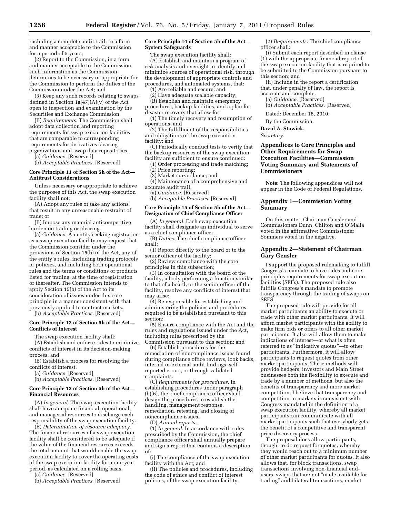including a complete audit trail, in a form and manner acceptable to the Commission for a period of 5 years;

(2) Report to the Commission, in a form and manner acceptable to the Commission, such information as the Commission determines to be necessary or appropriate for the Commission to perform the duties of the Commission under the Act; and

(3) Keep any such records relating to swaps defined in Section 1a(47)(A)(v) of the Act open to inspection and examination by the Securities and Exchange Commission.

(B) *Requirements.* The Commission shall adopt data collection and reporting requirements for swap execution facilities that are comparable to corresponding requirements for derivatives clearing organizations and swap data repositories.

(a) *Guidance.* [Reserved]

(b) *Acceptable Practices.* [Reserved]

#### **Core Principle 11 of Section 5h of the Act— Antitrust Considerations**

Unless necessary or appropriate to achieve the purposes of this Act, the swap execution facility shall not:

(A) Adopt any rules or take any actions that result in any unreasonable restraint of trade; or

(B) Impose any material anticompetitive burden on trading or clearing.

(a) *Guidance.* An entity seeking registration as a swap execution facility may request that the Commission consider under the provisions of Section 15(b) of the Act, any of the entity's rules, including trading protocols or policies, and including both operational rules and the terms or conditions of products listed for trading, at the time of registration or thereafter. The Commission intends to apply Section 15(b) of the Act to its consideration of issues under this core principle in a manner consistent with that previously applied to contract markets.

(b) *Acceptable Practices.* [Reserved]

#### **Core Principle 12 of Section 5h of the Act— Conflicts of Interest**

The swap execution facility shall: (A) Establish and enforce rules to minimize conflicts of interest in its decision-making process; and

(B) Establish a process for resolving the conflicts of interest.

(a) *Guidance.* [Reserved]

(b) *Acceptable Practices.* [Reserved]

#### **Core Principle 13 of Section 5h of the Act— Financial Resources**

(A) *In general.* The swap execution facility shall have adequate financial, operational, and managerial resources to discharge each responsibility of the swap execution facility.

(B) *Determination of resource adequacy.*  The financial resources of a swap execution facility shall be considered to be adequate if the value of the financial resources exceeds the total amount that would enable the swap execution facility to cover the operating costs of the swap execution facility for a one-year period, as calculated on a rolling basis.

(a) *Guidance.* [Reserved]

(b) *Acceptable Practices.* [Reserved]

#### **Core Principle 14 of Section 5h of the Act— System Safeguards**

The swap execution facility shall: (A) Establish and maintain a program of risk analysis and oversight to identify and minimize sources of operational risk, through the development of appropriate controls and procedures, and automated systems, that:

(1) Are reliable and secure; and

- (2) Have adequate scalable capacity;
- (B) Establish and maintain emergency

procedures, backup facilities, and a plan for disaster recovery that allow for:

(1) The timely recovery and resumption of operations; and

(2) The fulfillment of the responsibilities and obligations of the swap execution facility; and

(C) Periodically conduct tests to verify that the backup resources of the swap execution facility are sufficient to ensure continued:

(1) Order processing and trade matching; (2) Price reporting;

(3) Market surveillance; and

(4) Maintenance of a comprehensive and accurate audit trail.

(a) *Guidance.* [Reserved]

(b) *Acceptable Practices.* [Reserved]

#### **Core Principle 15 of Section 5h of the Act— Designation of Chief Compliance Officer**

(A) *In general.* Each swap execution facility shall designate an individual to serve as a chief compliance officer.

(B) *Duties.* The chief compliance officer shall:

(1) Report directly to the board or to the senior officer of the facility;

(2) Review compliance with the core principles in this subsection;

(3) In consultation with the board of the facility, a body performing a function similar to that of a board, or the senior officer of the facility, resolve any conflicts of interest that may arise;

(4) Be responsible for establishing and administering the policies and procedures required to be established pursuant to this section;

(5) Ensure compliance with the Act and the rules and regulations issued under the Act, including rules prescribed by the Commission pursuant to this section; and

(6) Establish procedures for the remediation of noncompliance issues found during compliance office reviews, look backs, internal or external audit findings, selfreported errors, or through validated complaints.

(C) *Requirements for procedures.* In establishing procedures under paragraph (b)(6), the chief compliance officer shall design the procedures to establish the handling, management response, remediation, retesting, and closing of noncompliance issues.

(D) *Annual reports.* 

(1) *In general.* In accordance with rules prescribed by the Commission, the chief compliance officer shall annually prepare and sign a report that contains a description of:

(i) The compliance of the swap execution facility with the Act; and

(ii) The policies and procedures, including the code of ethics and conflict of interest policies, of the swap execution facility.

(2) *Requirements.* The chief compliance officer shall:

(i) Submit each report described in clause (1) with the appropriate financial report of the swap execution facility that is required to be submitted to the Commission pursuant to this section; and

(ii) Include in the report a certification that, under penalty of law, the report is accurate and complete.

(a) *Guidance.* [Reserved]

(b) *Acceptable Practices.* [Reserved]

Dated: December 16, 2010.

By the Commission.

**David A. Stawick,** 

*Secretary.* 

# **Appendices to Core Principles and Other Requirements for Swap Execution Facilities—Commission Voting Summary and Statements of Commissioners**

**Note:** The following appendices will not appear in the Code of Federal Regulations.

## **Appendix 1—Commission Voting Summary**

On this matter, Chairman Gensler and Commissioners Dunn, Chilton and O'Malia voted in the affirmative; Commissioner Sommers voted in the negative.

#### **Appendix 2—Statement of Chairman Gary Gensler**

I support the proposed rulemaking to fulfill Congress's mandate to have rules and core principles requirements for swap execution facilities (SEFs). The proposed rule also fulfills Congress's mandate to promote transparency through the trading of swaps on SEFS.

The proposed rule will provide for all market participants an ability to execute or trade with other market participants. It will afford market participants with the ability to make firm bids or offers to all other market participants. It also will allow them to make indications of interest—or what is often referred to as ''indicative quotes''—to other participants. Furthermore, it will allow participants to request quotes from other market participants. These methods will provide hedgers, investors and Main Street businesses both the flexibility to execute and trade by a number of methods, but also the benefits of transparency and more market competition. I believe that transparency and competition in markets is consistent with Congress mandated in the definition of a swap execution facility, whereby all market participants can communicate with all market participants such that everybody gets the benefit of a competitive and transparent price discovery process.

The proposal does allow participants, though, to do request for quotes, whereby they would reach out to a minimum number of other market participants for quotes. It also allows that, for block transactions, swap transactions involving non-financial endusers, swaps that are not ''made available for trading'' and bilateral transactions, market